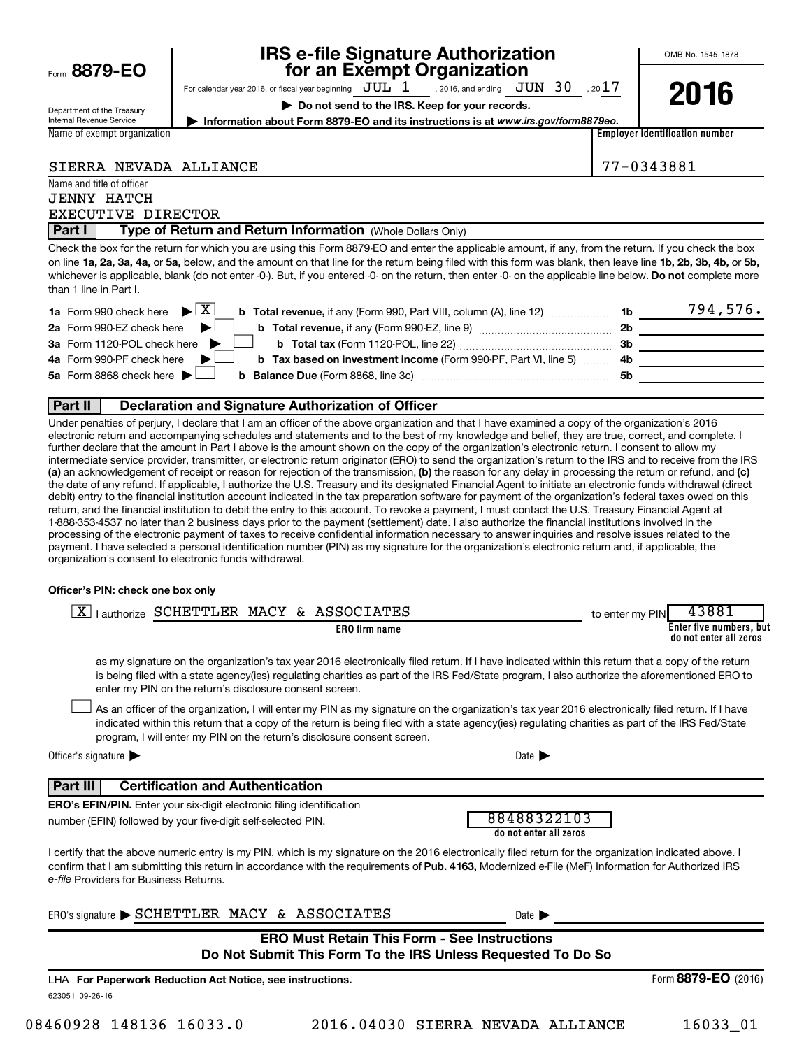| Form 8879-EO |  |  |
|--------------|--|--|
|              |  |  |

# **IRS e-file Signature Authorization**<br>**687 for an Exempt Organization**

OMB No. 1545-1878

Department of the Treasury Internal Revenue Service Name of exempt organization For calendar year 2016, or fiscal year beginning  $JUL_1$ , 2016, and ending  $JUN_30$ , 20 $17$ , 2016, and ending  $\,$   $\rm JUN$   $\,$   $\rm 30$ 

**| Do not send to the IRS. Keep for your records.**



**| Information about Form 8879-EO and its instructions is at**  *www.irs.gov/form8879eo.*

**Employer identification number**

|  | SIERRA NEVADA ALLIANCE |
|--|------------------------|
|  |                        |

Name and title of officer JENNY HATCH 77-0343881

**Part I | Type of Return and Return Information** (Whole Dollars Only) EXECUTIVE DIRECTOR

on line 1a, 2a, 3a, 4a, or 5a, below, and the amount on that line for the return being filed with this form was blank, then leave line 1b, 2b, 3b, 4b, or 5b, whichever is applicable, blank (do not enter -0-). But, if you entered -0- on the return, then enter -0- on the applicable line below. **Do not** complete more Check the box for the return for which you are using this Form 8879-EO and enter the applicable amount, if any, from the return. If you check the box than 1 line in Part I.

| <b>1a</b> Form 990 check here $\triangleright \boxed{X}$<br><b>b Total revenue,</b> if any (Form 990, Part VIII, column (A), line 12) | 1b             | 794,576. |
|---------------------------------------------------------------------------------------------------------------------------------------|----------------|----------|
| 2a Form 990-EZ check here $\blacktriangleright$<br>b Total revenue, if any (Form 990-EZ, line 9)                                      | 2 <sub>b</sub> |          |
| 3a Form 1120-POL check here                                                                                                           | -3b            |          |
| 4a Form 990-PF check here<br><b>b</b> Tax based on investment income (Form 990-PF, Part VI, line 5) 4b                                |                |          |
| 5a Form 8868 check here $\blacktriangleright$                                                                                         | <b>5b</b>      |          |
|                                                                                                                                       |                |          |

#### **Part II Declaration and Signature Authorization of Officer**

(a) an acknowledgement of receipt or reason for rejection of the transmission, (b) the reason for any delay in processing the return or refund, and (c) Under penalties of perjury, I declare that I am an officer of the above organization and that I have examined a copy of the organization's 2016 electronic return and accompanying schedules and statements and to the best of my knowledge and belief, they are true, correct, and complete. I further declare that the amount in Part I above is the amount shown on the copy of the organization's electronic return. I consent to allow my intermediate service provider, transmitter, or electronic return originator (ERO) to send the organization's return to the IRS and to receive from the IRS the date of any refund. If applicable, I authorize the U.S. Treasury and its designated Financial Agent to initiate an electronic funds withdrawal (direct debit) entry to the financial institution account indicated in the tax preparation software for payment of the organization's federal taxes owed on this return, and the financial institution to debit the entry to this account. To revoke a payment, I must contact the U.S. Treasury Financial Agent at 1-888-353-4537 no later than 2 business days prior to the payment (settlement) date. I also authorize the financial institutions involved in the processing of the electronic payment of taxes to receive confidential information necessary to answer inquiries and resolve issues related to the payment. I have selected a personal identification number (PIN) as my signature for the organization's electronic return and, if applicable, the organization's consent to electronic funds withdrawal.

#### **Officer's PIN: check one box only**

| lauthorize SCHETTLER MACY & ASSOCIATES<br>$\mathbf{X}$                                                                                                                                                                                                                                                                                                                           | to enter my PIN | 43881                                             |
|----------------------------------------------------------------------------------------------------------------------------------------------------------------------------------------------------------------------------------------------------------------------------------------------------------------------------------------------------------------------------------|-----------------|---------------------------------------------------|
| <b>ERO</b> firm name                                                                                                                                                                                                                                                                                                                                                             |                 | Enter five numbers, but<br>do not enter all zeros |
| as my signature on the organization's tax year 2016 electronically filed return. If I have indicated within this return that a copy of the return<br>is being filed with a state agency(ies) regulating charities as part of the IRS Fed/State program, I also authorize the aforementioned ERO to<br>enter my PIN on the return's disclosure consent screen.                    |                 |                                                   |
| As an officer of the organization, I will enter my PIN as my signature on the organization's tax year 2016 electronically filed return. If I have<br>indicated within this return that a copy of the return is being filed with a state agency(ies) regulating charities as part of the IRS Fed/State<br>program, I will enter my PIN on the return's disclosure consent screen. |                 |                                                   |
| Officer's signature $\blacktriangleright$<br>Date $\blacktriangleright$                                                                                                                                                                                                                                                                                                          |                 |                                                   |
| <b>Certification and Authentication</b><br>Part III                                                                                                                                                                                                                                                                                                                              |                 |                                                   |
| <b>ERO's EFIN/PIN.</b> Enter your six-digit electronic filing identification<br>88488322103<br>number (EFIN) followed by your five-digit self-selected PIN.<br>do not enter all zeros                                                                                                                                                                                            |                 |                                                   |
| I certify that the above numeric entry is my PIN, which is my signature on the 2016 electronically filed return for the organization indicated above. I<br>confirm that I am submitting this return in accordance with the requirements of Pub. 4163, Modernized e-File (MeF) Information for Authorized IRS<br>e-file Providers for Business Returns.                           |                 |                                                   |
| ERO's signature SCHETTLER MACY & ASSOCIATES<br>Date $\blacktriangleright$                                                                                                                                                                                                                                                                                                        |                 |                                                   |
| <b>ERO Must Retain This Form - See Instructions</b><br>Do Not Submit This Form To the IRS Unless Requested To Do So                                                                                                                                                                                                                                                              |                 |                                                   |
| LHA For Paperwork Reduction Act Notice, see instructions.                                                                                                                                                                                                                                                                                                                        |                 | Form 8879-EO (2016)                               |

623051 09-26-16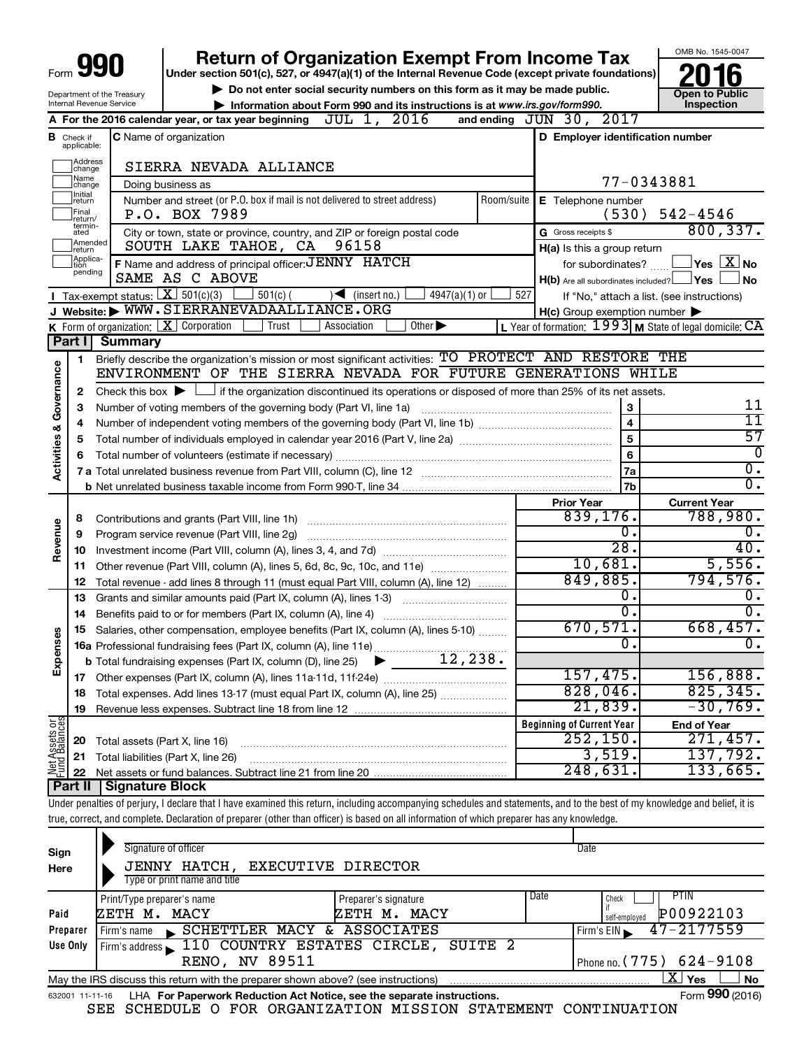|                                    |                                  | <b>Return of Organization Exempt From Income Tax</b>                                                                                                                       |                                   |                 |            |                                                             |            | OMB No. 1545-0047                          |
|------------------------------------|----------------------------------|----------------------------------------------------------------------------------------------------------------------------------------------------------------------------|-----------------------------------|-----------------|------------|-------------------------------------------------------------|------------|--------------------------------------------|
|                                    |                                  | Under section 501(c), 527, or 4947(a)(1) of the Internal Revenue Code (except private foundations)                                                                         |                                   |                 |            |                                                             |            |                                            |
|                                    |                                  | Do not enter social security numbers on this form as it may be made public.                                                                                                |                                   |                 |            |                                                             |            | <b>Open to Public</b>                      |
|                                    |                                  | Department of the Treasury<br>Internal Revenue Service<br>Information about Form 990 and its instructions is at www.irs.gov/form990.                                       |                                   |                 |            |                                                             |            | <b>Inspection</b>                          |
|                                    |                                  | A For the 2016 calendar year, or tax year beginning $JUL$ 1, $2016$                                                                                                        |                                   |                 |            | and ending JUN 30, 2017                                     |            |                                            |
|                                    | <b>B</b> Check if<br>applicable: | <b>C</b> Name of organization                                                                                                                                              |                                   |                 |            | D Employer identification number                            |            |                                            |
|                                    | Address<br>change                | SIERRA NEVADA ALLIANCE                                                                                                                                                     |                                   |                 |            |                                                             |            |                                            |
|                                    | Name<br> change                  | Doing business as                                                                                                                                                          |                                   |                 |            |                                                             | 77-0343881 |                                            |
|                                    | Initial<br>return                | Number and street (or P.O. box if mail is not delivered to street address)                                                                                                 |                                   |                 | Room/suite | <b>E</b> Telephone number                                   |            |                                            |
|                                    | Final<br>return/                 | P.O. BOX 7989                                                                                                                                                              |                                   |                 |            | (530)                                                       |            | $542 - 4546$                               |
|                                    | termin-<br>ated                  | City or town, state or province, country, and ZIP or foreign postal code                                                                                                   |                                   |                 |            | G Gross receipts \$                                         |            | 800, 337.                                  |
|                                    | Amended<br>Ireturn               | SOUTH LAKE TAHOE, CA                                                                                                                                                       | 96158                             |                 |            | H(a) Is this a group return                                 |            |                                            |
|                                    | Applica-<br>tion                 | F Name and address of principal officer: JENNY HATCH                                                                                                                       |                                   |                 |            | for subordinates?                                           |            | $\Box$ Yes $\Box X$ No                     |
|                                    | pending                          | SAME AS C ABOVE                                                                                                                                                            |                                   |                 |            | $H(b)$ Are all subordinates included? $\Box$ Yes $\Box$     |            | No                                         |
|                                    |                                  | <b>I</b> Tax-exempt status: $X \ 501(c)(3)$<br>$501(c)$ (                                                                                                                  | $\sqrt{\frac{1}{1}}$ (insert no.) | $4947(a)(1)$ or | 527        |                                                             |            | If "No," attach a list. (see instructions) |
|                                    |                                  | J Website: WWW.SIERRANEVADAALLIANCE.ORG                                                                                                                                    |                                   |                 |            | $H(c)$ Group exemption number $\blacktriangleright$         |            |                                            |
|                                    |                                  | <b>K</b> Form of organization: $\boxed{\mathbf{X}}$ Corporation<br>Trust<br>Association                                                                                    | Other $\blacktriangleright$       |                 |            | L Year of formation: $1993$ M State of legal domicile: $CA$ |            |                                            |
|                                    | Part I                           | <b>Summary</b>                                                                                                                                                             |                                   |                 |            |                                                             |            |                                            |
|                                    | 1                                | Briefly describe the organization's mission or most significant activities: TO PROTECT AND RESTORE THE                                                                     |                                   |                 |            |                                                             |            |                                            |
|                                    |                                  | ENVIRONMENT OF THE SIERRA NEVADA FOR FUTURE GENERATIONS WHILE                                                                                                              |                                   |                 |            |                                                             |            |                                            |
|                                    | 2                                | Check this box $\blacktriangleright$ $\Box$ if the organization discontinued its operations or disposed of more than 25% of its net assets.                                |                                   |                 |            |                                                             |            |                                            |
|                                    | З                                | Number of voting members of the governing body (Part VI, line 1a)                                                                                                          |                                   |                 |            | 3                                                           |            | 11                                         |
|                                    | 4                                |                                                                                                                                                                            |                                   |                 |            | $\overline{\mathbf{4}}$                                     |            | 11                                         |
|                                    | 5                                |                                                                                                                                                                            |                                   |                 |            | 5                                                           |            | 57                                         |
| <b>Activities &amp; Governance</b> | 6                                |                                                                                                                                                                            |                                   |                 |            | 6                                                           |            | $\Omega$                                   |
|                                    |                                  |                                                                                                                                                                            |                                   |                 |            | 7a                                                          |            | $\overline{0}$ .                           |
|                                    |                                  |                                                                                                                                                                            |                                   |                 |            | 7 <sub>b</sub>                                              |            | $\overline{0}$ .                           |
|                                    |                                  |                                                                                                                                                                            |                                   |                 |            | <b>Prior Year</b>                                           |            | <b>Current Year</b>                        |
|                                    | 8                                |                                                                                                                                                                            |                                   |                 |            | 839,176.                                                    |            | 788,980.                                   |
|                                    | 9                                |                                                                                                                                                                            |                                   |                 |            | Ο.                                                          |            | 0.                                         |
| Revenue                            | 10                               |                                                                                                                                                                            |                                   |                 |            | $\overline{28}$ .                                           |            | 40.                                        |
|                                    | 11                               | Other revenue (Part VIII, column (A), lines 5, 6d, 8c, 9c, 10c, and 11e)                                                                                                   |                                   |                 |            | 10,681.                                                     |            | 5,556.                                     |
|                                    |                                  |                                                                                                                                                                            |                                   |                 |            | 849,885.                                                    |            | 794,576.                                   |
|                                    | 12<br>13                         | Total revenue - add lines 8 through 11 (must equal Part VIII, column (A), line 12)<br>Grants and similar amounts paid (Part IX, column (A), lines 1-3)                     |                                   |                 |            | о.                                                          |            | Ο.                                         |
|                                    |                                  |                                                                                                                                                                            |                                   |                 |            | $\overline{0}$ .                                            |            | $\overline{0}$ .                           |
|                                    | 14                               | Benefits paid to or for members (Part IX, column (A), line 4)                                                                                                              |                                   |                 |            | 670,571.                                                    |            | 668,457.                                   |
| 8                                  | 15                               | Salaries, other compensation, employee benefits (Part IX, column (A), lines 5-10)                                                                                          |                                   |                 |            | О.                                                          |            | 0.                                         |
| Expense                            |                                  |                                                                                                                                                                            |                                   |                 |            |                                                             |            |                                            |
|                                    |                                  |                                                                                                                                                                            |                                   |                 |            | 157,475.                                                    |            | 156,888.                                   |
|                                    | 17                               |                                                                                                                                                                            |                                   |                 |            | 828,046.                                                    |            | 825, 345.                                  |
|                                    | 18                               | Total expenses. Add lines 13-17 (must equal Part IX, column (A), line 25)                                                                                                  |                                   |                 |            | 21,839.                                                     |            | $-30,769$ .                                |
|                                    | 19                               |                                                                                                                                                                            |                                   |                 |            |                                                             |            |                                            |
| Net Assets or                      |                                  |                                                                                                                                                                            |                                   |                 |            | <b>Beginning of Current Year</b><br>252, 150.               |            | <b>End of Year</b><br>271,457.             |
|                                    | 20                               | Total assets (Part X, line 16)                                                                                                                                             |                                   |                 |            | 3,519.                                                      |            | 137,792.                                   |
|                                    | 21                               | Total liabilities (Part X, line 26)                                                                                                                                        |                                   |                 |            | 248,631.                                                    |            | 133,665.                                   |
|                                    | 22<br>Part II                    |                                                                                                                                                                            |                                   |                 |            |                                                             |            |                                            |
|                                    |                                  | Signature Block                                                                                                                                                            |                                   |                 |            |                                                             |            |                                            |
|                                    |                                  | Under penalties of perjury, I declare that I have examined this return, including accompanying schedules and statements, and to the best of my knowledge and belief, it is |                                   |                 |            |                                                             |            |                                            |
|                                    |                                  | true, correct, and complete. Declaration of preparer (other than officer) is based on all information of which preparer has any knowledge.                                 |                                   |                 |            |                                                             |            |                                            |

| Sign<br>Here     | Signature of officer<br>JENNY HATCH, EXECUTIVE DIRECTOR<br>Type or print name and title                                          | Date                                                                                  |
|------------------|----------------------------------------------------------------------------------------------------------------------------------|---------------------------------------------------------------------------------------|
| Paid<br>Preparer | Print/Type preparer's name<br>Preparer's signature<br>ZETH M. MACY<br>ИЕТН М. МАСҮ<br>SCHETTLER MACY & ASSOCIATES<br>Firm's name | Date<br>PTIN<br>Check<br>P00922103<br>self-employed<br>$47 - 2177559$<br>Firm's $EIN$ |
| Use Only         | Firm's address 110 COUNTRY ESTATES CIRCLE,<br>SUITE <sub>2</sub><br><b>RENO, NV 89511</b>                                        | Phone no. $(775)$ 624-9108                                                            |
|                  | May the IRS discuss this return with the preparer shown above? (see instructions)                                                | x.<br>Yes<br>No                                                                       |
| 632001 11-11-16  | LHA For Paperwork Reduction Act Notice, see the separate instructions.                                                           | Form 990 (2016)                                                                       |

SEE SCHEDULE O FOR ORGANIZATION MISSION STATEMENT CONTINUATION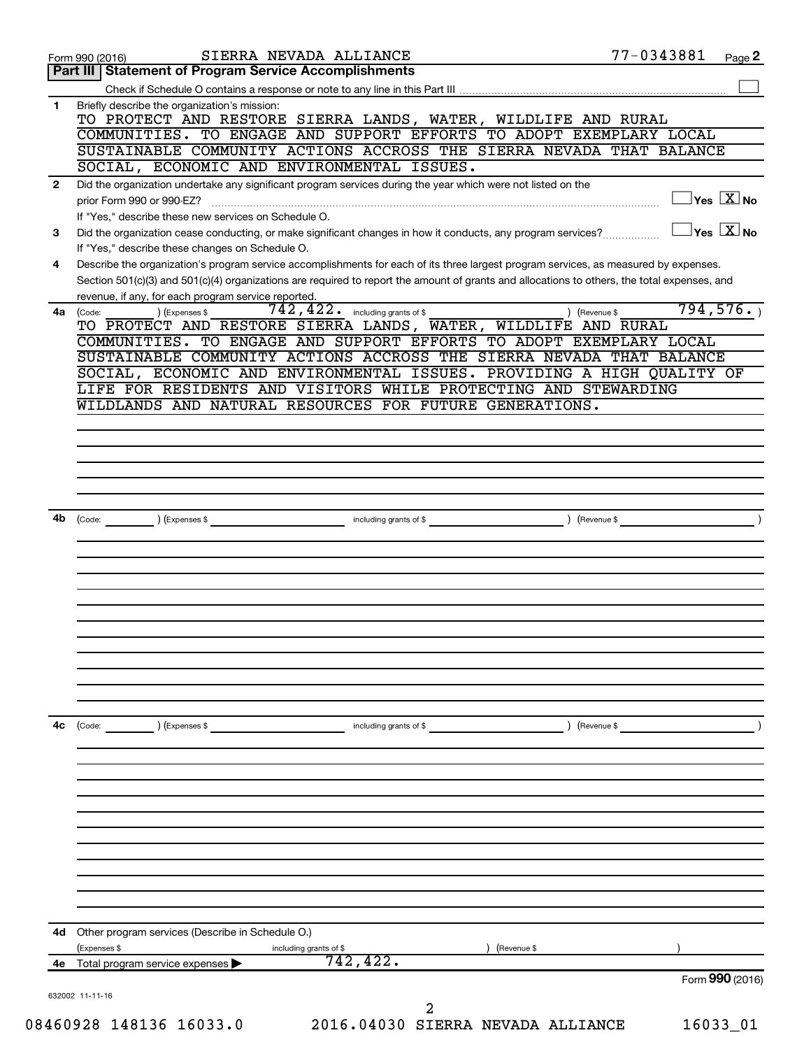|              | SIERRA NEVADA ALLIANCE<br>Form 990 (2016)                                                                                                                                                                                                                                            | 77-0343881 | Page 2                              |
|--------------|--------------------------------------------------------------------------------------------------------------------------------------------------------------------------------------------------------------------------------------------------------------------------------------|------------|-------------------------------------|
|              | Part III   Statement of Program Service Accomplishments                                                                                                                                                                                                                              |            |                                     |
|              |                                                                                                                                                                                                                                                                                      |            |                                     |
| 1            | Briefly describe the organization's mission:<br>TO PROTECT AND RESTORE SIERRA LANDS, WATER, WILDLIFE AND RURAL                                                                                                                                                                       |            |                                     |
|              | COMMUNITIES. TO ENGAGE AND SUPPORT EFFORTS TO ADOPT EXEMPLARY LOCAL                                                                                                                                                                                                                  |            |                                     |
|              | SUSTAINABLE COMMUNITY ACTIONS ACCROSS THE SIERRA NEVADA THAT BALANCE                                                                                                                                                                                                                 |            |                                     |
|              | SOCIAL, ECONOMIC AND ENVIRONMENTAL ISSUES.                                                                                                                                                                                                                                           |            |                                     |
| $\mathbf{2}$ | Did the organization undertake any significant program services during the year which were not listed on the                                                                                                                                                                         |            |                                     |
|              | prior Form 990 or 990-EZ?                                                                                                                                                                                                                                                            |            | $\exists$ Yes $\boxed{\text{X}}$ No |
|              | If "Yes," describe these new services on Schedule O.                                                                                                                                                                                                                                 |            |                                     |
| 3            | Did the organization cease conducting, or make significant changes in how it conducts, any program services?                                                                                                                                                                         |            | $Yes$ $X$ No                        |
|              | If "Yes," describe these changes on Schedule O.                                                                                                                                                                                                                                      |            |                                     |
| 4            | Describe the organization's program service accomplishments for each of its three largest program services, as measured by expenses.<br>Section 501(c)(3) and 501(c)(4) organizations are required to report the amount of grants and allocations to others, the total expenses, and |            |                                     |
|              | revenue, if any, for each program service reported.                                                                                                                                                                                                                                  |            |                                     |
|              | $742, 422$ $\cdot$ including grants of \$<br>) (Expenses \$<br>) (Revenue \$<br>4a (Code:                                                                                                                                                                                            |            | 794, 576.                           |
|              | TO PROTECT AND RESTORE SIERRA LANDS, WATER, WILDLIFE AND RURAL                                                                                                                                                                                                                       |            |                                     |
|              | COMMUNITIES. TO ENGAGE AND SUPPORT EFFORTS TO ADOPT EXEMPLARY LOCAL                                                                                                                                                                                                                  |            |                                     |
|              | SUSTAINABLE COMMUNITY ACTIONS ACCROSS THE SIERRA NEVADA THAT BALANCE                                                                                                                                                                                                                 |            |                                     |
|              | SOCIAL, ECONOMIC AND ENVIRONMENTAL ISSUES. PROVIDING A HIGH QUALITY OF<br>LIFE FOR RESIDENTS AND VISITORS WHILE PROTECTING AND STEWARDING                                                                                                                                            |            |                                     |
|              | WILDLANDS AND NATURAL RESOURCES FOR FUTURE GENERATIONS.                                                                                                                                                                                                                              |            |                                     |
|              |                                                                                                                                                                                                                                                                                      |            |                                     |
|              |                                                                                                                                                                                                                                                                                      |            |                                     |
|              |                                                                                                                                                                                                                                                                                      |            |                                     |
|              |                                                                                                                                                                                                                                                                                      |            |                                     |
|              |                                                                                                                                                                                                                                                                                      |            |                                     |
| 4b           | including grants of \$<br>) (Revenue \$<br>(Expenses \$<br>(Code:                                                                                                                                                                                                                    |            |                                     |
|              |                                                                                                                                                                                                                                                                                      |            |                                     |
|              |                                                                                                                                                                                                                                                                                      |            |                                     |
|              |                                                                                                                                                                                                                                                                                      |            |                                     |
|              |                                                                                                                                                                                                                                                                                      |            |                                     |
|              |                                                                                                                                                                                                                                                                                      |            |                                     |
|              |                                                                                                                                                                                                                                                                                      |            |                                     |
|              |                                                                                                                                                                                                                                                                                      |            |                                     |
|              |                                                                                                                                                                                                                                                                                      |            |                                     |
|              |                                                                                                                                                                                                                                                                                      |            |                                     |
|              |                                                                                                                                                                                                                                                                                      |            |                                     |
|              |                                                                                                                                                                                                                                                                                      |            |                                     |
| 4с           | ) (Expenses \$<br>including grants of \$<br>) (Revenue \$<br>$\begin{array}{ c c }\n\hline\n\text{Code:} & \text{\quad} & \text{\quad} \quad\end{array}$                                                                                                                             |            |                                     |
|              |                                                                                                                                                                                                                                                                                      |            |                                     |
|              |                                                                                                                                                                                                                                                                                      |            |                                     |
|              |                                                                                                                                                                                                                                                                                      |            |                                     |
|              |                                                                                                                                                                                                                                                                                      |            |                                     |
|              |                                                                                                                                                                                                                                                                                      |            |                                     |
|              |                                                                                                                                                                                                                                                                                      |            |                                     |
|              |                                                                                                                                                                                                                                                                                      |            |                                     |
|              |                                                                                                                                                                                                                                                                                      |            |                                     |
|              |                                                                                                                                                                                                                                                                                      |            |                                     |
|              |                                                                                                                                                                                                                                                                                      |            |                                     |
|              |                                                                                                                                                                                                                                                                                      |            |                                     |
| 4е           | 742, 422.<br>Total program service expenses                                                                                                                                                                                                                                          |            |                                     |
|              |                                                                                                                                                                                                                                                                                      |            | Form 990 (2016)                     |
|              | 632002 11-11-16                                                                                                                                                                                                                                                                      |            |                                     |
|              |                                                                                                                                                                                                                                                                                      |            | 16033_01                            |
| 4d           | Other program services (Describe in Schedule O.)<br>(Expenses \$<br>including grants of \$<br>(Revenue \$<br>2<br>08460928 148136 16033.0<br>2016.04030 SIERRA NEVADA ALLIANCE                                                                                                       |            |                                     |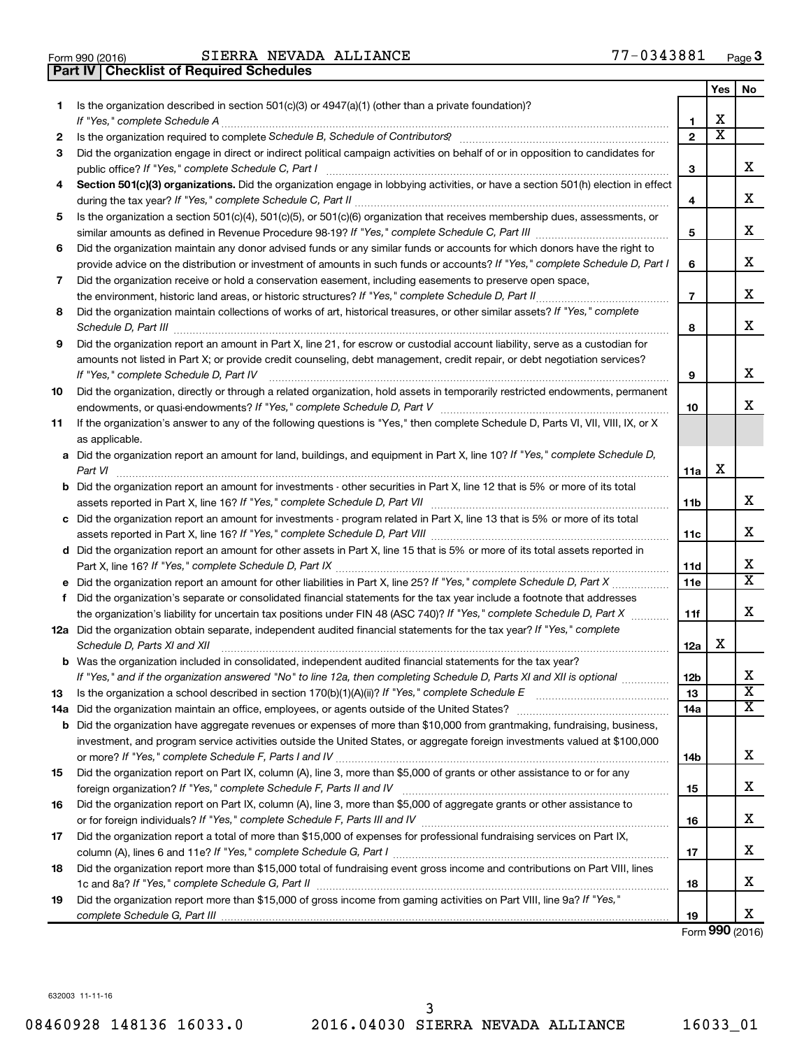| Form 990 (2016) |  |  |
|-----------------|--|--|
|                 |  |  |

|    | <b>Checklist of Required Schedules</b><br>Part IV                                                                                                                                                                                   |                |                       |                         |
|----|-------------------------------------------------------------------------------------------------------------------------------------------------------------------------------------------------------------------------------------|----------------|-----------------------|-------------------------|
|    |                                                                                                                                                                                                                                     |                | Yes                   | No                      |
| 1. | Is the organization described in section $501(c)(3)$ or $4947(a)(1)$ (other than a private foundation)?                                                                                                                             |                |                       |                         |
|    |                                                                                                                                                                                                                                     | 1              | X                     |                         |
| 2  | Is the organization required to complete Schedule B, Schedule of Contributors? [11] the organization required to complete Schedule B, Schedule of Contributors?                                                                     | $\mathbf{2}$   | $\overline{\text{x}}$ |                         |
| 3  | Did the organization engage in direct or indirect political campaign activities on behalf of or in opposition to candidates for                                                                                                     |                |                       |                         |
|    |                                                                                                                                                                                                                                     | 3              |                       | x                       |
| 4  | Section 501(c)(3) organizations. Did the organization engage in lobbying activities, or have a section 501(h) election in effect                                                                                                    |                |                       |                         |
|    |                                                                                                                                                                                                                                     | 4              |                       | х                       |
| 5  | Is the organization a section 501(c)(4), 501(c)(5), or 501(c)(6) organization that receives membership dues, assessments, or                                                                                                        |                |                       |                         |
|    |                                                                                                                                                                                                                                     | 5              |                       | х                       |
| 6  | Did the organization maintain any donor advised funds or any similar funds or accounts for which donors have the right to                                                                                                           |                |                       |                         |
|    | provide advice on the distribution or investment of amounts in such funds or accounts? If "Yes," complete Schedule D, Part I                                                                                                        | 6              |                       | x                       |
| 7  | Did the organization receive or hold a conservation easement, including easements to preserve open space,                                                                                                                           |                |                       |                         |
|    |                                                                                                                                                                                                                                     | $\overline{7}$ |                       | x                       |
| 8  | Did the organization maintain collections of works of art, historical treasures, or other similar assets? If "Yes," complete                                                                                                        |                |                       |                         |
|    | Schedule D, Part III <b>Marting Communities</b> and the contract of the contract of the contract of the contract of the contract of the contract of the contract of the contract of the contract of the contract of the contract of | 8              |                       | X                       |
| 9  | Did the organization report an amount in Part X, line 21, for escrow or custodial account liability, serve as a custodian for                                                                                                       |                |                       |                         |
|    | amounts not listed in Part X; or provide credit counseling, debt management, credit repair, or debt negotiation services?                                                                                                           |                |                       |                         |
|    |                                                                                                                                                                                                                                     | 9              |                       | х                       |
| 10 | Did the organization, directly or through a related organization, hold assets in temporarily restricted endowments, permanent                                                                                                       |                |                       |                         |
|    |                                                                                                                                                                                                                                     | 10             |                       | х                       |
| 11 | If the organization's answer to any of the following questions is "Yes," then complete Schedule D, Parts VI, VII, VIII, IX, or X                                                                                                    |                |                       |                         |
|    | as applicable.                                                                                                                                                                                                                      |                |                       |                         |
|    | a Did the organization report an amount for land, buildings, and equipment in Part X, line 10? If "Yes," complete Schedule D,                                                                                                       |                |                       |                         |
|    |                                                                                                                                                                                                                                     | 11a            | X                     |                         |
|    | <b>b</b> Did the organization report an amount for investments - other securities in Part X, line 12 that is 5% or more of its total                                                                                                |                |                       |                         |
|    |                                                                                                                                                                                                                                     | 11b            |                       | x                       |
|    | c Did the organization report an amount for investments - program related in Part X, line 13 that is 5% or more of its total                                                                                                        |                |                       |                         |
|    |                                                                                                                                                                                                                                     | 11c            |                       | х                       |
|    | d Did the organization report an amount for other assets in Part X, line 15 that is 5% or more of its total assets reported in                                                                                                      |                |                       |                         |
|    |                                                                                                                                                                                                                                     | 11d            |                       | х                       |
|    |                                                                                                                                                                                                                                     | 11e            |                       | $\overline{\texttt{x}}$ |
| f  | Did the organization's separate or consolidated financial statements for the tax year include a footnote that addresses                                                                                                             |                |                       |                         |
|    | the organization's liability for uncertain tax positions under FIN 48 (ASC 740)? If "Yes," complete Schedule D, Part X                                                                                                              | 11f            |                       | х                       |
|    | 12a Did the organization obtain separate, independent audited financial statements for the tax year? If "Yes," complete                                                                                                             |                |                       |                         |
|    | Schedule D, Parts XI and XII                                                                                                                                                                                                        | 12a            | х                     |                         |
|    | <b>b</b> Was the organization included in consolidated, independent audited financial statements for the tax year?                                                                                                                  |                |                       |                         |
|    | If "Yes," and if the organization answered "No" to line 12a, then completing Schedule D, Parts XI and XII is optional <i>manum</i>                                                                                                  | 12b            |                       | х                       |
| 13 |                                                                                                                                                                                                                                     | 13             |                       | $\overline{\mathbf{X}}$ |
|    |                                                                                                                                                                                                                                     | 14a            |                       | X                       |
|    | <b>b</b> Did the organization have aggregate revenues or expenses of more than \$10,000 from grantmaking, fundraising, business,                                                                                                    |                |                       |                         |
|    | investment, and program service activities outside the United States, or aggregate foreign investments valued at \$100,000                                                                                                          |                |                       |                         |
|    |                                                                                                                                                                                                                                     | 14b            |                       | х                       |
| 15 | Did the organization report on Part IX, column (A), line 3, more than \$5,000 of grants or other assistance to or for any                                                                                                           |                |                       |                         |
|    |                                                                                                                                                                                                                                     | 15             |                       | х                       |
| 16 | Did the organization report on Part IX, column (A), line 3, more than \$5,000 of aggregate grants or other assistance to                                                                                                            |                |                       |                         |
|    |                                                                                                                                                                                                                                     | 16             |                       | х                       |
| 17 | Did the organization report a total of more than \$15,000 of expenses for professional fundraising services on Part IX,                                                                                                             |                |                       | х                       |
|    |                                                                                                                                                                                                                                     | 17             |                       |                         |
| 18 | Did the organization report more than \$15,000 total of fundraising event gross income and contributions on Part VIII, lines                                                                                                        |                |                       | х                       |
|    | Did the organization report more than \$15,000 of gross income from gaming activities on Part VIII, line 9a? If "Yes,"                                                                                                              | 18             |                       |                         |
| 19 |                                                                                                                                                                                                                                     | 19             |                       | х                       |
|    |                                                                                                                                                                                                                                     |                |                       |                         |

Form (2016) **990**

632003 11-11-16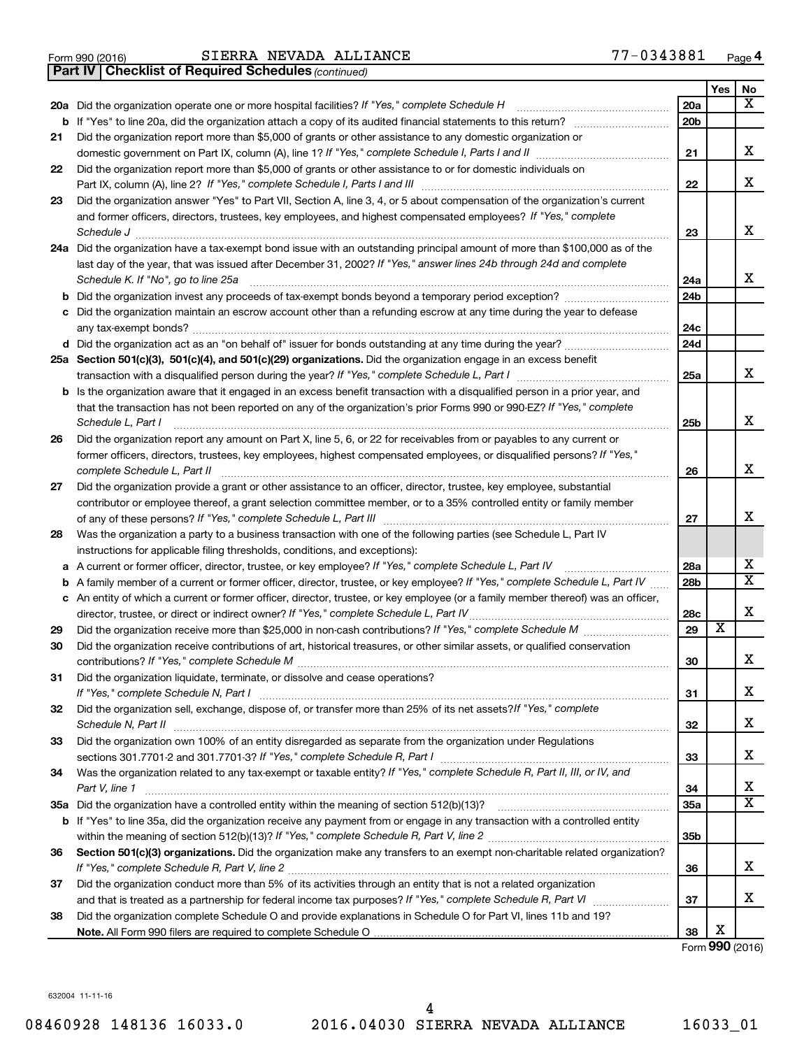|  | Form 990 (2016) |  |
|--|-----------------|--|

Form 990 (2016) Page SIERRA NEVADA ALLIANCE 77-0343881

*(continued)* **Part IV Checklist of Required Schedules**

|        |                                                                                                                                                                                        |                 | Yes                     | No                      |
|--------|----------------------------------------------------------------------------------------------------------------------------------------------------------------------------------------|-----------------|-------------------------|-------------------------|
|        | 20a Did the organization operate one or more hospital facilities? If "Yes," complete Schedule H                                                                                        | 20a             |                         | X                       |
|        | <b>b</b> If "Yes" to line 20a, did the organization attach a copy of its audited financial statements to this return?                                                                  | 20 <sub>b</sub> |                         |                         |
| 21     | Did the organization report more than \$5,000 of grants or other assistance to any domestic organization or                                                                            |                 |                         |                         |
|        |                                                                                                                                                                                        | 21              |                         | х                       |
| 22     | Did the organization report more than \$5,000 of grants or other assistance to or for domestic individuals on                                                                          |                 |                         |                         |
|        |                                                                                                                                                                                        | 22              |                         | x                       |
| 23     | Did the organization answer "Yes" to Part VII, Section A, line 3, 4, or 5 about compensation of the organization's current                                                             |                 |                         |                         |
|        | and former officers, directors, trustees, key employees, and highest compensated employees? If "Yes," complete                                                                         |                 |                         |                         |
|        |                                                                                                                                                                                        | 23              |                         | X                       |
|        | 24a Did the organization have a tax-exempt bond issue with an outstanding principal amount of more than \$100,000 as of the                                                            |                 |                         |                         |
|        | last day of the year, that was issued after December 31, 2002? If "Yes," answer lines 24b through 24d and complete                                                                     |                 |                         |                         |
|        | Schedule K. If "No", go to line 25a                                                                                                                                                    | 24a             |                         | x                       |
|        |                                                                                                                                                                                        | 24 <sub>b</sub> |                         |                         |
|        | c Did the organization maintain an escrow account other than a refunding escrow at any time during the year to defease                                                                 |                 |                         |                         |
|        |                                                                                                                                                                                        | 24c             |                         |                         |
|        | d Did the organization act as an "on behalf of" issuer for bonds outstanding at any time during the year?                                                                              | 24d             |                         |                         |
|        | 25a Section 501(c)(3), 501(c)(4), and 501(c)(29) organizations. Did the organization engage in an excess benefit                                                                       |                 |                         |                         |
|        | transaction with a disqualified person during the year? If "Yes," complete Schedule L, Part I manumour                                                                                 | 25a             |                         | x                       |
|        | <b>b</b> Is the organization aware that it engaged in an excess benefit transaction with a disqualified person in a prior year, and                                                    |                 |                         |                         |
|        | that the transaction has not been reported on any of the organization's prior Forms 990 or 990-EZ? If "Yes," complete                                                                  |                 |                         |                         |
|        | Schedule L, Part I                                                                                                                                                                     | 25 <sub>b</sub> |                         | x                       |
| 26     | Did the organization report any amount on Part X, line 5, 6, or 22 for receivables from or payables to any current or                                                                  |                 |                         |                         |
|        | former officers, directors, trustees, key employees, highest compensated employees, or disqualified persons? If "Yes,"                                                                 |                 |                         | X                       |
|        | complete Schedule L, Part II                                                                                                                                                           | 26              |                         |                         |
| 27     | Did the organization provide a grant or other assistance to an officer, director, trustee, key employee, substantial                                                                   |                 |                         |                         |
|        | contributor or employee thereof, a grant selection committee member, or to a 35% controlled entity or family member                                                                    |                 |                         | x                       |
|        |                                                                                                                                                                                        | 27              |                         |                         |
| 28     | Was the organization a party to a business transaction with one of the following parties (see Schedule L, Part IV                                                                      |                 |                         |                         |
|        | instructions for applicable filing thresholds, conditions, and exceptions):<br>A current or former officer, director, trustee, or key employee? If "Yes," complete Schedule L, Part IV | 28a             |                         | х                       |
| а<br>b | A family member of a current or former officer, director, trustee, or key employee? If "Yes," complete Schedule L, Part IV                                                             | 28 <sub>b</sub> |                         | $\overline{\mathbf{X}}$ |
|        | c An entity of which a current or former officer, director, trustee, or key employee (or a family member thereof) was an officer,                                                      |                 |                         |                         |
|        | director, trustee, or direct or indirect owner? If "Yes," complete Schedule L, Part IV                                                                                                 | 28c             |                         | х                       |
| 29     |                                                                                                                                                                                        | 29              | $\overline{\textbf{x}}$ |                         |
| 30     | Did the organization receive contributions of art, historical treasures, or other similar assets, or qualified conservation                                                            |                 |                         |                         |
|        |                                                                                                                                                                                        | 30              |                         | х                       |
| 31     | Did the organization liquidate, terminate, or dissolve and cease operations?                                                                                                           |                 |                         |                         |
|        | If "Yes," complete Schedule N, Part I                                                                                                                                                  | 31              |                         | х                       |
| 32     | Did the organization sell, exchange, dispose of, or transfer more than 25% of its net assets? If "Yes," complete                                                                       |                 |                         |                         |
|        | Schedule N, Part II                                                                                                                                                                    | 32              |                         | х                       |
| 33     | Did the organization own 100% of an entity disregarded as separate from the organization under Regulations                                                                             |                 |                         |                         |
|        |                                                                                                                                                                                        | 33              |                         | х                       |
| 34     | Was the organization related to any tax-exempt or taxable entity? If "Yes," complete Schedule R, Part II, III, or IV, and                                                              |                 |                         |                         |
|        | Part V, line 1                                                                                                                                                                         | 34              |                         | x                       |
|        |                                                                                                                                                                                        | 35a             |                         | $\overline{\mathbf{X}}$ |
|        | b If "Yes" to line 35a, did the organization receive any payment from or engage in any transaction with a controlled entity                                                            |                 |                         |                         |
|        |                                                                                                                                                                                        | 35 <sub>b</sub> |                         |                         |
| 36     | Section 501(c)(3) organizations. Did the organization make any transfers to an exempt non-charitable related organization?                                                             |                 |                         |                         |
|        |                                                                                                                                                                                        | 36              |                         | x                       |
| 37     | Did the organization conduct more than 5% of its activities through an entity that is not a related organization                                                                       |                 |                         |                         |
|        |                                                                                                                                                                                        | 37              |                         | х                       |
| 38     | Did the organization complete Schedule O and provide explanations in Schedule O for Part VI, lines 11b and 19?                                                                         |                 |                         |                         |
|        |                                                                                                                                                                                        | 38              | Х                       |                         |

Form (2016) **990**

632004 11-11-16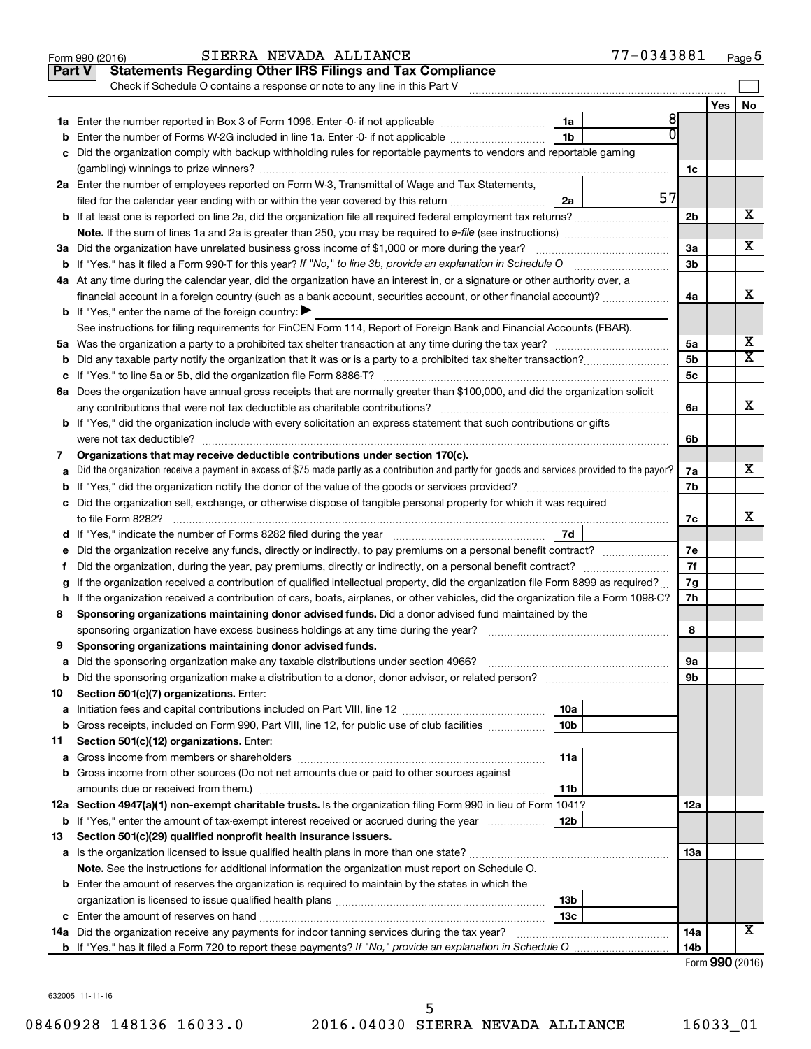|    | 77-0343881<br>SIERRA NEVADA ALLIANCE<br>Form 990 (2016)                                                                                           |                |                 | Page 5                  |
|----|---------------------------------------------------------------------------------------------------------------------------------------------------|----------------|-----------------|-------------------------|
|    | <b>Statements Regarding Other IRS Filings and Tax Compliance</b><br><b>Part V</b>                                                                 |                |                 |                         |
|    | Check if Schedule O contains a response or note to any line in this Part V                                                                        |                |                 |                         |
|    |                                                                                                                                                   |                | Yes             | No                      |
|    | 8<br>1a                                                                                                                                           |                |                 |                         |
|    | 1 <sub>b</sub><br><b>b</b> Enter the number of Forms W-2G included in line 1a. Enter -0- if not applicable                                        |                |                 |                         |
|    | c Did the organization comply with backup withholding rules for reportable payments to vendors and reportable gaming                              |                |                 |                         |
|    |                                                                                                                                                   | 1c             |                 |                         |
|    | 2a Enter the number of employees reported on Form W-3, Transmittal of Wage and Tax Statements,                                                    |                |                 |                         |
|    | 57<br>filed for the calendar year ending with or within the year covered by this return<br>2a                                                     |                |                 |                         |
|    |                                                                                                                                                   | 2 <sub>b</sub> |                 | х                       |
|    | <b>Note.</b> If the sum of lines 1a and 2a is greater than 250, you may be required to e-file (see instructions)                                  |                |                 |                         |
|    | 3a Did the organization have unrelated business gross income of \$1,000 or more during the year?                                                  | 3a             |                 | х                       |
|    |                                                                                                                                                   | 3 <sub>b</sub> |                 |                         |
|    | 4a At any time during the calendar year, did the organization have an interest in, or a signature or other authority over, a                      |                |                 |                         |
|    | financial account in a foreign country (such as a bank account, securities account, or other financial account)?                                  | 4a             |                 | х                       |
|    | <b>b</b> If "Yes," enter the name of the foreign country: $\blacktriangleright$                                                                   |                |                 |                         |
|    | See instructions for filing requirements for FinCEN Form 114, Report of Foreign Bank and Financial Accounts (FBAR).                               |                |                 |                         |
|    |                                                                                                                                                   | 5a             |                 | х                       |
|    |                                                                                                                                                   | 5 <sub>b</sub> |                 | $\overline{\textbf{X}}$ |
|    |                                                                                                                                                   | 5 <sub>c</sub> |                 |                         |
|    | 6a Does the organization have annual gross receipts that are normally greater than \$100,000, and did the organization solicit                    |                |                 |                         |
|    | any contributions that were not tax deductible as charitable contributions?                                                                       | 6a             |                 | х                       |
|    | <b>b</b> If "Yes," did the organization include with every solicitation an express statement that such contributions or gifts                     |                |                 |                         |
|    | were not tax deductible?                                                                                                                          | 6b             |                 |                         |
| 7  | Organizations that may receive deductible contributions under section 170(c).                                                                     |                |                 |                         |
|    | a Did the organization receive a payment in excess of \$75 made partly as a contribution and partly for goods and services provided to the payor? | 7a             |                 | х                       |
|    |                                                                                                                                                   | 7b             |                 |                         |
|    | c Did the organization sell, exchange, or otherwise dispose of tangible personal property for which it was required                               |                |                 |                         |
|    | to file Form 8282?                                                                                                                                | 7c             |                 | x                       |
|    | 7d                                                                                                                                                |                |                 |                         |
|    | e Did the organization receive any funds, directly or indirectly, to pay premiums on a personal benefit contract?                                 | 7e             |                 |                         |
| f  | Did the organization, during the year, pay premiums, directly or indirectly, on a personal benefit contract?                                      | 7f             |                 |                         |
|    | g If the organization received a contribution of qualified intellectual property, did the organization file Form 8899 as required?                | 7g             |                 |                         |
|    | h If the organization received a contribution of cars, boats, airplanes, or other vehicles, did the organization file a Form 1098-C?              | 7h             |                 |                         |
| 8  | Sponsoring organizations maintaining donor advised funds. Did a donor advised fund maintained by the                                              |                |                 |                         |
|    | sponsoring organization have excess business holdings at any time during the year?                                                                | 8              |                 |                         |
| 9  | Sponsoring organizations maintaining donor advised funds.                                                                                         |                |                 |                         |
| а  | Did the sponsoring organization make any taxable distributions under section 4966?                                                                | 9а             |                 |                         |
| b  |                                                                                                                                                   | 9b             |                 |                         |
| 10 | Section 501(c)(7) organizations. Enter:                                                                                                           |                |                 |                         |
| а  | 10a                                                                                                                                               |                |                 |                         |
| b  | Gross receipts, included on Form 990, Part VIII, line 12, for public use of club facilities<br>10 <sub>b</sub>                                    |                |                 |                         |
| 11 | Section 501(c)(12) organizations. Enter:                                                                                                          |                |                 |                         |
| а  | 11a                                                                                                                                               |                |                 |                         |
|    | <b>b</b> Gross income from other sources (Do not net amounts due or paid to other sources against                                                 |                |                 |                         |
|    | amounts due or received from them.)<br>11b                                                                                                        |                |                 |                         |
|    | 12a Section 4947(a)(1) non-exempt charitable trusts. Is the organization filing Form 990 in lieu of Form 1041?                                    | 12a            |                 |                         |
|    | <b>b</b> If "Yes," enter the amount of tax-exempt interest received or accrued during the year<br>12b                                             |                |                 |                         |
| 13 | Section 501(c)(29) qualified nonprofit health insurance issuers.                                                                                  |                |                 |                         |
|    | a Is the organization licensed to issue qualified health plans in more than one state?                                                            | 13a            |                 |                         |
|    | <b>Note.</b> See the instructions for additional information the organization must report on Schedule O.                                          |                |                 |                         |
|    | <b>b</b> Enter the amount of reserves the organization is required to maintain by the states in which the                                         |                |                 |                         |
|    | 13b                                                                                                                                               |                |                 |                         |
|    | 13c                                                                                                                                               |                |                 |                         |
|    | <b>14a</b> Did the organization receive any payments for indoor tanning services during the tax year?                                             | 14a            |                 | х                       |
|    |                                                                                                                                                   | 14b            |                 |                         |
|    |                                                                                                                                                   |                | Form 990 (2016) |                         |

632005 11-11-16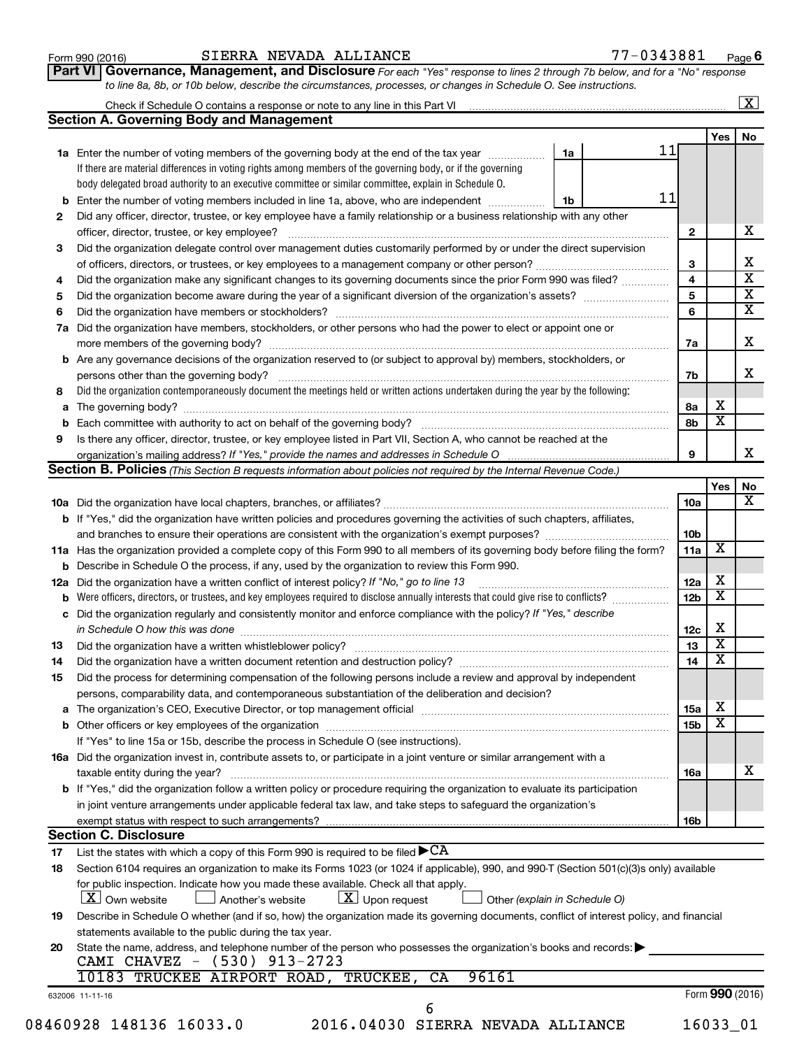| Form 990 (2016) |  |
|-----------------|--|
|-----------------|--|

#### Form 990 (2016) Page SIERRA NEVADA ALLIANCE 77-0343881

**Part VI** Governance, Management, and Disclosure For each "Yes" response to lines 2 through 7b below, and for a "No" response *to line 8a, 8b, or 10b below, describe the circumstances, processes, or changes in Schedule O. See instructions.*

|     | Check if Schedule O contains a response or note to any line in this Part VI [11] [12] [12] Check if Schedule O contains a response or note to any line in this Part VI |                               |                         |                         | $\overline{\mathbf{X}}$ |
|-----|------------------------------------------------------------------------------------------------------------------------------------------------------------------------|-------------------------------|-------------------------|-------------------------|-------------------------|
|     | <b>Section A. Governing Body and Management</b>                                                                                                                        |                               |                         |                         |                         |
|     |                                                                                                                                                                        |                               |                         | Yes                     | No                      |
|     | 1a Enter the number of voting members of the governing body at the end of the tax year                                                                                 | 1a                            | 11                      |                         |                         |
|     | If there are material differences in voting rights among members of the governing body, or if the governing                                                            |                               |                         |                         |                         |
|     | body delegated broad authority to an executive committee or similar committee, explain in Schedule O.                                                                  |                               |                         |                         |                         |
|     | <b>b</b> Enter the number of voting members included in line 1a, above, who are independent <i>manameron</i>                                                           | 1b                            | 11                      |                         |                         |
| 2   | Did any officer, director, trustee, or key employee have a family relationship or a business relationship with any other                                               |                               |                         |                         |                         |
|     | officer, director, trustee, or key employee?                                                                                                                           |                               | $\mathbf{2}$            |                         |                         |
| 3   | Did the organization delegate control over management duties customarily performed by or under the direct supervision                                                  |                               |                         |                         |                         |
|     |                                                                                                                                                                        |                               | 3                       |                         |                         |
| 4   | Did the organization make any significant changes to its governing documents since the prior Form 990 was filed?                                                       |                               | 4                       |                         |                         |
| 5   |                                                                                                                                                                        |                               | $\overline{\mathbf{5}}$ |                         |                         |
| 6   |                                                                                                                                                                        |                               | 6                       |                         |                         |
| 7a  | Did the organization have members, stockholders, or other persons who had the power to elect or appoint one or                                                         |                               |                         |                         |                         |
|     |                                                                                                                                                                        |                               | 7a                      |                         |                         |
|     | <b>b</b> Are any governance decisions of the organization reserved to (or subject to approval by) members, stockholders, or                                            |                               |                         |                         |                         |
|     | persons other than the governing body?                                                                                                                                 |                               | 7b                      |                         |                         |
| 8   | Did the organization contemporaneously document the meetings held or written actions undertaken during the year by the following:                                      |                               |                         |                         |                         |
|     |                                                                                                                                                                        |                               | 8a                      | x                       |                         |
| b   |                                                                                                                                                                        |                               | 8b                      | $\overline{\mathbf{x}}$ |                         |
| 9   | Is there any officer, director, trustee, or key employee listed in Part VII, Section A, who cannot be reached at the                                                   |                               |                         |                         |                         |
|     |                                                                                                                                                                        |                               | 9                       |                         |                         |
|     | Section B. Policies (This Section B requests information about policies not required by the Internal Revenue Code.)                                                    |                               |                         |                         |                         |
|     |                                                                                                                                                                        |                               |                         | Yes                     |                         |
|     |                                                                                                                                                                        |                               | 10a                     |                         |                         |
|     | <b>b</b> If "Yes," did the organization have written policies and procedures governing the activities of such chapters, affiliates,                                    |                               |                         |                         |                         |
|     |                                                                                                                                                                        |                               | 10 <sub>b</sub>         |                         |                         |
|     | 11a Has the organization provided a complete copy of this Form 990 to all members of its governing body before filing the form?                                        |                               | 11a                     | X                       |                         |
|     | <b>b</b> Describe in Schedule O the process, if any, used by the organization to review this Form 990.                                                                 |                               |                         |                         |                         |
| 12a | Did the organization have a written conflict of interest policy? If "No," go to line 13                                                                                |                               | 12a                     | x                       |                         |
| b   | Were officers, directors, or trustees, and key employees required to disclose annually interests that could give rise to conflicts?                                    |                               | 12 <sub>b</sub>         | $\overline{\textbf{x}}$ |                         |
|     | c Did the organization regularly and consistently monitor and enforce compliance with the policy? If "Yes," describe                                                   |                               |                         |                         |                         |
|     | in Schedule O how this was done manufactured and continuum and contact the way to the set of the set of the schedule O how this was done                               |                               | 12c                     | х                       |                         |
| 13  |                                                                                                                                                                        |                               | 13                      | $\overline{\textbf{x}}$ |                         |
| 14  | Did the organization have a written document retention and destruction policy? [11] manufaction manufaction in                                                         |                               | 14                      | $\overline{\textbf{x}}$ |                         |
|     | Did the process for determining compensation of the following persons include a review and approval by independent                                                     |                               |                         |                         |                         |
| 15  |                                                                                                                                                                        |                               |                         |                         |                         |
|     | persons, comparability data, and contemporaneous substantiation of the deliberation and decision?                                                                      |                               |                         | x                       |                         |
|     |                                                                                                                                                                        |                               | <b>15a</b>              | $\overline{\textbf{x}}$ |                         |
|     |                                                                                                                                                                        |                               | 15b                     |                         |                         |
|     | If "Yes" to line 15a or 15b, describe the process in Schedule O (see instructions).                                                                                    |                               |                         |                         |                         |
|     | 16a Did the organization invest in, contribute assets to, or participate in a joint venture or similar arrangement with a                                              |                               |                         |                         |                         |
|     | taxable entity during the year?                                                                                                                                        |                               | 16a                     |                         |                         |
|     | <b>b</b> If "Yes," did the organization follow a written policy or procedure requiring the organization to evaluate its participation                                  |                               |                         |                         |                         |
|     | in joint venture arrangements under applicable federal tax law, and take steps to safeguard the organization's                                                         |                               |                         |                         |                         |
|     | exempt status with respect to such arrangements?                                                                                                                       |                               | 16b                     |                         |                         |
|     | <b>Section C. Disclosure</b>                                                                                                                                           |                               |                         |                         |                         |
| 17  | List the states with which a copy of this Form 990 is required to be filed $\blacktriangleright$ CA                                                                    |                               |                         |                         |                         |
| 18  | Section 6104 requires an organization to make its Forms 1023 (or 1024 if applicable), 990, and 990-T (Section 501(c)(3)s only) available                               |                               |                         |                         |                         |
|     | for public inspection. Indicate how you made these available. Check all that apply.<br>$X$ Own website<br>$\lfloor x \rfloor$ Upon request<br>Another's website        | Other (explain in Schedule O) |                         |                         |                         |
| 19  | Describe in Schedule O whether (and if so, how) the organization made its governing documents, conflict of interest policy, and financial                              |                               |                         |                         |                         |
|     |                                                                                                                                                                        |                               |                         |                         |                         |
|     | statements available to the public during the tax year.                                                                                                                |                               |                         |                         |                         |
| 20  | State the name, address, and telephone number of the person who possesses the organization's books and records:<br>CAMI CHAVEZ - (530) 913-2723                        |                               |                         |                         |                         |
|     | 96161<br>10183 TRUCKEE AIRPORT ROAD, TRUCKEE,<br>CA                                                                                                                    |                               |                         |                         |                         |
|     |                                                                                                                                                                        |                               |                         | Form 990 (2016)         |                         |
|     | 632006 11-11-16<br>6                                                                                                                                                   |                               |                         |                         |                         |
|     | 08460928 148136 16033.0<br>2016.04030 SIERRA NEVADA ALLIANCE                                                                                                           |                               |                         | 16033_01                |                         |
|     |                                                                                                                                                                        |                               |                         |                         |                         |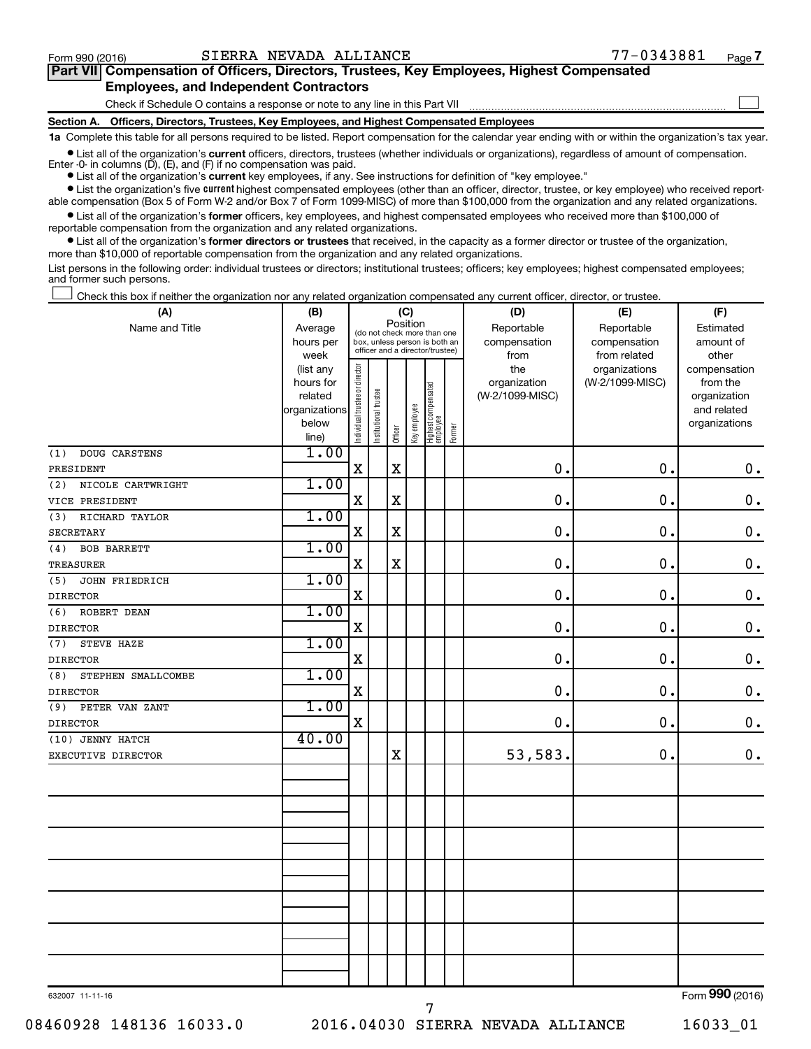$\Box$ 

| Part VII Compensation of Officers, Directors, Trustees, Key Employees, Highest Compensated |  |  |  |  |
|--------------------------------------------------------------------------------------------|--|--|--|--|
| <b>Employees, and Independent Contractors</b>                                              |  |  |  |  |

Check if Schedule O contains a response or note to any line in this Part VII

**Section A. Officers, Directors, Trustees, Key Employees, and Highest Compensated Employees**

**1a**  Complete this table for all persons required to be listed. Report compensation for the calendar year ending with or within the organization's tax year.

**•** List all of the organization's current officers, directors, trustees (whether individuals or organizations), regardless of amount of compensation. Enter -0- in columns  $(D)$ ,  $(E)$ , and  $(F)$  if no compensation was paid.

**•** List all of the organization's **current** key employees, if any. See instructions for definition of "key employee."

**•** List the organization's five current highest compensated employees (other than an officer, director, trustee, or key employee) who received reportable compensation (Box 5 of Form W-2 and/or Box 7 of Form 1099-MISC) of more than \$100,000 from the organization and any related organizations.

**•** List all of the organization's former officers, key employees, and highest compensated employees who received more than \$100,000 of reportable compensation from the organization and any related organizations.

**•** List all of the organization's former directors or trustees that received, in the capacity as a former director or trustee of the organization, more than \$10,000 of reportable compensation from the organization and any related organizations.

List persons in the following order: individual trustees or directors; institutional trustees; officers; key employees; highest compensated employees; and former such persons.

Check this box if neither the organization nor any related organization compensated any current officer, director, or trustee.  $\overline{a}$ 

| (A)                         | (B)                  |                                |                                                                  |             | (C)         |                                 |        | (D)                             | (E)             | (F)                      |
|-----------------------------|----------------------|--------------------------------|------------------------------------------------------------------|-------------|-------------|---------------------------------|--------|---------------------------------|-----------------|--------------------------|
| Name and Title              | Average              |                                | (do not check more than one                                      | Position    |             |                                 |        | Reportable                      | Reportable      | Estimated                |
|                             | hours per            |                                | box, unless person is both an<br>officer and a director/trustee) |             |             |                                 |        | compensation                    | compensation    | amount of                |
|                             | week                 |                                |                                                                  |             |             |                                 |        | from                            | from related    | other                    |
|                             | (list any            |                                |                                                                  |             |             |                                 |        | the                             | organizations   | compensation             |
|                             | hours for<br>related |                                |                                                                  |             |             |                                 |        | organization<br>(W-2/1099-MISC) | (W-2/1099-MISC) | from the<br>organization |
|                             | organizations        |                                |                                                                  |             |             |                                 |        |                                 |                 | and related              |
|                             | below                |                                |                                                                  |             |             |                                 |        |                                 |                 | organizations            |
|                             | line)                | Individual trustee or director | Institutional trustee                                            | Officer     | Keyemployee | Highest compensated<br>employee | Former |                                 |                 |                          |
| <b>DOUG CARSTENS</b><br>(1) | 1.00                 |                                |                                                                  |             |             |                                 |        |                                 |                 |                          |
| PRESIDENT                   |                      | $\mathbf X$                    |                                                                  | $\mathbf x$ |             |                                 |        | $\mathbf 0$ .                   | 0.              | $\mathbf 0$ .            |
| (2)<br>NICOLE CARTWRIGHT    | 1.00                 |                                |                                                                  |             |             |                                 |        |                                 |                 |                          |
| VICE PRESIDENT              |                      | $\rm X$                        |                                                                  | $\mathbf X$ |             |                                 |        | $\mathbf 0$ .                   | 0.              | $\mathbf 0$ .            |
| RICHARD TAYLOR<br>(3)       | 1.00                 |                                |                                                                  |             |             |                                 |        |                                 |                 |                          |
| <b>SECRETARY</b>            |                      | X                              |                                                                  | $\mathbf X$ |             |                                 |        | $\mathbf 0$ .                   | 0.              | $\mathbf 0$ .            |
| <b>BOB BARRETT</b><br>(4)   | 1.00                 |                                |                                                                  |             |             |                                 |        |                                 |                 |                          |
| <b>TREASURER</b>            |                      | $\mathbf X$                    |                                                                  | $\mathbf X$ |             |                                 |        | $\mathbf 0$ .                   | 0.              | $\mathbf 0$ .            |
| (5)<br>JOHN FRIEDRICH       | 1.00                 |                                |                                                                  |             |             |                                 |        |                                 |                 |                          |
| <b>DIRECTOR</b>             |                      | $\mathbf X$                    |                                                                  |             |             |                                 |        | $\mathbf 0$ .                   | 0.              | $\mathbf 0$ .            |
| ROBERT DEAN<br>(6)          | 1.00                 |                                |                                                                  |             |             |                                 |        |                                 |                 |                          |
| <b>DIRECTOR</b>             |                      | $\mathbf X$                    |                                                                  |             |             |                                 |        | $\mathbf 0$ .                   | $\mathbf 0$ .   | $\mathbf 0$ .            |
| STEVE HAZE<br>(7)           | 1.00                 |                                |                                                                  |             |             |                                 |        |                                 |                 |                          |
| <b>DIRECTOR</b>             |                      | X                              |                                                                  |             |             |                                 |        | $\mathbf 0$                     | $\mathbf 0$ .   | $\mathbf 0$ .            |
| STEPHEN SMALLCOMBE<br>(8)   | 1.00                 |                                |                                                                  |             |             |                                 |        |                                 |                 |                          |
| <b>DIRECTOR</b>             |                      | $\mathbf X$                    |                                                                  |             |             |                                 |        | $\mathbf 0$ .                   | $\mathbf 0$ .   | $\mathbf 0$ .            |
| PETER VAN ZANT<br>(9)       | 1.00                 |                                |                                                                  |             |             |                                 |        |                                 |                 |                          |
| <b>DIRECTOR</b>             |                      | $\mathbf X$                    |                                                                  |             |             |                                 |        | 0.                              | $\mathbf 0$ .   | $\mathbf 0$ .            |
| (10) JENNY HATCH            | 40.00                |                                |                                                                  |             |             |                                 |        |                                 |                 |                          |
| EXECUTIVE DIRECTOR          |                      |                                |                                                                  | X           |             |                                 |        | 53,583.                         | 0.              | $\mathbf 0$ .            |
|                             |                      |                                |                                                                  |             |             |                                 |        |                                 |                 |                          |
|                             |                      |                                |                                                                  |             |             |                                 |        |                                 |                 |                          |
|                             |                      |                                |                                                                  |             |             |                                 |        |                                 |                 |                          |
|                             |                      |                                |                                                                  |             |             |                                 |        |                                 |                 |                          |
|                             |                      |                                |                                                                  |             |             |                                 |        |                                 |                 |                          |
|                             |                      |                                |                                                                  |             |             |                                 |        |                                 |                 |                          |
|                             |                      |                                |                                                                  |             |             |                                 |        |                                 |                 |                          |
|                             |                      |                                |                                                                  |             |             |                                 |        |                                 |                 |                          |
|                             |                      |                                |                                                                  |             |             |                                 |        |                                 |                 |                          |
|                             |                      |                                |                                                                  |             |             |                                 |        |                                 |                 |                          |
|                             |                      |                                |                                                                  |             |             |                                 |        |                                 |                 |                          |
|                             |                      |                                |                                                                  |             |             |                                 |        |                                 |                 |                          |
|                             |                      |                                |                                                                  |             |             |                                 |        |                                 |                 |                          |

632007 11-11-16

7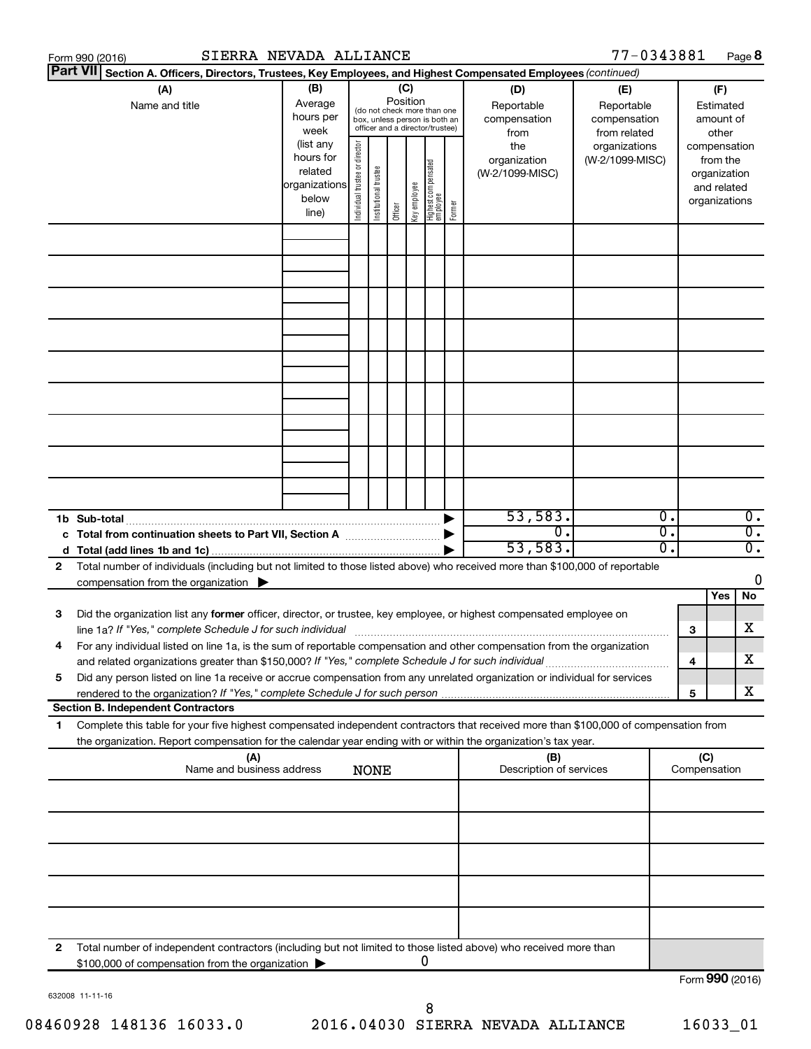|                 | Form 990 (2016)                                                                                                                                                                                                                 | SIERRA NEVADA ALLIANCE                                               |                                |                       |          |              |                                                                                                 |        |                                           | 77-0343881                                        |          |                               |                                         | Page 8                               |
|-----------------|---------------------------------------------------------------------------------------------------------------------------------------------------------------------------------------------------------------------------------|----------------------------------------------------------------------|--------------------------------|-----------------------|----------|--------------|-------------------------------------------------------------------------------------------------|--------|-------------------------------------------|---------------------------------------------------|----------|-------------------------------|-----------------------------------------|--------------------------------------|
| <b>Part VII</b> | Section A. Officers, Directors, Trustees, Key Employees, and Highest Compensated Employees (continued)                                                                                                                          |                                                                      |                                |                       |          |              |                                                                                                 |        |                                           |                                                   |          |                               |                                         |                                      |
|                 | (A)<br>Name and title                                                                                                                                                                                                           | (B)<br>Average<br>hours per<br>week                                  |                                |                       | Position | (C)          | (do not check more than one<br>box, unless person is both an<br>officer and a director/trustee) |        | (D)<br>Reportable<br>compensation<br>from | (E)<br>Reportable<br>compensation<br>from related |          |                               | (F)<br>Estimated<br>amount of<br>other  |                                      |
|                 |                                                                                                                                                                                                                                 | (list any<br>hours for<br>related<br>organizations<br>below<br>line) | Individual trustee or director | Institutional trustee | Officer  | Key employee | Highest compensated<br>  employee                                                               | Former | the<br>organization<br>(W-2/1099-MISC)    | organizations<br>(W-2/1099-MISC)                  |          | compensation<br>organizations | from the<br>organization<br>and related |                                      |
|                 |                                                                                                                                                                                                                                 |                                                                      |                                |                       |          |              |                                                                                                 |        |                                           |                                                   |          |                               |                                         |                                      |
|                 |                                                                                                                                                                                                                                 |                                                                      |                                |                       |          |              |                                                                                                 |        |                                           |                                                   |          |                               |                                         |                                      |
|                 |                                                                                                                                                                                                                                 |                                                                      |                                |                       |          |              |                                                                                                 |        |                                           |                                                   |          |                               |                                         |                                      |
|                 |                                                                                                                                                                                                                                 |                                                                      |                                |                       |          |              |                                                                                                 |        |                                           |                                                   |          |                               |                                         |                                      |
|                 | 1b Sub-total                                                                                                                                                                                                                    |                                                                      |                                |                       |          |              |                                                                                                 |        | 53,583.                                   |                                                   | 0.       |                               |                                         | $\overline{0}$ .                     |
| 2               | c Total from continuation sheets to Part VII, Section A manufactured by<br>Total number of individuals (including but not limited to those listed above) who received more than \$100,000 of reportable                         |                                                                      |                                |                       |          |              |                                                                                                 |        | $\overline{0}$ .<br>53,583.               |                                                   | σ.<br>о. |                               |                                         | $\overline{0}$ .<br>$\overline{0}$ . |
|                 | compensation from the organization $\blacktriangleright$                                                                                                                                                                        |                                                                      |                                |                       |          |              |                                                                                                 |        |                                           |                                                   |          |                               | Yes                                     | 0<br>No                              |
| 3               | Did the organization list any former officer, director, or trustee, key employee, or highest compensated employee on                                                                                                            |                                                                      |                                |                       |          |              |                                                                                                 |        |                                           |                                                   |          | 3                             |                                         | х                                    |
|                 | For any individual listed on line 1a, is the sum of reportable compensation and other compensation from the organization<br>and related organizations greater than \$150,000? If "Yes," complete Schedule J for such individual |                                                                      |                                |                       |          |              |                                                                                                 |        |                                           |                                                   |          | 4                             |                                         | х                                    |
| 5               | Did any person listed on line 1a receive or accrue compensation from any unrelated organization or individual for services<br><b>Section B. Independent Contractors</b>                                                         |                                                                      |                                |                       |          |              |                                                                                                 |        |                                           |                                                   |          | 5                             |                                         | х                                    |
| 1.              | Complete this table for your five highest compensated independent contractors that received more than \$100,000 of compensation from                                                                                            |                                                                      |                                |                       |          |              |                                                                                                 |        |                                           |                                                   |          |                               |                                         |                                      |
|                 | the organization. Report compensation for the calendar year ending with or within the organization's tax year.                                                                                                                  |                                                                      |                                |                       |          |              |                                                                                                 |        |                                           |                                                   |          |                               |                                         |                                      |
|                 | (A)<br>Name and business address                                                                                                                                                                                                |                                                                      |                                | <b>NONE</b>           |          |              |                                                                                                 |        | (B)<br>Description of services            |                                                   |          | (C)<br>Compensation           |                                         |                                      |
|                 |                                                                                                                                                                                                                                 |                                                                      |                                |                       |          |              |                                                                                                 |        |                                           |                                                   |          |                               |                                         |                                      |
|                 |                                                                                                                                                                                                                                 |                                                                      |                                |                       |          |              |                                                                                                 |        |                                           |                                                   |          |                               |                                         |                                      |
|                 |                                                                                                                                                                                                                                 |                                                                      |                                |                       |          |              |                                                                                                 |        |                                           |                                                   |          |                               |                                         |                                      |
| 2               | Total number of independent contractors (including but not limited to those listed above) who received more than                                                                                                                |                                                                      |                                |                       |          |              |                                                                                                 |        |                                           |                                                   |          |                               |                                         |                                      |
|                 | \$100,000 of compensation from the organization                                                                                                                                                                                 |                                                                      |                                |                       |          |              | 0                                                                                               |        |                                           |                                                   |          | Form 990 (2016)               |                                         |                                      |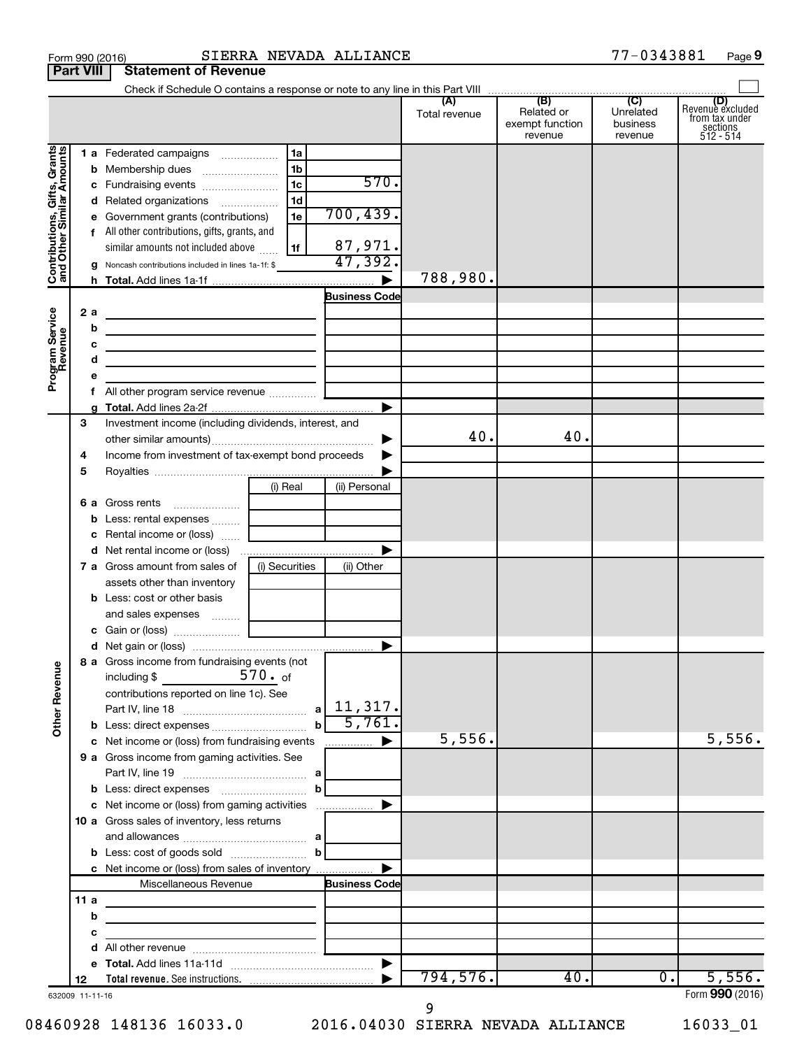|                                                           | <b>Part VIII</b>        | <b>Statement of Revenue</b>                                                                                                                                                                              |                                                          |                              |                      |                                                 |                                         |                                                                    |
|-----------------------------------------------------------|-------------------------|----------------------------------------------------------------------------------------------------------------------------------------------------------------------------------------------------------|----------------------------------------------------------|------------------------------|----------------------|-------------------------------------------------|-----------------------------------------|--------------------------------------------------------------------|
|                                                           |                         |                                                                                                                                                                                                          |                                                          |                              |                      |                                                 |                                         |                                                                    |
|                                                           |                         |                                                                                                                                                                                                          |                                                          |                              | (A)<br>Total revenue | (B)<br>Related or<br>exempt function<br>revenue | (C)<br>Unrelated<br>business<br>revenue | (D)<br>Revenue excluded<br>from tax under<br>sections<br>512 - 514 |
| Contributions, Gifts, Grants<br>and Other Similar Amounts |                         | 1 a Federated campaigns<br>c Fundraising events<br>d Related organizations<br>e Government grants (contributions)<br>f All other contributions, gifts, grants, and<br>similar amounts not included above | 1a<br>1 <sub>b</sub><br>1 <sub>c</sub><br>1d<br>1e<br>1f | 570.<br>700, 439.<br>87,971. |                      |                                                 |                                         |                                                                    |
|                                                           |                         | <b>g</b> Noncash contributions included in lines 1a-1f: \$                                                                                                                                               |                                                          | 47,392.                      |                      |                                                 |                                         |                                                                    |
|                                                           |                         |                                                                                                                                                                                                          |                                                          |                              | 788,980.             |                                                 |                                         |                                                                    |
|                                                           |                         |                                                                                                                                                                                                          |                                                          | <b>Business Code</b>         |                      |                                                 |                                         |                                                                    |
| Program Service<br>Revenue                                | 2 a<br>b<br>c<br>d<br>е | <u> 1989 - Johann John Stein, markin fan it ferstjer fan de ferstjer fan it ferstjer fan it ferstjer fan it fers</u><br><u> 1989 - Johann Barn, mars et al. (b. 1989)</u>                                |                                                          |                              |                      |                                                 |                                         |                                                                    |
|                                                           | f.                      | All other program service revenue                                                                                                                                                                        |                                                          |                              |                      |                                                 |                                         |                                                                    |
|                                                           | g                       |                                                                                                                                                                                                          |                                                          |                              |                      |                                                 |                                         |                                                                    |
|                                                           | З<br>4<br>5             | Investment income (including dividends, interest, and<br>Income from investment of tax-exempt bond proceeds                                                                                              |                                                          | ▶                            | 40.                  | 40.                                             |                                         |                                                                    |
|                                                           |                         |                                                                                                                                                                                                          | (i) Real                                                 | (ii) Personal                |                      |                                                 |                                         |                                                                    |
|                                                           | b<br>с                  | <b>6 a</b> Gross rents<br>Less: rental expenses<br>Rental income or (loss)                                                                                                                               |                                                          |                              |                      |                                                 |                                         |                                                                    |
|                                                           |                         | <b>7 a</b> Gross amount from sales of                                                                                                                                                                    | (i) Securities                                           | (ii) Other                   |                      |                                                 |                                         |                                                                    |
|                                                           |                         | assets other than inventory<br><b>b</b> Less: cost or other basis                                                                                                                                        |                                                          |                              |                      |                                                 |                                         |                                                                    |
|                                                           |                         |                                                                                                                                                                                                          |                                                          | $\blacktriangleright$        |                      |                                                 |                                         |                                                                    |
| <b>Other Revenue</b>                                      |                         | 8 a Gross income from fundraising events (not<br>including \$<br>contributions reported on line 1c). See                                                                                                 | 570. of<br>$\mathbf{b}$                                  | 5,761.                       |                      |                                                 |                                         |                                                                    |
|                                                           |                         | c Net income or (loss) from fundraising events                                                                                                                                                           |                                                          | ▶<br>.                       | 5,556.               |                                                 |                                         | 5,556.                                                             |
|                                                           |                         | 9 a Gross income from gaming activities. See                                                                                                                                                             |                                                          |                              |                      |                                                 |                                         |                                                                    |
|                                                           |                         | c Net income or (loss) from gaming activities                                                                                                                                                            |                                                          |                              |                      |                                                 |                                         |                                                                    |
|                                                           |                         | 10 a Gross sales of inventory, less returns<br><b>b</b> Less: cost of goods sold $\ldots$ <b>b</b>                                                                                                       |                                                          |                              |                      |                                                 |                                         |                                                                    |
|                                                           |                         | c Net income or (loss) from sales of inventory<br>Miscellaneous Revenue                                                                                                                                  |                                                          | <b>Business Code</b>         |                      |                                                 |                                         |                                                                    |
|                                                           | 11a                     |                                                                                                                                                                                                          |                                                          |                              |                      |                                                 |                                         |                                                                    |
|                                                           | b                       |                                                                                                                                                                                                          |                                                          |                              |                      |                                                 |                                         |                                                                    |
|                                                           | с                       |                                                                                                                                                                                                          |                                                          |                              |                      |                                                 |                                         |                                                                    |
|                                                           | d                       |                                                                                                                                                                                                          |                                                          |                              |                      |                                                 |                                         |                                                                    |
|                                                           |                         |                                                                                                                                                                                                          |                                                          |                              |                      |                                                 |                                         |                                                                    |
|                                                           | 12                      |                                                                                                                                                                                                          |                                                          |                              | 794,576.             | 40.                                             | $\overline{0}$ .                        | 5,556.                                                             |
|                                                           | 632009 11-11-16         |                                                                                                                                                                                                          |                                                          |                              |                      |                                                 |                                         | Form 990 (2016)                                                    |

9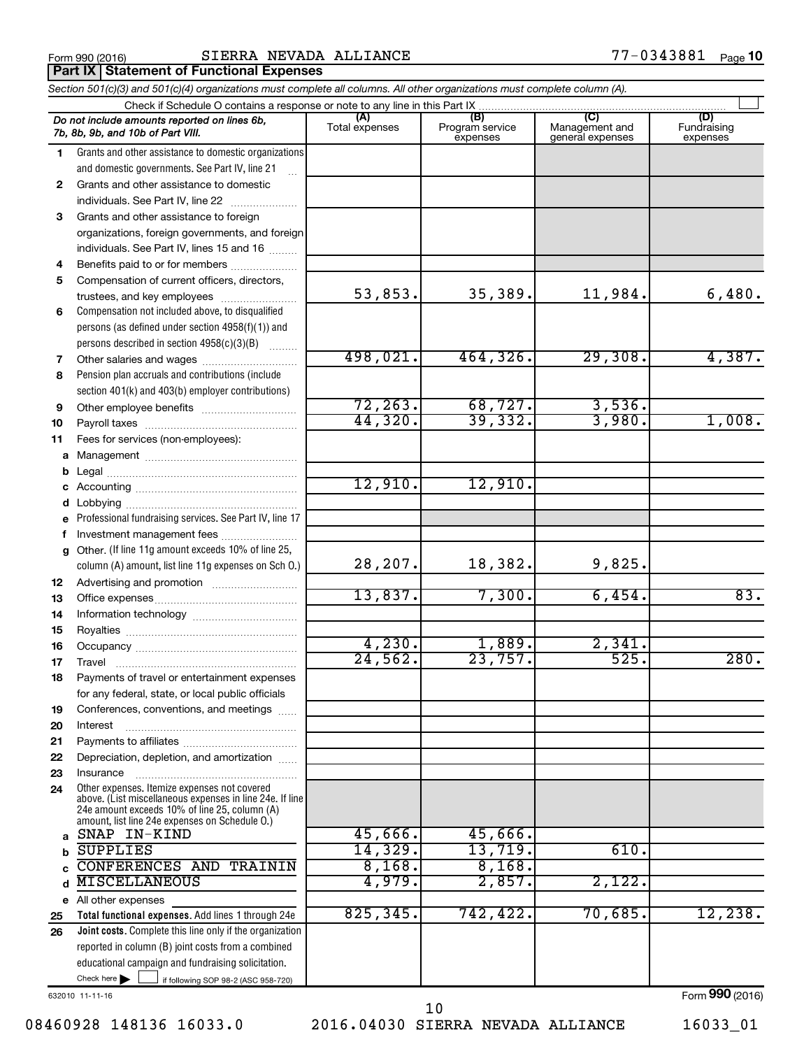**Part IX Statement of Functional Expenses**

|              | Section 501(c)(3) and 501(c)(4) organizations must complete all columns. All other organizations must complete column (A).                                                                                  |                       |                                    |                                           |                                |
|--------------|-------------------------------------------------------------------------------------------------------------------------------------------------------------------------------------------------------------|-----------------------|------------------------------------|-------------------------------------------|--------------------------------|
|              | Check if Schedule O contains a response or note to any line in this Part IX                                                                                                                                 |                       |                                    |                                           |                                |
|              | Do not include amounts reported on lines 6b,<br>7b, 8b, 9b, and 10b of Part VIII.                                                                                                                           | (A)<br>Total expenses | (B)<br>Program service<br>expenses | (C)<br>Management and<br>general expenses | (D)<br>Fundraising<br>expenses |
| 1.           | Grants and other assistance to domestic organizations                                                                                                                                                       |                       |                                    |                                           |                                |
|              | and domestic governments. See Part IV, line 21                                                                                                                                                              |                       |                                    |                                           |                                |
| $\mathbf{2}$ | Grants and other assistance to domestic                                                                                                                                                                     |                       |                                    |                                           |                                |
|              | individuals. See Part IV, line 22                                                                                                                                                                           |                       |                                    |                                           |                                |
| 3            | Grants and other assistance to foreign                                                                                                                                                                      |                       |                                    |                                           |                                |
|              | organizations, foreign governments, and foreign                                                                                                                                                             |                       |                                    |                                           |                                |
|              | individuals. See Part IV, lines 15 and 16                                                                                                                                                                   |                       |                                    |                                           |                                |
| 4            | Benefits paid to or for members                                                                                                                                                                             |                       |                                    |                                           |                                |
| 5            | Compensation of current officers, directors,                                                                                                                                                                |                       |                                    |                                           |                                |
|              | trustees, and key employees                                                                                                                                                                                 | 53,853.               | 35,389.                            | 11,984.                                   | 6,480.                         |
| 6            | Compensation not included above, to disqualified                                                                                                                                                            |                       |                                    |                                           |                                |
|              | persons (as defined under section 4958(f)(1)) and                                                                                                                                                           |                       |                                    |                                           |                                |
|              | persons described in section 4958(c)(3)(B)                                                                                                                                                                  |                       |                                    |                                           |                                |
| 7            |                                                                                                                                                                                                             | 498,021.              | 464,326.                           | 29,308.                                   | 4,387.                         |
| 8            | Pension plan accruals and contributions (include                                                                                                                                                            |                       |                                    |                                           |                                |
|              | section 401(k) and 403(b) employer contributions)                                                                                                                                                           |                       |                                    |                                           |                                |
| 9            | Other employee benefits                                                                                                                                                                                     | 72, 263.              | 68,727.                            | 3,536.                                    |                                |
| 10           |                                                                                                                                                                                                             | 44,320.               | 39,332.                            | 3,980.                                    | 1,008.                         |
| 11           | Fees for services (non-employees):                                                                                                                                                                          |                       |                                    |                                           |                                |
| a            |                                                                                                                                                                                                             |                       |                                    |                                           |                                |
| b            |                                                                                                                                                                                                             |                       |                                    |                                           |                                |
| с            |                                                                                                                                                                                                             | 12,910.               | 12,910.                            |                                           |                                |
| d            |                                                                                                                                                                                                             |                       |                                    |                                           |                                |
| е            | Professional fundraising services. See Part IV, line 17                                                                                                                                                     |                       |                                    |                                           |                                |
| f            | Investment management fees                                                                                                                                                                                  |                       |                                    |                                           |                                |
| g            | Other. (If line 11g amount exceeds 10% of line 25,                                                                                                                                                          |                       |                                    |                                           |                                |
|              | column (A) amount, list line 11g expenses on Sch O.)                                                                                                                                                        | 28,207.               | 18,382.                            | 9,825.                                    |                                |
| 12           |                                                                                                                                                                                                             |                       |                                    |                                           |                                |
| 13           |                                                                                                                                                                                                             | 13,837.               | 7,300.                             | 6,454.                                    | 83.                            |
| 14           |                                                                                                                                                                                                             |                       |                                    |                                           |                                |
| 15           |                                                                                                                                                                                                             |                       |                                    |                                           |                                |
| 16           |                                                                                                                                                                                                             | 4,230.                | 1,889.                             | 2,341.                                    |                                |
| 17           |                                                                                                                                                                                                             | 24,562.               | 23,757.                            | 525.                                      | 280.                           |
| 18           | Payments of travel or entertainment expenses                                                                                                                                                                |                       |                                    |                                           |                                |
|              | for any federal, state, or local public officials                                                                                                                                                           |                       |                                    |                                           |                                |
| 19           | Conferences, conventions, and meetings                                                                                                                                                                      |                       |                                    |                                           |                                |
| 20           | Interest                                                                                                                                                                                                    |                       |                                    |                                           |                                |
| 21           |                                                                                                                                                                                                             |                       |                                    |                                           |                                |
| 22           | Depreciation, depletion, and amortization                                                                                                                                                                   |                       |                                    |                                           |                                |
| 23           | Insurance                                                                                                                                                                                                   |                       |                                    |                                           |                                |
| 24           | Other expenses. Itemize expenses not covered<br>above. (List miscellaneous expenses in line 24e. If line<br>24e amount exceeds 10% of line 25, column (A)<br>amount, list line 24e expenses on Schedule O.) |                       |                                    |                                           |                                |
| a            | SNAP IN-KIND                                                                                                                                                                                                | 45,666.               | 45,666.                            |                                           |                                |
| b            | <b>SUPPLIES</b>                                                                                                                                                                                             | 14,329.               | 13,719.                            | 610.                                      |                                |
|              | CONFERENCES AND TRAININ                                                                                                                                                                                     | 8,168.                | 8,168.                             |                                           |                                |
| d            | <b>MISCELLANEOUS</b>                                                                                                                                                                                        | 4,979.                | 2,857.                             | 2,122.                                    |                                |
|              | e All other expenses                                                                                                                                                                                        |                       |                                    |                                           |                                |
| 25           | Total functional expenses. Add lines 1 through 24e                                                                                                                                                          | 825, 345.             | 742,422.                           | 70,685.                                   | 12,238.                        |
| 26           | Joint costs. Complete this line only if the organization                                                                                                                                                    |                       |                                    |                                           |                                |
|              | reported in column (B) joint costs from a combined                                                                                                                                                          |                       |                                    |                                           |                                |
|              | educational campaign and fundraising solicitation.                                                                                                                                                          |                       |                                    |                                           |                                |
|              | Check here $\blacktriangleright$<br>if following SOP 98-2 (ASC 958-720)                                                                                                                                     |                       |                                    |                                           |                                |

632010 11-11-16

08460928 148136 16033.0 2016.04030 SIERRA NEVADA ALLIANCE 16033\_01 10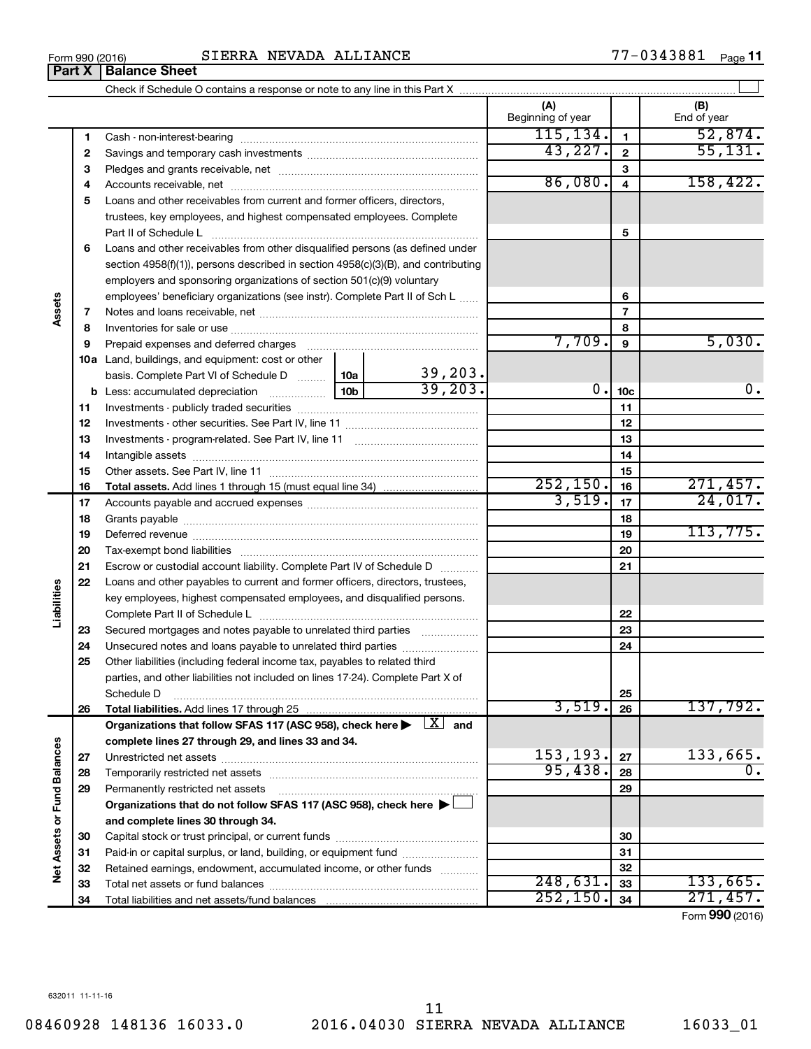**33 34**

**Net Assets or Fund Balances**

Net Assets or Fund Balances

| 18<br>19<br>20<br>21<br>Escrow or custodial account liability. Complete Part IV of Schedule D<br>Loans and other payables to current and former officers, directors, trustees,<br>key employees, highest compensated employees, and disqualified persons.<br>22<br>Secured mortgages and notes payable to unrelated third parties [1, 1, 1, 1, 1, 1, 1, 1, 1, 1, 1, 1, 1<br>23<br>Unsecured notes and loans payable to unrelated third parties <i></i><br>24<br>Other liabilities (including federal income tax, payables to related third<br>parties, and other liabilities not included on lines 17-24). Complete Part X of<br>25<br>Schedule D<br>3,519.<br>26<br>Organizations that follow SFAS 117 (ASC 958), check here $\blacktriangleright$ $\Box$ and<br>complete lines 27 through 29, and lines 33 and 34.<br>153,193.<br>27<br>95,438.<br>28 |  |
|---------------------------------------------------------------------------------------------------------------------------------------------------------------------------------------------------------------------------------------------------------------------------------------------------------------------------------------------------------------------------------------------------------------------------------------------------------------------------------------------------------------------------------------------------------------------------------------------------------------------------------------------------------------------------------------------------------------------------------------------------------------------------------------------------------------------------------------------------------|--|
|                                                                                                                                                                                                                                                                                                                                                                                                                                                                                                                                                                                                                                                                                                                                                                                                                                                         |  |
|                                                                                                                                                                                                                                                                                                                                                                                                                                                                                                                                                                                                                                                                                                                                                                                                                                                         |  |
|                                                                                                                                                                                                                                                                                                                                                                                                                                                                                                                                                                                                                                                                                                                                                                                                                                                         |  |
|                                                                                                                                                                                                                                                                                                                                                                                                                                                                                                                                                                                                                                                                                                                                                                                                                                                         |  |
|                                                                                                                                                                                                                                                                                                                                                                                                                                                                                                                                                                                                                                                                                                                                                                                                                                                         |  |
|                                                                                                                                                                                                                                                                                                                                                                                                                                                                                                                                                                                                                                                                                                                                                                                                                                                         |  |
|                                                                                                                                                                                                                                                                                                                                                                                                                                                                                                                                                                                                                                                                                                                                                                                                                                                         |  |
|                                                                                                                                                                                                                                                                                                                                                                                                                                                                                                                                                                                                                                                                                                                                                                                                                                                         |  |
|                                                                                                                                                                                                                                                                                                                                                                                                                                                                                                                                                                                                                                                                                                                                                                                                                                                         |  |
|                                                                                                                                                                                                                                                                                                                                                                                                                                                                                                                                                                                                                                                                                                                                                                                                                                                         |  |
|                                                                                                                                                                                                                                                                                                                                                                                                                                                                                                                                                                                                                                                                                                                                                                                                                                                         |  |
|                                                                                                                                                                                                                                                                                                                                                                                                                                                                                                                                                                                                                                                                                                                                                                                                                                                         |  |
|                                                                                                                                                                                                                                                                                                                                                                                                                                                                                                                                                                                                                                                                                                                                                                                                                                                         |  |
|                                                                                                                                                                                                                                                                                                                                                                                                                                                                                                                                                                                                                                                                                                                                                                                                                                                         |  |
|                                                                                                                                                                                                                                                                                                                                                                                                                                                                                                                                                                                                                                                                                                                                                                                                                                                         |  |
|                                                                                                                                                                                                                                                                                                                                                                                                                                                                                                                                                                                                                                                                                                                                                                                                                                                         |  |
|                                                                                                                                                                                                                                                                                                                                                                                                                                                                                                                                                                                                                                                                                                                                                                                                                                                         |  |
| Permanently restricted net assets [1111] [1201] Permanently restricted net assets [111] [1201] [1201] [1201] [<br>29                                                                                                                                                                                                                                                                                                                                                                                                                                                                                                                                                                                                                                                                                                                                    |  |
| Organizations that do not follow SFAS 117 (ASC 958), check here $\blacktriangleright\!\!\!\!\perp$                                                                                                                                                                                                                                                                                                                                                                                                                                                                                                                                                                                                                                                                                                                                                      |  |
| and complete lines 30 through 34.                                                                                                                                                                                                                                                                                                                                                                                                                                                                                                                                                                                                                                                                                                                                                                                                                       |  |
| 30                                                                                                                                                                                                                                                                                                                                                                                                                                                                                                                                                                                                                                                                                                                                                                                                                                                      |  |
| Paid-in or capital surplus, or land, building, or equipment fund <i></i><br>31                                                                                                                                                                                                                                                                                                                                                                                                                                                                                                                                                                                                                                                                                                                                                                          |  |
| Retained earnings, endowment, accumulated income, or other funds<br>32                                                                                                                                                                                                                                                                                                                                                                                                                                                                                                                                                                                                                                                                                                                                                                                  |  |
| 248,631.<br>33                                                                                                                                                                                                                                                                                                                                                                                                                                                                                                                                                                                                                                                                                                                                                                                                                                          |  |
| $\overline{252}$ , 150.<br>34                                                                                                                                                                                                                                                                                                                                                                                                                                                                                                                                                                                                                                                                                                                                                                                                                           |  |
|                                                                                                                                                                                                                                                                                                                                                                                                                                                                                                                                                                                                                                                                                                                                                                                                                                                         |  |
|                                                                                                                                                                                                                                                                                                                                                                                                                                                                                                                                                                                                                                                                                                                                                                                                                                                         |  |

### Form 990 (2016)  $SIERRA NEWADA ALLIANCE$   $77-0343881$   $Page$

Check if Schedule O contains a response or note to any line in this Part X

 $\perp$ 

**(A) (B)**

Beginning of year  $\parallel$  | End of year



# **Part X Balance Sheet**

**Assets**

**Liabilities**

Form (2016) **990**

133,665. 271,457.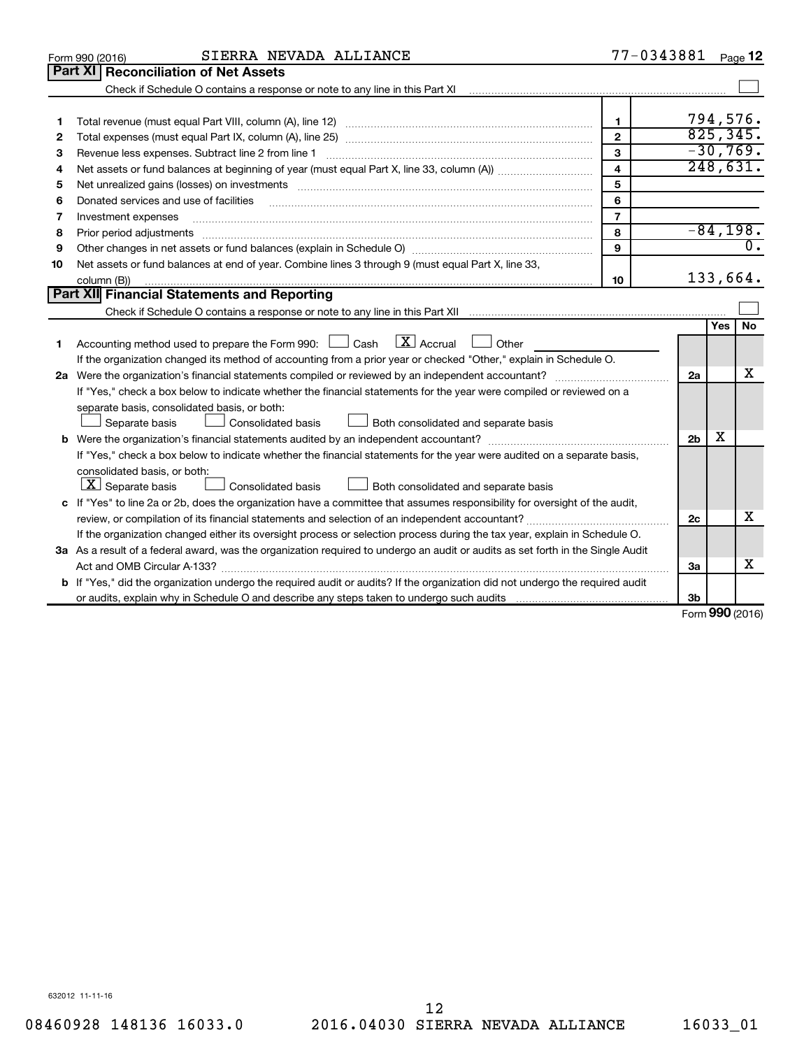|    | SIERRA NEVADA ALLIANCE<br>Form 990 (2016)                                                                                                                                                                                      | 77-0343881              |                |        | Page 12                     |
|----|--------------------------------------------------------------------------------------------------------------------------------------------------------------------------------------------------------------------------------|-------------------------|----------------|--------|-----------------------------|
|    | Part XI<br><b>Reconciliation of Net Assets</b>                                                                                                                                                                                 |                         |                |        |                             |
|    |                                                                                                                                                                                                                                |                         |                |        |                             |
|    |                                                                                                                                                                                                                                |                         |                |        |                             |
| 1  |                                                                                                                                                                                                                                | $\mathbf{1}$            |                |        | 794,576.                    |
| 2  |                                                                                                                                                                                                                                | $\mathbf{2}$            |                |        | 825, 345.                   |
| 3  | Revenue less expenses. Subtract line 2 from line 1                                                                                                                                                                             | 3                       |                |        | $-30,769.$                  |
| 4  |                                                                                                                                                                                                                                | $\overline{\mathbf{4}}$ |                |        | 248,631.                    |
| 5  | Net unrealized gains (losses) on investments [11] matter contracts and the state of the state of the state of the state of the state of the state of the state of the state of the state of the state of the state of the stat | 5                       |                |        |                             |
| 6  | Donated services and use of facilities                                                                                                                                                                                         | 6                       |                |        |                             |
| 7  | Investment expenses                                                                                                                                                                                                            | $\overline{7}$          |                |        |                             |
| 8  | Prior period adjustments                                                                                                                                                                                                       | 8                       |                |        | $-84,198.$                  |
| 9  |                                                                                                                                                                                                                                | 9                       |                |        | $\overline{\mathfrak{o}}$ . |
| 10 | Net assets or fund balances at end of year. Combine lines 3 through 9 (must equal Part X, line 33,                                                                                                                             |                         |                |        |                             |
|    | column (B))                                                                                                                                                                                                                    | 10                      |                |        | 133,664.                    |
|    | Part XII Financial Statements and Reporting                                                                                                                                                                                    |                         |                |        |                             |
|    |                                                                                                                                                                                                                                |                         |                |        |                             |
|    |                                                                                                                                                                                                                                |                         |                | Yes    | No                          |
| 1  | $\mathbf{X}$ Accrual<br>Accounting method used to prepare the Form 990: [130] Cash<br>$\Box$ Other                                                                                                                             |                         |                |        |                             |
|    | If the organization changed its method of accounting from a prior year or checked "Other," explain in Schedule O.                                                                                                              |                         |                |        |                             |
|    |                                                                                                                                                                                                                                |                         | 2a             |        | x                           |
|    | If "Yes," check a box below to indicate whether the financial statements for the year were compiled or reviewed on a                                                                                                           |                         |                |        |                             |
|    | separate basis, consolidated basis, or both:                                                                                                                                                                                   |                         |                |        |                             |
|    | Both consolidated and separate basis<br>Separate basis<br><b>Consolidated basis</b>                                                                                                                                            |                         |                |        |                             |
|    |                                                                                                                                                                                                                                |                         | 2 <sub>b</sub> | x      |                             |
|    | If "Yes," check a box below to indicate whether the financial statements for the year were audited on a separate basis,                                                                                                        |                         |                |        |                             |
|    | consolidated basis, or both:                                                                                                                                                                                                   |                         |                |        |                             |
|    | $ \mathbf{X} $ Separate basis<br><b>Consolidated basis</b><br>Both consolidated and separate basis                                                                                                                             |                         |                |        |                             |
|    | c If "Yes" to line 2a or 2b, does the organization have a committee that assumes responsibility for oversight of the audit,                                                                                                    |                         |                |        |                             |
|    | review, or compilation of its financial statements and selection of an independent accountant?                                                                                                                                 |                         | 2c             |        | х                           |
|    | If the organization changed either its oversight process or selection process during the tax year, explain in Schedule O.                                                                                                      |                         |                |        |                             |
|    | 3a As a result of a federal award, was the organization required to undergo an audit or audits as set forth in the Single Audit                                                                                                |                         |                |        |                             |
|    | Act and OMB Circular A-133?                                                                                                                                                                                                    |                         | За             |        | x                           |
|    | b If "Yes," did the organization undergo the required audit or audits? If the organization did not undergo the required audit                                                                                                  |                         |                |        |                             |
|    |                                                                                                                                                                                                                                |                         | Зb             | $\sim$ |                             |

Form (2016) **990**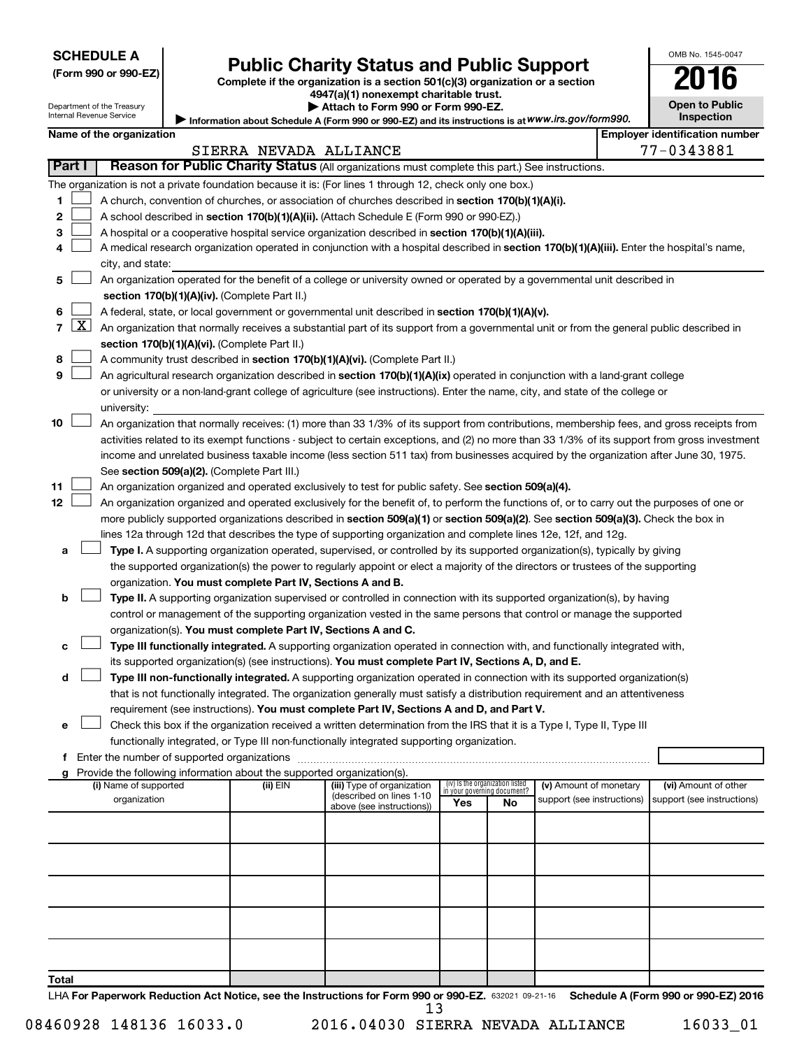| <b>SCHEDULE A</b> |  |
|-------------------|--|
|-------------------|--|

| (Form 990 or 990-EZ |  |  |  |  |
|---------------------|--|--|--|--|
|---------------------|--|--|--|--|

# Form 990 or 990-EZ) **Public Charity Status and Public Support**<br>
Complete if the organization is a section 501(c)(3) organization or a section<br> **2016**

**4947(a)(1) nonexempt charitable trust.**  $\blacktriangleright$  Attach to F

| ▶ Attach to Form 990 or Form 990-EZ.                                                              |
|---------------------------------------------------------------------------------------------------|
| Information about Schedule A (Form 990 or 990-EZ) and its instructions is at WWW.irs.gov/form990. |

|  |  | <b>Open to Public</b><br>Inspection |  |
|--|--|-------------------------------------|--|
|  |  |                                     |  |

OMB No. 1545-0047

Internal Revenue Service

Department of the Treasury

|       |        | Name of the organization                                                                                                                                                                                                                                                                   |                        |                                                        |                             |                                 |                            | <b>Employer identification number</b> |
|-------|--------|--------------------------------------------------------------------------------------------------------------------------------------------------------------------------------------------------------------------------------------------------------------------------------------------|------------------------|--------------------------------------------------------|-----------------------------|---------------------------------|----------------------------|---------------------------------------|
|       | Part I |                                                                                                                                                                                                                                                                                            | SIERRA NEVADA ALLIANCE |                                                        |                             |                                 |                            | 77-0343881                            |
|       |        | Reason for Public Charity Status (All organizations must complete this part.) See instructions.                                                                                                                                                                                            |                        |                                                        |                             |                                 |                            |                                       |
|       |        | The organization is not a private foundation because it is: (For lines 1 through 12, check only one box.)                                                                                                                                                                                  |                        |                                                        |                             |                                 |                            |                                       |
| 1.    |        | A church, convention of churches, or association of churches described in section 170(b)(1)(A)(i).                                                                                                                                                                                         |                        |                                                        |                             |                                 |                            |                                       |
| 2     |        | A school described in section 170(b)(1)(A)(ii). (Attach Schedule E (Form 990 or 990-EZ).)                                                                                                                                                                                                  |                        |                                                        |                             |                                 |                            |                                       |
| 3.    |        | A hospital or a cooperative hospital service organization described in section 170(b)(1)(A)(iii).                                                                                                                                                                                          |                        |                                                        |                             |                                 |                            |                                       |
| 4     |        | A medical research organization operated in conjunction with a hospital described in section 170(b)(1)(A)(iii). Enter the hospital's name,                                                                                                                                                 |                        |                                                        |                             |                                 |                            |                                       |
|       |        | city, and state:                                                                                                                                                                                                                                                                           |                        |                                                        |                             |                                 |                            |                                       |
| 5.    |        | An organization operated for the benefit of a college or university owned or operated by a governmental unit described in                                                                                                                                                                  |                        |                                                        |                             |                                 |                            |                                       |
|       |        | section 170(b)(1)(A)(iv). (Complete Part II.)                                                                                                                                                                                                                                              |                        |                                                        |                             |                                 |                            |                                       |
| 6.    |        | A federal, state, or local government or governmental unit described in section 170(b)(1)(A)(v).                                                                                                                                                                                           |                        |                                                        |                             |                                 |                            |                                       |
|       |        | 7 $ X $ An organization that normally receives a substantial part of its support from a governmental unit or from the general public described in                                                                                                                                          |                        |                                                        |                             |                                 |                            |                                       |
|       |        | section 170(b)(1)(A)(vi). (Complete Part II.)                                                                                                                                                                                                                                              |                        |                                                        |                             |                                 |                            |                                       |
| 8     |        | A community trust described in section 170(b)(1)(A)(vi). (Complete Part II.)                                                                                                                                                                                                               |                        |                                                        |                             |                                 |                            |                                       |
| 9     |        | An agricultural research organization described in section 170(b)(1)(A)(ix) operated in conjunction with a land-grant college                                                                                                                                                              |                        |                                                        |                             |                                 |                            |                                       |
|       |        | or university or a non-land-grant college of agriculture (see instructions). Enter the name, city, and state of the college or                                                                                                                                                             |                        |                                                        |                             |                                 |                            |                                       |
| 10    |        | university:                                                                                                                                                                                                                                                                                |                        |                                                        |                             |                                 |                            |                                       |
|       |        | An organization that normally receives: (1) more than 33 1/3% of its support from contributions, membership fees, and gross receipts from<br>activities related to its exempt functions - subject to certain exceptions, and (2) no more than 33 1/3% of its support from gross investment |                        |                                                        |                             |                                 |                            |                                       |
|       |        | income and unrelated business taxable income (less section 511 tax) from businesses acquired by the organization after June 30, 1975.                                                                                                                                                      |                        |                                                        |                             |                                 |                            |                                       |
|       |        | See section 509(a)(2). (Complete Part III.)                                                                                                                                                                                                                                                |                        |                                                        |                             |                                 |                            |                                       |
| 11    |        | An organization organized and operated exclusively to test for public safety. See section 509(a)(4).                                                                                                                                                                                       |                        |                                                        |                             |                                 |                            |                                       |
| 12    |        | An organization organized and operated exclusively for the benefit of, to perform the functions of, or to carry out the purposes of one or                                                                                                                                                 |                        |                                                        |                             |                                 |                            |                                       |
|       |        | more publicly supported organizations described in section 509(a)(1) or section 509(a)(2). See section 509(a)(3). Check the box in                                                                                                                                                         |                        |                                                        |                             |                                 |                            |                                       |
|       |        | lines 12a through 12d that describes the type of supporting organization and complete lines 12e, 12f, and 12g.                                                                                                                                                                             |                        |                                                        |                             |                                 |                            |                                       |
| а     |        | Type I. A supporting organization operated, supervised, or controlled by its supported organization(s), typically by giving                                                                                                                                                                |                        |                                                        |                             |                                 |                            |                                       |
|       |        | the supported organization(s) the power to regularly appoint or elect a majority of the directors or trustees of the supporting                                                                                                                                                            |                        |                                                        |                             |                                 |                            |                                       |
|       |        | organization. You must complete Part IV, Sections A and B.                                                                                                                                                                                                                                 |                        |                                                        |                             |                                 |                            |                                       |
| b     |        | Type II. A supporting organization supervised or controlled in connection with its supported organization(s), by having                                                                                                                                                                    |                        |                                                        |                             |                                 |                            |                                       |
|       |        | control or management of the supporting organization vested in the same persons that control or manage the supported                                                                                                                                                                       |                        |                                                        |                             |                                 |                            |                                       |
|       |        | organization(s). You must complete Part IV, Sections A and C.                                                                                                                                                                                                                              |                        |                                                        |                             |                                 |                            |                                       |
| с     |        | Type III functionally integrated. A supporting organization operated in connection with, and functionally integrated with,                                                                                                                                                                 |                        |                                                        |                             |                                 |                            |                                       |
|       |        | its supported organization(s) (see instructions). You must complete Part IV, Sections A, D, and E.                                                                                                                                                                                         |                        |                                                        |                             |                                 |                            |                                       |
| d     |        | Type III non-functionally integrated. A supporting organization operated in connection with its supported organization(s)                                                                                                                                                                  |                        |                                                        |                             |                                 |                            |                                       |
|       |        | that is not functionally integrated. The organization generally must satisfy a distribution requirement and an attentiveness                                                                                                                                                               |                        |                                                        |                             |                                 |                            |                                       |
|       |        | requirement (see instructions). You must complete Part IV, Sections A and D, and Part V.                                                                                                                                                                                                   |                        |                                                        |                             |                                 |                            |                                       |
|       |        | Check this box if the organization received a written determination from the IRS that it is a Type I, Type II, Type III                                                                                                                                                                    |                        |                                                        |                             |                                 |                            |                                       |
|       |        | functionally integrated, or Type III non-functionally integrated supporting organization.                                                                                                                                                                                                  |                        |                                                        |                             |                                 |                            |                                       |
|       |        | f Enter the number of supported organizations                                                                                                                                                                                                                                              |                        |                                                        |                             |                                 |                            |                                       |
|       |        | g Provide the following information about the supported organization(s).                                                                                                                                                                                                                   |                        |                                                        |                             |                                 |                            |                                       |
|       |        | (i) Name of supported                                                                                                                                                                                                                                                                      | (ii) EIN               | (iii) Type of organization<br>(described on lines 1-10 | in your governing document? | (iv) Is the organization listed | (v) Amount of monetary     | (vi) Amount of other                  |
|       |        | organization                                                                                                                                                                                                                                                                               |                        | above (see instructions))                              | Yes                         | No                              | support (see instructions) | support (see instructions)            |
|       |        |                                                                                                                                                                                                                                                                                            |                        |                                                        |                             |                                 |                            |                                       |
|       |        |                                                                                                                                                                                                                                                                                            |                        |                                                        |                             |                                 |                            |                                       |
|       |        |                                                                                                                                                                                                                                                                                            |                        |                                                        |                             |                                 |                            |                                       |
|       |        |                                                                                                                                                                                                                                                                                            |                        |                                                        |                             |                                 |                            |                                       |
|       |        |                                                                                                                                                                                                                                                                                            |                        |                                                        |                             |                                 |                            |                                       |
|       |        |                                                                                                                                                                                                                                                                                            |                        |                                                        |                             |                                 |                            |                                       |
|       |        |                                                                                                                                                                                                                                                                                            |                        |                                                        |                             |                                 |                            |                                       |
|       |        |                                                                                                                                                                                                                                                                                            |                        |                                                        |                             |                                 |                            |                                       |
|       |        |                                                                                                                                                                                                                                                                                            |                        |                                                        |                             |                                 |                            |                                       |
| Total |        |                                                                                                                                                                                                                                                                                            |                        |                                                        |                             |                                 |                            |                                       |
|       |        | LHA For Paperwork Reduction Act Notice, see the Instructions for Form 990 or 990-EZ. 632021 09-21-16 Schedule A (Form 990 or 990-EZ) 2016                                                                                                                                                  |                        |                                                        |                             |                                 |                            |                                       |

08460928 148136 16033.0 2016.04030 SIERRA NEVADA ALLIANCE 16033\_01

13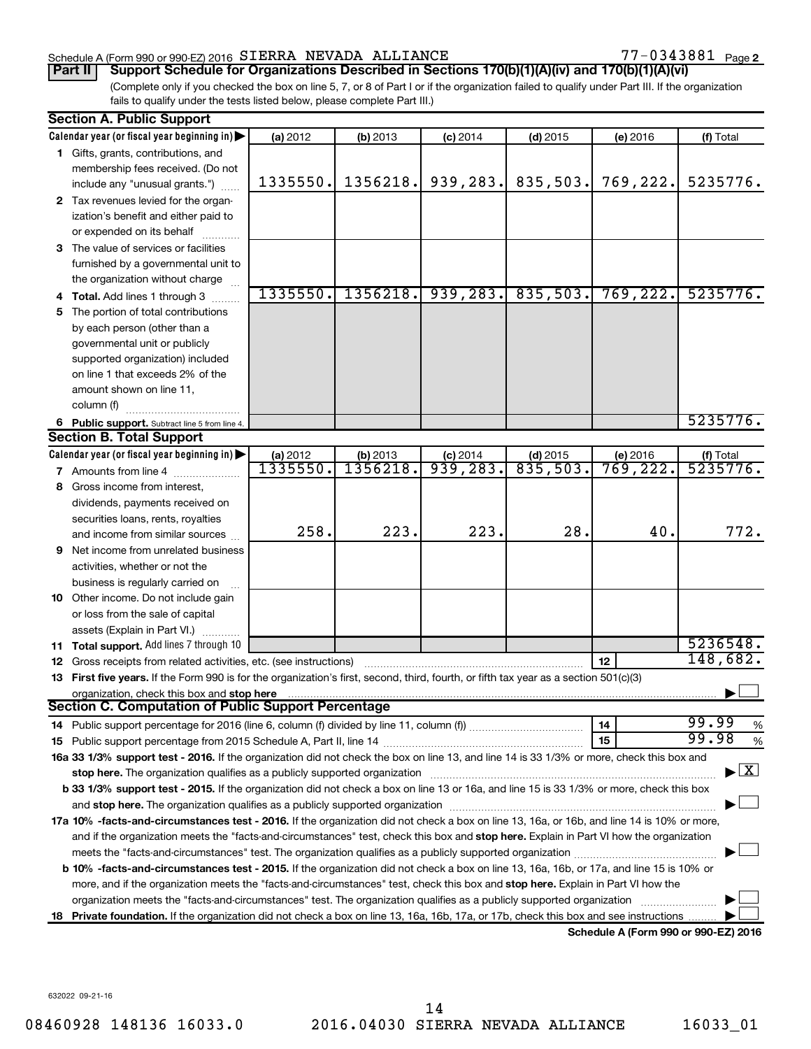#### Schedule A (Form 990 or 990-EZ) 2016  $SIERRA$  NEVADA ALLIANCE  $77-0343881$  Page

77-0343881 Page 2

(Complete only if you checked the box on line 5, 7, or 8 of Part I or if the organization failed to qualify under Part III. If the organization fails to qualify under the tests listed below, please complete Part III.) **Part II Support Schedule for Organizations Described in Sections 170(b)(1)(A)(iv) and 170(b)(1)(A)(vi)**

| Calendar year (or fiscal year beginning in)<br>(a) 2012<br>(f) Total<br>(b) 2013<br>$(c)$ 2014<br>$(d)$ 2015<br>(e) 2016<br>1 Gifts, grants, contributions, and<br>membership fees received. (Do not<br>939,283.<br>1356218.<br>835,503.<br>769,222.<br>5235776.<br>1335550.<br>include any "unusual grants.")<br>2 Tax revenues levied for the organ-<br>ization's benefit and either paid to<br>or expended on its behalf<br>3 The value of services or facilities<br>furnished by a governmental unit to<br>the organization without charge<br>939, 283.<br>1335550.<br>1356218.<br>835,503.<br>769, 222.<br>5235776.<br>Total. Add lines 1 through 3<br>The portion of total contributions<br>5<br>by each person (other than a<br>governmental unit or publicly<br>supported organization) included<br>on line 1 that exceeds 2% of the<br>amount shown on line 11,<br>column (f)<br>5235776.<br>6 Public support. Subtract line 5 from line 4.<br><b>Section B. Total Support</b><br>Calendar year (or fiscal year beginning in)<br>(a) 2012<br>(b) 2013<br>$(d)$ 2015<br>(f) Total<br>$(c)$ 2014<br>(e) 2016<br>1335550.<br>1356218.<br>5235776.<br>939,283.<br>835,503.<br>769,222.<br>7 Amounts from line 4<br>Gross income from interest,<br>8<br>dividends, payments received on<br>securities loans, rents, royalties<br>223.<br>223.<br>28.<br>772.<br>258.<br>40.<br>and income from similar sources<br>Net income from unrelated business<br>9<br>activities, whether or not the<br>business is regularly carried on<br>10 Other income. Do not include gain<br>or loss from the sale of capital<br>assets (Explain in Part VI.)<br>5236548.<br>11 Total support. Add lines 7 through 10<br>148,682.<br>12<br>Gross receipts from related activities, etc. (see instructions)<br>12<br>First five years. If the Form 990 is for the organization's first, second, third, fourth, or fifth tax year as a section 501(c)(3)<br>13.<br>organization, check this box and stop here<br>Section C. Computation of Public Support Percentage<br>99.99<br>14<br>%<br>99.98<br>15<br>%<br>16a 33 1/3% support test - 2016. If the organization did not check the box on line 13, and line 14 is 33 1/3% or more, check this box and<br>$\vert$ X $\vert$<br>stop here. The organization qualifies as a publicly supported organization<br>b 33 1/3% support test - 2015. If the organization did not check a box on line 13 or 16a, and line 15 is 33 1/3% or more, check this box<br>17a 10% -facts-and-circumstances test - 2016. If the organization did not check a box on line 13, 16a, or 16b, and line 14 is 10% or more,<br>and if the organization meets the "facts-and-circumstances" test, check this box and stop here. Explain in Part VI how the organization<br>meets the "facts-and-circumstances" test. The organization qualifies as a publicly supported organization<br><b>b 10%</b> -facts-and-circumstances test - 2015. If the organization did not check a box on line 13, 16a, 16b, or 17a, and line 15 is 10% or<br>more, and if the organization meets the "facts-and-circumstances" test, check this box and stop here. Explain in Part VI how the<br>organization meets the "facts-and-circumstances" test. The organization qualifies as a publicly supported organization<br>Private foundation. If the organization did not check a box on line 13, 16a, 16b, 17a, or 17b, check this box and see instructions<br>18<br>Schodule A (Form 000 or 000 EZ) 2016 | <b>Section A. Public Support</b> |  |  |  |
|----------------------------------------------------------------------------------------------------------------------------------------------------------------------------------------------------------------------------------------------------------------------------------------------------------------------------------------------------------------------------------------------------------------------------------------------------------------------------------------------------------------------------------------------------------------------------------------------------------------------------------------------------------------------------------------------------------------------------------------------------------------------------------------------------------------------------------------------------------------------------------------------------------------------------------------------------------------------------------------------------------------------------------------------------------------------------------------------------------------------------------------------------------------------------------------------------------------------------------------------------------------------------------------------------------------------------------------------------------------------------------------------------------------------------------------------------------------------------------------------------------------------------------------------------------------------------------------------------------------------------------------------------------------------------------------------------------------------------------------------------------------------------------------------------------------------------------------------------------------------------------------------------------------------------------------------------------------------------------------------------------------------------------------------------------------------------------------------------------------------------------------------------------------------------------------------------------------------------------------------------------------------------------------------------------------------------------------------------------------------------------------------------------------------------------------------------------------------------------------------------------------------------------------------------------------------------------------------------------------------------------------------------------------------------------------------------------------------------------------------------------------------------------------------------------------------------------------------------------------------------------------------------------------------------------------------------------------------------------------------------------------------------------------------------------------------------------------------------------------------------------------------------------------------------------------------------------------------------------------------------------------------------------------------------------------------------------------------------------------------------------------------------------------------------------------------------------------------------------------------------|----------------------------------|--|--|--|
|                                                                                                                                                                                                                                                                                                                                                                                                                                                                                                                                                                                                                                                                                                                                                                                                                                                                                                                                                                                                                                                                                                                                                                                                                                                                                                                                                                                                                                                                                                                                                                                                                                                                                                                                                                                                                                                                                                                                                                                                                                                                                                                                                                                                                                                                                                                                                                                                                                                                                                                                                                                                                                                                                                                                                                                                                                                                                                                                                                                                                                                                                                                                                                                                                                                                                                                                                                                                                                                                                                    |                                  |  |  |  |
|                                                                                                                                                                                                                                                                                                                                                                                                                                                                                                                                                                                                                                                                                                                                                                                                                                                                                                                                                                                                                                                                                                                                                                                                                                                                                                                                                                                                                                                                                                                                                                                                                                                                                                                                                                                                                                                                                                                                                                                                                                                                                                                                                                                                                                                                                                                                                                                                                                                                                                                                                                                                                                                                                                                                                                                                                                                                                                                                                                                                                                                                                                                                                                                                                                                                                                                                                                                                                                                                                                    |                                  |  |  |  |
|                                                                                                                                                                                                                                                                                                                                                                                                                                                                                                                                                                                                                                                                                                                                                                                                                                                                                                                                                                                                                                                                                                                                                                                                                                                                                                                                                                                                                                                                                                                                                                                                                                                                                                                                                                                                                                                                                                                                                                                                                                                                                                                                                                                                                                                                                                                                                                                                                                                                                                                                                                                                                                                                                                                                                                                                                                                                                                                                                                                                                                                                                                                                                                                                                                                                                                                                                                                                                                                                                                    |                                  |  |  |  |
|                                                                                                                                                                                                                                                                                                                                                                                                                                                                                                                                                                                                                                                                                                                                                                                                                                                                                                                                                                                                                                                                                                                                                                                                                                                                                                                                                                                                                                                                                                                                                                                                                                                                                                                                                                                                                                                                                                                                                                                                                                                                                                                                                                                                                                                                                                                                                                                                                                                                                                                                                                                                                                                                                                                                                                                                                                                                                                                                                                                                                                                                                                                                                                                                                                                                                                                                                                                                                                                                                                    |                                  |  |  |  |
|                                                                                                                                                                                                                                                                                                                                                                                                                                                                                                                                                                                                                                                                                                                                                                                                                                                                                                                                                                                                                                                                                                                                                                                                                                                                                                                                                                                                                                                                                                                                                                                                                                                                                                                                                                                                                                                                                                                                                                                                                                                                                                                                                                                                                                                                                                                                                                                                                                                                                                                                                                                                                                                                                                                                                                                                                                                                                                                                                                                                                                                                                                                                                                                                                                                                                                                                                                                                                                                                                                    |                                  |  |  |  |
|                                                                                                                                                                                                                                                                                                                                                                                                                                                                                                                                                                                                                                                                                                                                                                                                                                                                                                                                                                                                                                                                                                                                                                                                                                                                                                                                                                                                                                                                                                                                                                                                                                                                                                                                                                                                                                                                                                                                                                                                                                                                                                                                                                                                                                                                                                                                                                                                                                                                                                                                                                                                                                                                                                                                                                                                                                                                                                                                                                                                                                                                                                                                                                                                                                                                                                                                                                                                                                                                                                    |                                  |  |  |  |
|                                                                                                                                                                                                                                                                                                                                                                                                                                                                                                                                                                                                                                                                                                                                                                                                                                                                                                                                                                                                                                                                                                                                                                                                                                                                                                                                                                                                                                                                                                                                                                                                                                                                                                                                                                                                                                                                                                                                                                                                                                                                                                                                                                                                                                                                                                                                                                                                                                                                                                                                                                                                                                                                                                                                                                                                                                                                                                                                                                                                                                                                                                                                                                                                                                                                                                                                                                                                                                                                                                    |                                  |  |  |  |
|                                                                                                                                                                                                                                                                                                                                                                                                                                                                                                                                                                                                                                                                                                                                                                                                                                                                                                                                                                                                                                                                                                                                                                                                                                                                                                                                                                                                                                                                                                                                                                                                                                                                                                                                                                                                                                                                                                                                                                                                                                                                                                                                                                                                                                                                                                                                                                                                                                                                                                                                                                                                                                                                                                                                                                                                                                                                                                                                                                                                                                                                                                                                                                                                                                                                                                                                                                                                                                                                                                    |                                  |  |  |  |
|                                                                                                                                                                                                                                                                                                                                                                                                                                                                                                                                                                                                                                                                                                                                                                                                                                                                                                                                                                                                                                                                                                                                                                                                                                                                                                                                                                                                                                                                                                                                                                                                                                                                                                                                                                                                                                                                                                                                                                                                                                                                                                                                                                                                                                                                                                                                                                                                                                                                                                                                                                                                                                                                                                                                                                                                                                                                                                                                                                                                                                                                                                                                                                                                                                                                                                                                                                                                                                                                                                    |                                  |  |  |  |
|                                                                                                                                                                                                                                                                                                                                                                                                                                                                                                                                                                                                                                                                                                                                                                                                                                                                                                                                                                                                                                                                                                                                                                                                                                                                                                                                                                                                                                                                                                                                                                                                                                                                                                                                                                                                                                                                                                                                                                                                                                                                                                                                                                                                                                                                                                                                                                                                                                                                                                                                                                                                                                                                                                                                                                                                                                                                                                                                                                                                                                                                                                                                                                                                                                                                                                                                                                                                                                                                                                    |                                  |  |  |  |
|                                                                                                                                                                                                                                                                                                                                                                                                                                                                                                                                                                                                                                                                                                                                                                                                                                                                                                                                                                                                                                                                                                                                                                                                                                                                                                                                                                                                                                                                                                                                                                                                                                                                                                                                                                                                                                                                                                                                                                                                                                                                                                                                                                                                                                                                                                                                                                                                                                                                                                                                                                                                                                                                                                                                                                                                                                                                                                                                                                                                                                                                                                                                                                                                                                                                                                                                                                                                                                                                                                    |                                  |  |  |  |
|                                                                                                                                                                                                                                                                                                                                                                                                                                                                                                                                                                                                                                                                                                                                                                                                                                                                                                                                                                                                                                                                                                                                                                                                                                                                                                                                                                                                                                                                                                                                                                                                                                                                                                                                                                                                                                                                                                                                                                                                                                                                                                                                                                                                                                                                                                                                                                                                                                                                                                                                                                                                                                                                                                                                                                                                                                                                                                                                                                                                                                                                                                                                                                                                                                                                                                                                                                                                                                                                                                    |                                  |  |  |  |
|                                                                                                                                                                                                                                                                                                                                                                                                                                                                                                                                                                                                                                                                                                                                                                                                                                                                                                                                                                                                                                                                                                                                                                                                                                                                                                                                                                                                                                                                                                                                                                                                                                                                                                                                                                                                                                                                                                                                                                                                                                                                                                                                                                                                                                                                                                                                                                                                                                                                                                                                                                                                                                                                                                                                                                                                                                                                                                                                                                                                                                                                                                                                                                                                                                                                                                                                                                                                                                                                                                    |                                  |  |  |  |
|                                                                                                                                                                                                                                                                                                                                                                                                                                                                                                                                                                                                                                                                                                                                                                                                                                                                                                                                                                                                                                                                                                                                                                                                                                                                                                                                                                                                                                                                                                                                                                                                                                                                                                                                                                                                                                                                                                                                                                                                                                                                                                                                                                                                                                                                                                                                                                                                                                                                                                                                                                                                                                                                                                                                                                                                                                                                                                                                                                                                                                                                                                                                                                                                                                                                                                                                                                                                                                                                                                    |                                  |  |  |  |
|                                                                                                                                                                                                                                                                                                                                                                                                                                                                                                                                                                                                                                                                                                                                                                                                                                                                                                                                                                                                                                                                                                                                                                                                                                                                                                                                                                                                                                                                                                                                                                                                                                                                                                                                                                                                                                                                                                                                                                                                                                                                                                                                                                                                                                                                                                                                                                                                                                                                                                                                                                                                                                                                                                                                                                                                                                                                                                                                                                                                                                                                                                                                                                                                                                                                                                                                                                                                                                                                                                    |                                  |  |  |  |
|                                                                                                                                                                                                                                                                                                                                                                                                                                                                                                                                                                                                                                                                                                                                                                                                                                                                                                                                                                                                                                                                                                                                                                                                                                                                                                                                                                                                                                                                                                                                                                                                                                                                                                                                                                                                                                                                                                                                                                                                                                                                                                                                                                                                                                                                                                                                                                                                                                                                                                                                                                                                                                                                                                                                                                                                                                                                                                                                                                                                                                                                                                                                                                                                                                                                                                                                                                                                                                                                                                    |                                  |  |  |  |
|                                                                                                                                                                                                                                                                                                                                                                                                                                                                                                                                                                                                                                                                                                                                                                                                                                                                                                                                                                                                                                                                                                                                                                                                                                                                                                                                                                                                                                                                                                                                                                                                                                                                                                                                                                                                                                                                                                                                                                                                                                                                                                                                                                                                                                                                                                                                                                                                                                                                                                                                                                                                                                                                                                                                                                                                                                                                                                                                                                                                                                                                                                                                                                                                                                                                                                                                                                                                                                                                                                    |                                  |  |  |  |
|                                                                                                                                                                                                                                                                                                                                                                                                                                                                                                                                                                                                                                                                                                                                                                                                                                                                                                                                                                                                                                                                                                                                                                                                                                                                                                                                                                                                                                                                                                                                                                                                                                                                                                                                                                                                                                                                                                                                                                                                                                                                                                                                                                                                                                                                                                                                                                                                                                                                                                                                                                                                                                                                                                                                                                                                                                                                                                                                                                                                                                                                                                                                                                                                                                                                                                                                                                                                                                                                                                    |                                  |  |  |  |
|                                                                                                                                                                                                                                                                                                                                                                                                                                                                                                                                                                                                                                                                                                                                                                                                                                                                                                                                                                                                                                                                                                                                                                                                                                                                                                                                                                                                                                                                                                                                                                                                                                                                                                                                                                                                                                                                                                                                                                                                                                                                                                                                                                                                                                                                                                                                                                                                                                                                                                                                                                                                                                                                                                                                                                                                                                                                                                                                                                                                                                                                                                                                                                                                                                                                                                                                                                                                                                                                                                    |                                  |  |  |  |
|                                                                                                                                                                                                                                                                                                                                                                                                                                                                                                                                                                                                                                                                                                                                                                                                                                                                                                                                                                                                                                                                                                                                                                                                                                                                                                                                                                                                                                                                                                                                                                                                                                                                                                                                                                                                                                                                                                                                                                                                                                                                                                                                                                                                                                                                                                                                                                                                                                                                                                                                                                                                                                                                                                                                                                                                                                                                                                                                                                                                                                                                                                                                                                                                                                                                                                                                                                                                                                                                                                    |                                  |  |  |  |
|                                                                                                                                                                                                                                                                                                                                                                                                                                                                                                                                                                                                                                                                                                                                                                                                                                                                                                                                                                                                                                                                                                                                                                                                                                                                                                                                                                                                                                                                                                                                                                                                                                                                                                                                                                                                                                                                                                                                                                                                                                                                                                                                                                                                                                                                                                                                                                                                                                                                                                                                                                                                                                                                                                                                                                                                                                                                                                                                                                                                                                                                                                                                                                                                                                                                                                                                                                                                                                                                                                    |                                  |  |  |  |
|                                                                                                                                                                                                                                                                                                                                                                                                                                                                                                                                                                                                                                                                                                                                                                                                                                                                                                                                                                                                                                                                                                                                                                                                                                                                                                                                                                                                                                                                                                                                                                                                                                                                                                                                                                                                                                                                                                                                                                                                                                                                                                                                                                                                                                                                                                                                                                                                                                                                                                                                                                                                                                                                                                                                                                                                                                                                                                                                                                                                                                                                                                                                                                                                                                                                                                                                                                                                                                                                                                    |                                  |  |  |  |
|                                                                                                                                                                                                                                                                                                                                                                                                                                                                                                                                                                                                                                                                                                                                                                                                                                                                                                                                                                                                                                                                                                                                                                                                                                                                                                                                                                                                                                                                                                                                                                                                                                                                                                                                                                                                                                                                                                                                                                                                                                                                                                                                                                                                                                                                                                                                                                                                                                                                                                                                                                                                                                                                                                                                                                                                                                                                                                                                                                                                                                                                                                                                                                                                                                                                                                                                                                                                                                                                                                    |                                  |  |  |  |
|                                                                                                                                                                                                                                                                                                                                                                                                                                                                                                                                                                                                                                                                                                                                                                                                                                                                                                                                                                                                                                                                                                                                                                                                                                                                                                                                                                                                                                                                                                                                                                                                                                                                                                                                                                                                                                                                                                                                                                                                                                                                                                                                                                                                                                                                                                                                                                                                                                                                                                                                                                                                                                                                                                                                                                                                                                                                                                                                                                                                                                                                                                                                                                                                                                                                                                                                                                                                                                                                                                    |                                  |  |  |  |
|                                                                                                                                                                                                                                                                                                                                                                                                                                                                                                                                                                                                                                                                                                                                                                                                                                                                                                                                                                                                                                                                                                                                                                                                                                                                                                                                                                                                                                                                                                                                                                                                                                                                                                                                                                                                                                                                                                                                                                                                                                                                                                                                                                                                                                                                                                                                                                                                                                                                                                                                                                                                                                                                                                                                                                                                                                                                                                                                                                                                                                                                                                                                                                                                                                                                                                                                                                                                                                                                                                    |                                  |  |  |  |
|                                                                                                                                                                                                                                                                                                                                                                                                                                                                                                                                                                                                                                                                                                                                                                                                                                                                                                                                                                                                                                                                                                                                                                                                                                                                                                                                                                                                                                                                                                                                                                                                                                                                                                                                                                                                                                                                                                                                                                                                                                                                                                                                                                                                                                                                                                                                                                                                                                                                                                                                                                                                                                                                                                                                                                                                                                                                                                                                                                                                                                                                                                                                                                                                                                                                                                                                                                                                                                                                                                    |                                  |  |  |  |
|                                                                                                                                                                                                                                                                                                                                                                                                                                                                                                                                                                                                                                                                                                                                                                                                                                                                                                                                                                                                                                                                                                                                                                                                                                                                                                                                                                                                                                                                                                                                                                                                                                                                                                                                                                                                                                                                                                                                                                                                                                                                                                                                                                                                                                                                                                                                                                                                                                                                                                                                                                                                                                                                                                                                                                                                                                                                                                                                                                                                                                                                                                                                                                                                                                                                                                                                                                                                                                                                                                    |                                  |  |  |  |
|                                                                                                                                                                                                                                                                                                                                                                                                                                                                                                                                                                                                                                                                                                                                                                                                                                                                                                                                                                                                                                                                                                                                                                                                                                                                                                                                                                                                                                                                                                                                                                                                                                                                                                                                                                                                                                                                                                                                                                                                                                                                                                                                                                                                                                                                                                                                                                                                                                                                                                                                                                                                                                                                                                                                                                                                                                                                                                                                                                                                                                                                                                                                                                                                                                                                                                                                                                                                                                                                                                    |                                  |  |  |  |
|                                                                                                                                                                                                                                                                                                                                                                                                                                                                                                                                                                                                                                                                                                                                                                                                                                                                                                                                                                                                                                                                                                                                                                                                                                                                                                                                                                                                                                                                                                                                                                                                                                                                                                                                                                                                                                                                                                                                                                                                                                                                                                                                                                                                                                                                                                                                                                                                                                                                                                                                                                                                                                                                                                                                                                                                                                                                                                                                                                                                                                                                                                                                                                                                                                                                                                                                                                                                                                                                                                    |                                  |  |  |  |
|                                                                                                                                                                                                                                                                                                                                                                                                                                                                                                                                                                                                                                                                                                                                                                                                                                                                                                                                                                                                                                                                                                                                                                                                                                                                                                                                                                                                                                                                                                                                                                                                                                                                                                                                                                                                                                                                                                                                                                                                                                                                                                                                                                                                                                                                                                                                                                                                                                                                                                                                                                                                                                                                                                                                                                                                                                                                                                                                                                                                                                                                                                                                                                                                                                                                                                                                                                                                                                                                                                    |                                  |  |  |  |
|                                                                                                                                                                                                                                                                                                                                                                                                                                                                                                                                                                                                                                                                                                                                                                                                                                                                                                                                                                                                                                                                                                                                                                                                                                                                                                                                                                                                                                                                                                                                                                                                                                                                                                                                                                                                                                                                                                                                                                                                                                                                                                                                                                                                                                                                                                                                                                                                                                                                                                                                                                                                                                                                                                                                                                                                                                                                                                                                                                                                                                                                                                                                                                                                                                                                                                                                                                                                                                                                                                    |                                  |  |  |  |
|                                                                                                                                                                                                                                                                                                                                                                                                                                                                                                                                                                                                                                                                                                                                                                                                                                                                                                                                                                                                                                                                                                                                                                                                                                                                                                                                                                                                                                                                                                                                                                                                                                                                                                                                                                                                                                                                                                                                                                                                                                                                                                                                                                                                                                                                                                                                                                                                                                                                                                                                                                                                                                                                                                                                                                                                                                                                                                                                                                                                                                                                                                                                                                                                                                                                                                                                                                                                                                                                                                    |                                  |  |  |  |
|                                                                                                                                                                                                                                                                                                                                                                                                                                                                                                                                                                                                                                                                                                                                                                                                                                                                                                                                                                                                                                                                                                                                                                                                                                                                                                                                                                                                                                                                                                                                                                                                                                                                                                                                                                                                                                                                                                                                                                                                                                                                                                                                                                                                                                                                                                                                                                                                                                                                                                                                                                                                                                                                                                                                                                                                                                                                                                                                                                                                                                                                                                                                                                                                                                                                                                                                                                                                                                                                                                    |                                  |  |  |  |
|                                                                                                                                                                                                                                                                                                                                                                                                                                                                                                                                                                                                                                                                                                                                                                                                                                                                                                                                                                                                                                                                                                                                                                                                                                                                                                                                                                                                                                                                                                                                                                                                                                                                                                                                                                                                                                                                                                                                                                                                                                                                                                                                                                                                                                                                                                                                                                                                                                                                                                                                                                                                                                                                                                                                                                                                                                                                                                                                                                                                                                                                                                                                                                                                                                                                                                                                                                                                                                                                                                    |                                  |  |  |  |
|                                                                                                                                                                                                                                                                                                                                                                                                                                                                                                                                                                                                                                                                                                                                                                                                                                                                                                                                                                                                                                                                                                                                                                                                                                                                                                                                                                                                                                                                                                                                                                                                                                                                                                                                                                                                                                                                                                                                                                                                                                                                                                                                                                                                                                                                                                                                                                                                                                                                                                                                                                                                                                                                                                                                                                                                                                                                                                                                                                                                                                                                                                                                                                                                                                                                                                                                                                                                                                                                                                    |                                  |  |  |  |
|                                                                                                                                                                                                                                                                                                                                                                                                                                                                                                                                                                                                                                                                                                                                                                                                                                                                                                                                                                                                                                                                                                                                                                                                                                                                                                                                                                                                                                                                                                                                                                                                                                                                                                                                                                                                                                                                                                                                                                                                                                                                                                                                                                                                                                                                                                                                                                                                                                                                                                                                                                                                                                                                                                                                                                                                                                                                                                                                                                                                                                                                                                                                                                                                                                                                                                                                                                                                                                                                                                    |                                  |  |  |  |
|                                                                                                                                                                                                                                                                                                                                                                                                                                                                                                                                                                                                                                                                                                                                                                                                                                                                                                                                                                                                                                                                                                                                                                                                                                                                                                                                                                                                                                                                                                                                                                                                                                                                                                                                                                                                                                                                                                                                                                                                                                                                                                                                                                                                                                                                                                                                                                                                                                                                                                                                                                                                                                                                                                                                                                                                                                                                                                                                                                                                                                                                                                                                                                                                                                                                                                                                                                                                                                                                                                    |                                  |  |  |  |
|                                                                                                                                                                                                                                                                                                                                                                                                                                                                                                                                                                                                                                                                                                                                                                                                                                                                                                                                                                                                                                                                                                                                                                                                                                                                                                                                                                                                                                                                                                                                                                                                                                                                                                                                                                                                                                                                                                                                                                                                                                                                                                                                                                                                                                                                                                                                                                                                                                                                                                                                                                                                                                                                                                                                                                                                                                                                                                                                                                                                                                                                                                                                                                                                                                                                                                                                                                                                                                                                                                    |                                  |  |  |  |
|                                                                                                                                                                                                                                                                                                                                                                                                                                                                                                                                                                                                                                                                                                                                                                                                                                                                                                                                                                                                                                                                                                                                                                                                                                                                                                                                                                                                                                                                                                                                                                                                                                                                                                                                                                                                                                                                                                                                                                                                                                                                                                                                                                                                                                                                                                                                                                                                                                                                                                                                                                                                                                                                                                                                                                                                                                                                                                                                                                                                                                                                                                                                                                                                                                                                                                                                                                                                                                                                                                    |                                  |  |  |  |
|                                                                                                                                                                                                                                                                                                                                                                                                                                                                                                                                                                                                                                                                                                                                                                                                                                                                                                                                                                                                                                                                                                                                                                                                                                                                                                                                                                                                                                                                                                                                                                                                                                                                                                                                                                                                                                                                                                                                                                                                                                                                                                                                                                                                                                                                                                                                                                                                                                                                                                                                                                                                                                                                                                                                                                                                                                                                                                                                                                                                                                                                                                                                                                                                                                                                                                                                                                                                                                                                                                    |                                  |  |  |  |
|                                                                                                                                                                                                                                                                                                                                                                                                                                                                                                                                                                                                                                                                                                                                                                                                                                                                                                                                                                                                                                                                                                                                                                                                                                                                                                                                                                                                                                                                                                                                                                                                                                                                                                                                                                                                                                                                                                                                                                                                                                                                                                                                                                                                                                                                                                                                                                                                                                                                                                                                                                                                                                                                                                                                                                                                                                                                                                                                                                                                                                                                                                                                                                                                                                                                                                                                                                                                                                                                                                    |                                  |  |  |  |
|                                                                                                                                                                                                                                                                                                                                                                                                                                                                                                                                                                                                                                                                                                                                                                                                                                                                                                                                                                                                                                                                                                                                                                                                                                                                                                                                                                                                                                                                                                                                                                                                                                                                                                                                                                                                                                                                                                                                                                                                                                                                                                                                                                                                                                                                                                                                                                                                                                                                                                                                                                                                                                                                                                                                                                                                                                                                                                                                                                                                                                                                                                                                                                                                                                                                                                                                                                                                                                                                                                    |                                  |  |  |  |
|                                                                                                                                                                                                                                                                                                                                                                                                                                                                                                                                                                                                                                                                                                                                                                                                                                                                                                                                                                                                                                                                                                                                                                                                                                                                                                                                                                                                                                                                                                                                                                                                                                                                                                                                                                                                                                                                                                                                                                                                                                                                                                                                                                                                                                                                                                                                                                                                                                                                                                                                                                                                                                                                                                                                                                                                                                                                                                                                                                                                                                                                                                                                                                                                                                                                                                                                                                                                                                                                                                    |                                  |  |  |  |
|                                                                                                                                                                                                                                                                                                                                                                                                                                                                                                                                                                                                                                                                                                                                                                                                                                                                                                                                                                                                                                                                                                                                                                                                                                                                                                                                                                                                                                                                                                                                                                                                                                                                                                                                                                                                                                                                                                                                                                                                                                                                                                                                                                                                                                                                                                                                                                                                                                                                                                                                                                                                                                                                                                                                                                                                                                                                                                                                                                                                                                                                                                                                                                                                                                                                                                                                                                                                                                                                                                    |                                  |  |  |  |
|                                                                                                                                                                                                                                                                                                                                                                                                                                                                                                                                                                                                                                                                                                                                                                                                                                                                                                                                                                                                                                                                                                                                                                                                                                                                                                                                                                                                                                                                                                                                                                                                                                                                                                                                                                                                                                                                                                                                                                                                                                                                                                                                                                                                                                                                                                                                                                                                                                                                                                                                                                                                                                                                                                                                                                                                                                                                                                                                                                                                                                                                                                                                                                                                                                                                                                                                                                                                                                                                                                    |                                  |  |  |  |
|                                                                                                                                                                                                                                                                                                                                                                                                                                                                                                                                                                                                                                                                                                                                                                                                                                                                                                                                                                                                                                                                                                                                                                                                                                                                                                                                                                                                                                                                                                                                                                                                                                                                                                                                                                                                                                                                                                                                                                                                                                                                                                                                                                                                                                                                                                                                                                                                                                                                                                                                                                                                                                                                                                                                                                                                                                                                                                                                                                                                                                                                                                                                                                                                                                                                                                                                                                                                                                                                                                    |                                  |  |  |  |
|                                                                                                                                                                                                                                                                                                                                                                                                                                                                                                                                                                                                                                                                                                                                                                                                                                                                                                                                                                                                                                                                                                                                                                                                                                                                                                                                                                                                                                                                                                                                                                                                                                                                                                                                                                                                                                                                                                                                                                                                                                                                                                                                                                                                                                                                                                                                                                                                                                                                                                                                                                                                                                                                                                                                                                                                                                                                                                                                                                                                                                                                                                                                                                                                                                                                                                                                                                                                                                                                                                    |                                  |  |  |  |
|                                                                                                                                                                                                                                                                                                                                                                                                                                                                                                                                                                                                                                                                                                                                                                                                                                                                                                                                                                                                                                                                                                                                                                                                                                                                                                                                                                                                                                                                                                                                                                                                                                                                                                                                                                                                                                                                                                                                                                                                                                                                                                                                                                                                                                                                                                                                                                                                                                                                                                                                                                                                                                                                                                                                                                                                                                                                                                                                                                                                                                                                                                                                                                                                                                                                                                                                                                                                                                                                                                    |                                  |  |  |  |
|                                                                                                                                                                                                                                                                                                                                                                                                                                                                                                                                                                                                                                                                                                                                                                                                                                                                                                                                                                                                                                                                                                                                                                                                                                                                                                                                                                                                                                                                                                                                                                                                                                                                                                                                                                                                                                                                                                                                                                                                                                                                                                                                                                                                                                                                                                                                                                                                                                                                                                                                                                                                                                                                                                                                                                                                                                                                                                                                                                                                                                                                                                                                                                                                                                                                                                                                                                                                                                                                                                    |                                  |  |  |  |
|                                                                                                                                                                                                                                                                                                                                                                                                                                                                                                                                                                                                                                                                                                                                                                                                                                                                                                                                                                                                                                                                                                                                                                                                                                                                                                                                                                                                                                                                                                                                                                                                                                                                                                                                                                                                                                                                                                                                                                                                                                                                                                                                                                                                                                                                                                                                                                                                                                                                                                                                                                                                                                                                                                                                                                                                                                                                                                                                                                                                                                                                                                                                                                                                                                                                                                                                                                                                                                                                                                    |                                  |  |  |  |

**Schedule A (Form 990 or 990-EZ) 2016**

632022 09-21-16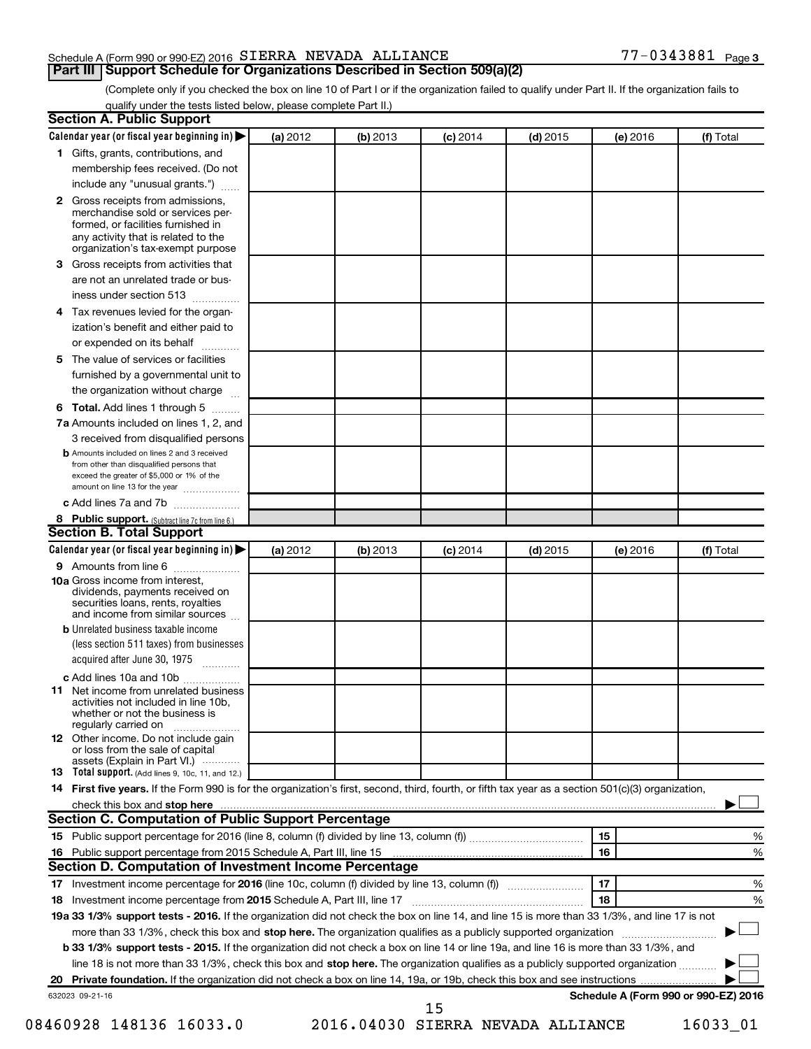#### Schedule A (Form 990 or 990-EZ) 2016  $SIERRA$  NEVADA ALLIANCE  $77-0343881$  Page

**Part III Support Schedule for Organizations Described in Section 509(a)(2)** 

(Complete only if you checked the box on line 10 of Part I or if the organization failed to qualify under Part II. If the organization fails to qualify under the tests listed below, please complete Part II.)

| Calendar year (or fiscal year beginning in)                                                                                                                       | (a) 2012 | (b) 2013 | $(c)$ 2014 | $(d)$ 2015 | (e) 2016 | (f) Total                            |
|-------------------------------------------------------------------------------------------------------------------------------------------------------------------|----------|----------|------------|------------|----------|--------------------------------------|
| 1 Gifts, grants, contributions, and                                                                                                                               |          |          |            |            |          |                                      |
| membership fees received. (Do not                                                                                                                                 |          |          |            |            |          |                                      |
| include any "unusual grants.")                                                                                                                                    |          |          |            |            |          |                                      |
| Gross receipts from admissions,<br>$\mathbf{2}$<br>merchandise sold or services per-<br>formed, or facilities furnished in<br>any activity that is related to the |          |          |            |            |          |                                      |
| organization's tax-exempt purpose                                                                                                                                 |          |          |            |            |          |                                      |
| Gross receipts from activities that<br>3                                                                                                                          |          |          |            |            |          |                                      |
| are not an unrelated trade or bus-<br>iness under section 513                                                                                                     |          |          |            |            |          |                                      |
| Tax revenues levied for the organ-<br>4                                                                                                                           |          |          |            |            |          |                                      |
| ization's benefit and either paid to<br>or expended on its behalf<br>.                                                                                            |          |          |            |            |          |                                      |
| The value of services or facilities<br>5                                                                                                                          |          |          |            |            |          |                                      |
| furnished by a governmental unit to<br>the organization without charge                                                                                            |          |          |            |            |          |                                      |
| Total. Add lines 1 through 5<br>6                                                                                                                                 |          |          |            |            |          |                                      |
| 7a Amounts included on lines 1, 2, and                                                                                                                            |          |          |            |            |          |                                      |
| 3 received from disqualified persons                                                                                                                              |          |          |            |            |          |                                      |
| <b>b</b> Amounts included on lines 2 and 3 received                                                                                                               |          |          |            |            |          |                                      |
| from other than disqualified persons that<br>exceed the greater of \$5,000 or 1% of the<br>amount on line 13 for the year                                         |          |          |            |            |          |                                      |
| c Add lines 7a and 7b                                                                                                                                             |          |          |            |            |          |                                      |
| 8 Public support. (Subtract line 7c from line 6.)                                                                                                                 |          |          |            |            |          |                                      |
| <b>Section B. Total Support</b>                                                                                                                                   |          |          |            |            |          |                                      |
| Calendar year (or fiscal year beginning in)                                                                                                                       | (a) 2012 | (b) 2013 | $(c)$ 2014 | $(d)$ 2015 | (e) 2016 | (f) Total                            |
| 9 Amounts from line 6                                                                                                                                             |          |          |            |            |          |                                      |
| <b>10a</b> Gross income from interest,<br>dividends, payments received on<br>securities loans, rents, royalties<br>and income from similar sources                |          |          |            |            |          |                                      |
| <b>b</b> Unrelated business taxable income                                                                                                                        |          |          |            |            |          |                                      |
| (less section 511 taxes) from businesses<br>acquired after June 30, 1975                                                                                          |          |          |            |            |          |                                      |
| c Add lines 10a and 10b                                                                                                                                           |          |          |            |            |          |                                      |
| Net income from unrelated business<br>11<br>activities not included in line 10b.<br>whether or not the business is<br>regularly carried on                        |          |          |            |            |          |                                      |
| <b>12</b> Other income. Do not include gain<br>or loss from the sale of capital<br>assets (Explain in Part VI.)                                                   |          |          |            |            |          |                                      |
| 13 Total support. (Add lines 9, 10c, 11, and 12.)                                                                                                                 |          |          |            |            |          |                                      |
| 14 First five years. If the Form 990 is for the organization's first, second, third, fourth, or fifth tax year as a section 501(c)(3) organization,               |          |          |            |            |          |                                      |
|                                                                                                                                                                   |          |          |            |            |          |                                      |
| Section C. Computation of Public Support Percentage                                                                                                               |          |          |            |            |          |                                      |
|                                                                                                                                                                   |          |          |            |            | 15       | %                                    |
|                                                                                                                                                                   |          |          |            |            | 16       | %                                    |
| Section D. Computation of Investment Income Percentage                                                                                                            |          |          |            |            |          |                                      |
|                                                                                                                                                                   |          |          |            |            | 17       | %                                    |
|                                                                                                                                                                   |          |          |            |            | 18       | %                                    |
| 19a 33 1/3% support tests - 2016. If the organization did not check the box on line 14, and line 15 is more than 33 1/3%, and line 17 is not                      |          |          |            |            |          |                                      |
| more than 33 1/3%, check this box and stop here. The organization qualifies as a publicly supported organization                                                  |          |          |            |            |          |                                      |
| b 33 1/3% support tests - 2015. If the organization did not check a box on line 14 or line 19a, and line 16 is more than 33 1/3%, and                             |          |          |            |            |          |                                      |
| line 18 is not more than 33 1/3%, check this box and stop here. The organization qualifies as a publicly supported organization                                   |          |          |            |            |          |                                      |
|                                                                                                                                                                   |          |          |            |            |          |                                      |
| 632023 09-21-16                                                                                                                                                   |          |          | 15         |            |          | Schedule A (Form 990 or 990-EZ) 2016 |
|                                                                                                                                                                   |          |          |            |            |          |                                      |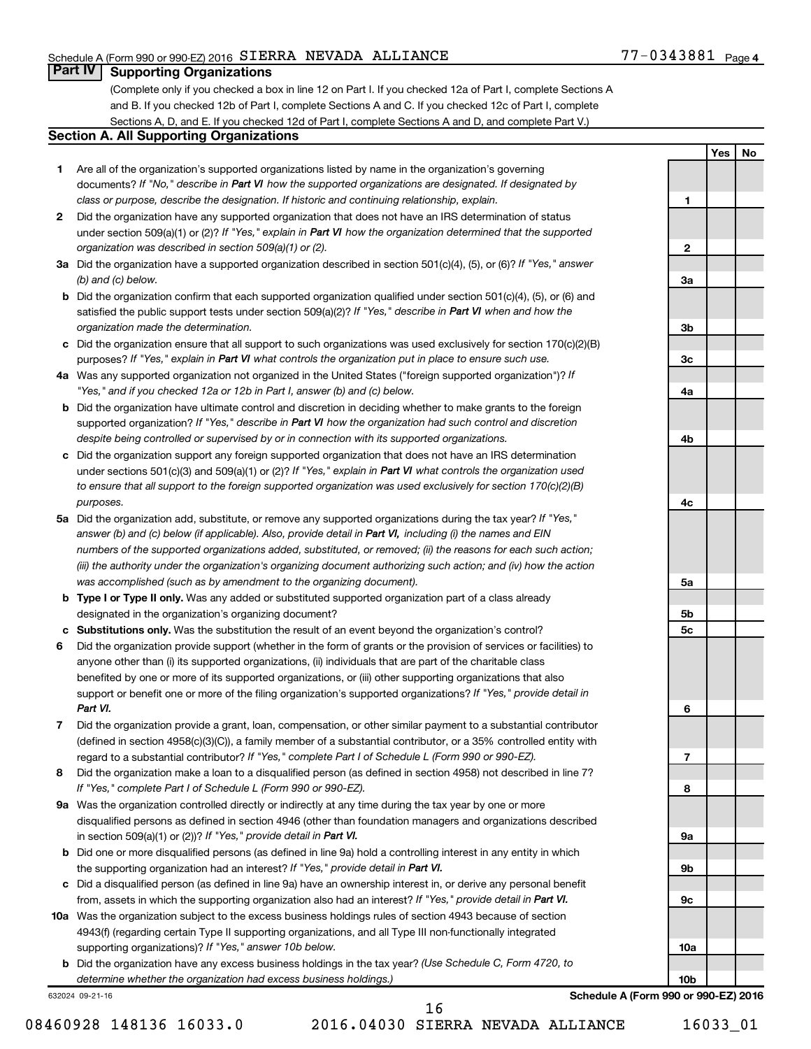#### Schedule A (Form 990 or 990-EZ) 2016  $SIERRA$  NEVADA ALLIANCE  $77-0343881$  Page

**1**

**2**

**3a**

**3b**

**3c**

**4a**

**4b**

**4c**

**5a**

**5b 5c**

**6**

**7**

**8**

**9a**

**9b**

**9c**

**10a**

**10b**

**Yes No**

#### **Part IV Supporting Organizations**

(Complete only if you checked a box in line 12 on Part I. If you checked 12a of Part I, complete Sections A and B. If you checked 12b of Part I, complete Sections A and C. If you checked 12c of Part I, complete Sections A, D, and E. If you checked 12d of Part I, complete Sections A and D, and complete Part V.)

#### **Section A. All Supporting Organizations**

- **1** Are all of the organization's supported organizations listed by name in the organization's governing documents? If "No," describe in Part VI how the supported organizations are designated. If designated by *class or purpose, describe the designation. If historic and continuing relationship, explain.*
- **2** Did the organization have any supported organization that does not have an IRS determination of status under section 509(a)(1) or (2)? If "Yes," explain in Part VI how the organization determined that the supported *organization was described in section 509(a)(1) or (2).*
- **3a** Did the organization have a supported organization described in section 501(c)(4), (5), or (6)? If "Yes," answer *(b) and (c) below.*
- **b** Did the organization confirm that each supported organization qualified under section 501(c)(4), (5), or (6) and satisfied the public support tests under section 509(a)(2)? If "Yes," describe in Part VI when and how the *organization made the determination.*
- **c** Did the organization ensure that all support to such organizations was used exclusively for section 170(c)(2)(B) purposes? If "Yes," explain in Part VI what controls the organization put in place to ensure such use.
- **4 a** *If* Was any supported organization not organized in the United States ("foreign supported organization")? *"Yes," and if you checked 12a or 12b in Part I, answer (b) and (c) below.*
- **b** Did the organization have ultimate control and discretion in deciding whether to make grants to the foreign supported organization? If "Yes," describe in Part VI how the organization had such control and discretion *despite being controlled or supervised by or in connection with its supported organizations.*
- **c** Did the organization support any foreign supported organization that does not have an IRS determination under sections 501(c)(3) and 509(a)(1) or (2)? If "Yes," explain in Part VI what controls the organization used *to ensure that all support to the foreign supported organization was used exclusively for section 170(c)(2)(B) purposes.*
- **5a** Did the organization add, substitute, or remove any supported organizations during the tax year? If "Yes," answer (b) and (c) below (if applicable). Also, provide detail in Part VI, including (i) the names and EIN *numbers of the supported organizations added, substituted, or removed; (ii) the reasons for each such action; (iii) the authority under the organization's organizing document authorizing such action; and (iv) how the action was accomplished (such as by amendment to the organizing document).*
- **b Type I or Type II only.** Was any added or substituted supported organization part of a class already designated in the organization's organizing document?
- **c Substitutions only.**  Was the substitution the result of an event beyond the organization's control?
- **6** Did the organization provide support (whether in the form of grants or the provision of services or facilities) to support or benefit one or more of the filing organization's supported organizations? If "Yes," provide detail in anyone other than (i) its supported organizations, (ii) individuals that are part of the charitable class benefited by one or more of its supported organizations, or (iii) other supporting organizations that also *Part VI.*
- **7** Did the organization provide a grant, loan, compensation, or other similar payment to a substantial contributor regard to a substantial contributor? If "Yes," complete Part I of Schedule L (Form 990 or 990-EZ). (defined in section 4958(c)(3)(C)), a family member of a substantial contributor, or a 35% controlled entity with
- **8** Did the organization make a loan to a disqualified person (as defined in section 4958) not described in line 7? *If "Yes," complete Part I of Schedule L (Form 990 or 990-EZ).*
- **9 a** Was the organization controlled directly or indirectly at any time during the tax year by one or more in section 509(a)(1) or (2))? If "Yes," provide detail in Part VI. disqualified persons as defined in section 4946 (other than foundation managers and organizations described
- **b** Did one or more disqualified persons (as defined in line 9a) hold a controlling interest in any entity in which the supporting organization had an interest? If "Yes," provide detail in Part VI.
- **c** Did a disqualified person (as defined in line 9a) have an ownership interest in, or derive any personal benefit from, assets in which the supporting organization also had an interest? If "Yes," provide detail in Part VI.
- **10 a** Was the organization subject to the excess business holdings rules of section 4943 because of section supporting organizations)? If "Yes," answer 10b below. 4943(f) (regarding certain Type II supporting organizations, and all Type III non-functionally integrated
	- **b** Did the organization have any excess business holdings in the tax year? (Use Schedule C, Form 4720, to *determine whether the organization had excess business holdings.)*

632024 09-21-16

**Schedule A (Form 990 or 990-EZ) 2016**

08460928 148136 16033.0 2016.04030 SIERRA NEVADA ALLIANCE 16033 01 16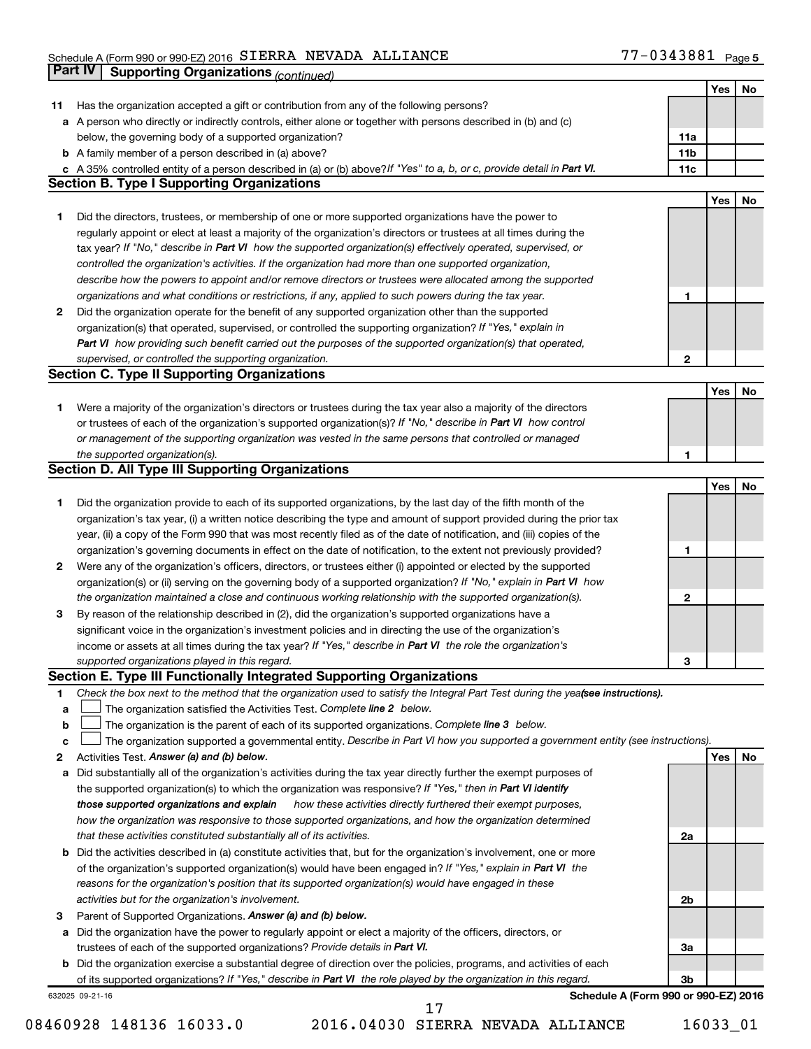#### Schedule A (Form 990 or 990-EZ) 2016 SIERRA NEVADA ALLIANCE NAMES AND RESERVED ASSESSED Page SIERRA NEVADA ALLIANCE 77-0343881

|    | Part IV<br><b>Supporting Organizations (continued)</b>                                                                                                 |                 |     |    |
|----|--------------------------------------------------------------------------------------------------------------------------------------------------------|-----------------|-----|----|
|    |                                                                                                                                                        |                 | Yes | No |
| 11 | Has the organization accepted a gift or contribution from any of the following persons?                                                                |                 |     |    |
|    | a A person who directly or indirectly controls, either alone or together with persons described in (b) and (c)                                         |                 |     |    |
|    | below, the governing body of a supported organization?                                                                                                 | 11a             |     |    |
|    | <b>b</b> A family member of a person described in (a) above?                                                                                           | 11 <sub>b</sub> |     |    |
|    | c A 35% controlled entity of a person described in (a) or (b) above? If "Yes" to a, b, or c, provide detail in Part VI.                                | 11c             |     |    |
|    | <b>Section B. Type I Supporting Organizations</b>                                                                                                      |                 |     |    |
|    |                                                                                                                                                        |                 | Yes | No |
| 1  | Did the directors, trustees, or membership of one or more supported organizations have the power to                                                    |                 |     |    |
|    | regularly appoint or elect at least a majority of the organization's directors or trustees at all times during the                                     |                 |     |    |
|    |                                                                                                                                                        |                 |     |    |
|    | tax year? If "No," describe in Part VI how the supported organization(s) effectively operated, supervised, or                                          |                 |     |    |
|    | controlled the organization's activities. If the organization had more than one supported organization,                                                |                 |     |    |
|    | describe how the powers to appoint and/or remove directors or trustees were allocated among the supported                                              |                 |     |    |
|    | organizations and what conditions or restrictions, if any, applied to such powers during the tax year.                                                 | 1               |     |    |
| 2  | Did the organization operate for the benefit of any supported organization other than the supported                                                    |                 |     |    |
|    | organization(s) that operated, supervised, or controlled the supporting organization? If "Yes," explain in                                             |                 |     |    |
|    | Part VI how providing such benefit carried out the purposes of the supported organization(s) that operated,                                            |                 |     |    |
|    | supervised, or controlled the supporting organization.                                                                                                 | 2               |     |    |
|    | <b>Section C. Type II Supporting Organizations</b>                                                                                                     |                 |     |    |
|    |                                                                                                                                                        |                 | Yes | No |
| 1. | Were a majority of the organization's directors or trustees during the tax year also a majority of the directors                                       |                 |     |    |
|    | or trustees of each of the organization's supported organization(s)? If "No," describe in Part VI how control                                          |                 |     |    |
|    | or management of the supporting organization was vested in the same persons that controlled or managed                                                 |                 |     |    |
|    | the supported organization(s).                                                                                                                         | 1               |     |    |
|    | <b>Section D. All Type III Supporting Organizations</b>                                                                                                |                 |     |    |
|    |                                                                                                                                                        |                 | Yes | No |
| 1  | Did the organization provide to each of its supported organizations, by the last day of the fifth month of the                                         |                 |     |    |
|    | organization's tax year, (i) a written notice describing the type and amount of support provided during the prior tax                                  |                 |     |    |
|    | year, (ii) a copy of the Form 990 that was most recently filed as of the date of notification, and (iii) copies of the                                 |                 |     |    |
|    | organization's governing documents in effect on the date of notification, to the extent not previously provided?                                       | 1               |     |    |
| 2  | Were any of the organization's officers, directors, or trustees either (i) appointed or elected by the supported                                       |                 |     |    |
|    | organization(s) or (ii) serving on the governing body of a supported organization? If "No," explain in Part VI how                                     |                 |     |    |
|    | the organization maintained a close and continuous working relationship with the supported organization(s).                                            | 2               |     |    |
| 3  | By reason of the relationship described in (2), did the organization's supported organizations have a                                                  |                 |     |    |
|    | significant voice in the organization's investment policies and in directing the use of the organization's                                             |                 |     |    |
|    | income or assets at all times during the tax year? If "Yes," describe in Part VI the role the organization's                                           |                 |     |    |
|    | supported organizations played in this regard.                                                                                                         | з               |     |    |
|    | Section E. Type III Functionally Integrated Supporting Organizations                                                                                   |                 |     |    |
| 1  | Check the box next to the method that the organization used to satisfy the Integral Part Test during the yeafsee instructions).                        |                 |     |    |
| a  | The organization satisfied the Activities Test. Complete line 2 below.                                                                                 |                 |     |    |
| b  | The organization is the parent of each of its supported organizations. Complete line 3 below.                                                          |                 |     |    |
| с  | The organization supported a governmental entity. Describe in Part VI how you supported a government entity (see instructions).                        |                 |     |    |
| 2  | Activities Test. Answer (a) and (b) below.                                                                                                             |                 | Yes | No |
|    | Did substantially all of the organization's activities during the tax year directly further the exempt purposes of                                     |                 |     |    |
| а  | the supported organization(s) to which the organization was responsive? If "Yes," then in Part VI identify                                             |                 |     |    |
|    | how these activities directly furthered their exempt purposes,                                                                                         |                 |     |    |
|    | those supported organizations and explain<br>how the organization was responsive to those supported organizations, and how the organization determined |                 |     |    |
|    |                                                                                                                                                        |                 |     |    |
|    | that these activities constituted substantially all of its activities.                                                                                 | 2a              |     |    |
|    | b Did the activities described in (a) constitute activities that, but for the organization's involvement, one or more                                  |                 |     |    |
|    | of the organization's supported organization(s) would have been engaged in? If "Yes," explain in Part VI the                                           |                 |     |    |
|    | reasons for the organization's position that its supported organization(s) would have engaged in these                                                 |                 |     |    |
|    | activities but for the organization's involvement.                                                                                                     | 2b              |     |    |
| з  | Parent of Supported Organizations. Answer (a) and (b) below.                                                                                           |                 |     |    |
| а  | Did the organization have the power to regularly appoint or elect a majority of the officers, directors, or                                            |                 |     |    |
|    | trustees of each of the supported organizations? Provide details in Part VI.                                                                           | За              |     |    |
|    | <b>b</b> Did the organization exercise a substantial degree of direction over the policies, programs, and activities of each                           |                 |     |    |
|    | of its supported organizations? If "Yes," describe in Part VI the role played by the organization in this regard.                                      | 3b              |     |    |
|    | Schedule A (Form 990 or 990-EZ) 2016<br>632025 09-21-16                                                                                                |                 |     |    |
|    | 17                                                                                                                                                     |                 |     |    |

08460928 148136 16033.0 2016.04030 SIERRA NEVADA ALLIANCE 16033\_01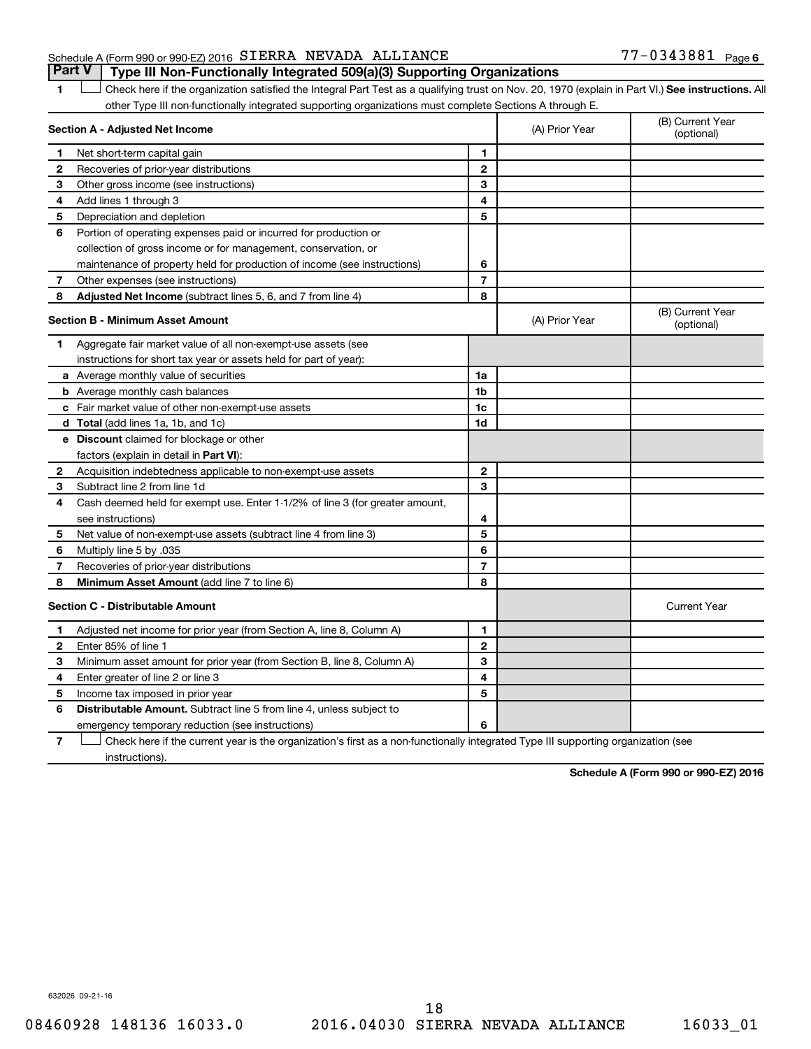#### Schedule A (Form 990 or 990-EZ) 2016  $SIERRA$  NEVADA ALLIANCE  $77-0343881$  Page **Part V Type III Non-Functionally Integrated 509(a)(3) Supporting Organizations**

1 **Letter See instructions.** All Check here if the organization satisfied the Integral Part Test as a qualifying trust on Nov. 20, 1970 (explain in Part VI.) See instructions. All other Type III non-functionally integrated supporting organizations must complete Sections A through E.

|              | Section A - Adjusted Net Income                                              |                          | (A) Prior Year | (B) Current Year<br>(optional) |
|--------------|------------------------------------------------------------------------------|--------------------------|----------------|--------------------------------|
| 1            | Net short-term capital gain                                                  | 1                        |                |                                |
| 2            | Recoveries of prior-year distributions                                       | $\mathbf{2}$             |                |                                |
| З            | Other gross income (see instructions)                                        | 3                        |                |                                |
| 4            | Add lines 1 through 3                                                        | 4                        |                |                                |
| 5            | Depreciation and depletion                                                   | 5                        |                |                                |
| 6            | Portion of operating expenses paid or incurred for production or             |                          |                |                                |
|              | collection of gross income or for management, conservation, or               |                          |                |                                |
|              | maintenance of property held for production of income (see instructions)     | 6                        |                |                                |
| 7            | Other expenses (see instructions)                                            | $\overline{\phantom{a}}$ |                |                                |
| 8            | Adjusted Net Income (subtract lines 5, 6, and 7 from line 4)                 | 8                        |                |                                |
|              | <b>Section B - Minimum Asset Amount</b>                                      |                          | (A) Prior Year | (B) Current Year<br>(optional) |
| 1            | Aggregate fair market value of all non-exempt-use assets (see                |                          |                |                                |
|              | instructions for short tax year or assets held for part of year):            |                          |                |                                |
|              | <b>a</b> Average monthly value of securities                                 | 1a                       |                |                                |
|              | <b>b</b> Average monthly cash balances                                       | 1 <sub>b</sub>           |                |                                |
|              | c Fair market value of other non-exempt-use assets                           | 1c                       |                |                                |
|              | d Total (add lines 1a, 1b, and 1c)                                           | 1d                       |                |                                |
|              | e Discount claimed for blockage or other                                     |                          |                |                                |
|              | factors (explain in detail in <b>Part VI</b> ):                              |                          |                |                                |
| 2            | Acquisition indebtedness applicable to non-exempt-use assets                 | $\mathbf{2}$             |                |                                |
| З            | Subtract line 2 from line 1d                                                 | 3                        |                |                                |
| 4            | Cash deemed held for exempt use. Enter 1-1/2% of line 3 (for greater amount, |                          |                |                                |
|              | see instructions)                                                            | 4                        |                |                                |
| 5            | Net value of non-exempt-use assets (subtract line 4 from line 3)             | 5                        |                |                                |
| 6            | Multiply line 5 by .035                                                      | 6                        |                |                                |
| 7            | Recoveries of prior-year distributions                                       | $\overline{7}$           |                |                                |
| 8            | Minimum Asset Amount (add line 7 to line 6)                                  | 8                        |                |                                |
|              | <b>Section C - Distributable Amount</b>                                      |                          |                | <b>Current Year</b>            |
| 1            | Adjusted net income for prior year (from Section A, line 8, Column A)        | 1                        |                |                                |
| $\mathbf{2}$ | Enter 85% of line 1                                                          | $\mathbf{2}$             |                |                                |
| 3            | Minimum asset amount for prior year (from Section B, line 8, Column A)       | 3                        |                |                                |
| 4            | Enter greater of line 2 or line 3                                            | 4                        |                |                                |
| 5            | Income tax imposed in prior year                                             | 5                        |                |                                |
| 6            | <b>Distributable Amount.</b> Subtract line 5 from line 4, unless subject to  |                          |                |                                |
|              | emergency temporary reduction (see instructions)                             | 6                        |                |                                |
|              |                                                                              |                          |                |                                |

**7** Check here if the current year is the organization's first as a non-functionally integrated Type III supporting organization (see † instructions).

**Schedule A (Form 990 or 990-EZ) 2016**

632026 09-21-16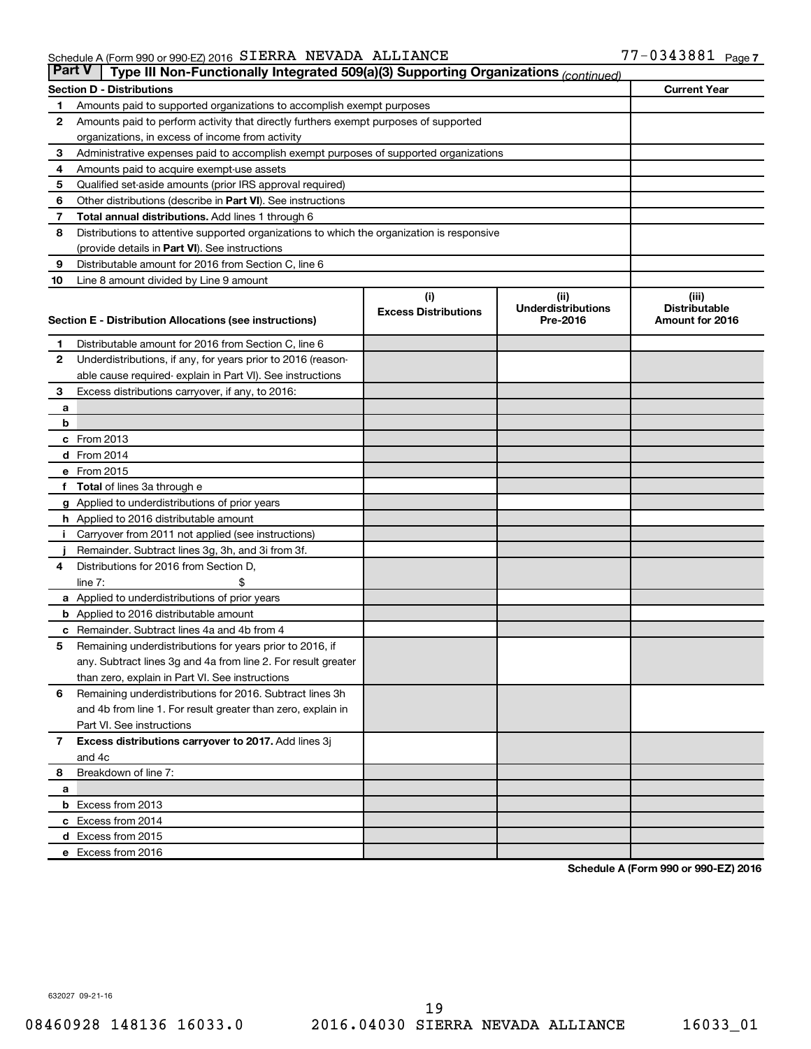#### Schedule A (Form 990 or 990-EZ) 2016 SIERRA NEVADA ALLIANCE NAMES AND RESERVED ASSESSED Page SIERRA NEVADA ALLIANCE 77-0343881

| <b>Part V</b>  | Type III Non-Functionally Integrated 509(a)(3) Supporting Organizations (continued)         |                             |                                       |                                         |
|----------------|---------------------------------------------------------------------------------------------|-----------------------------|---------------------------------------|-----------------------------------------|
|                | <b>Section D - Distributions</b>                                                            |                             |                                       | <b>Current Year</b>                     |
| 1              | Amounts paid to supported organizations to accomplish exempt purposes                       |                             |                                       |                                         |
| $\mathbf{2}$   | Amounts paid to perform activity that directly furthers exempt purposes of supported        |                             |                                       |                                         |
|                | organizations, in excess of income from activity                                            |                             |                                       |                                         |
| 3              | Administrative expenses paid to accomplish exempt purposes of supported organizations       |                             |                                       |                                         |
| 4              | Amounts paid to acquire exempt-use assets                                                   |                             |                                       |                                         |
| 5              | Qualified set-aside amounts (prior IRS approval required)                                   |                             |                                       |                                         |
| 6              | Other distributions (describe in Part VI). See instructions                                 |                             |                                       |                                         |
| 7              | <b>Total annual distributions.</b> Add lines 1 through 6                                    |                             |                                       |                                         |
| 8              | Distributions to attentive supported organizations to which the organization is responsive  |                             |                                       |                                         |
|                | (provide details in Part VI). See instructions                                              |                             |                                       |                                         |
| 9              | Distributable amount for 2016 from Section C, line 6                                        |                             |                                       |                                         |
| 10             | Line 8 amount divided by Line 9 amount                                                      |                             |                                       |                                         |
|                |                                                                                             | (i)                         | (ii)                                  | (iii)                                   |
|                | Section E - Distribution Allocations (see instructions)                                     | <b>Excess Distributions</b> | <b>Underdistributions</b><br>Pre-2016 | <b>Distributable</b><br>Amount for 2016 |
|                |                                                                                             |                             |                                       |                                         |
| 1              | Distributable amount for 2016 from Section C, line 6                                        |                             |                                       |                                         |
| $\mathbf{2}$   | Underdistributions, if any, for years prior to 2016 (reason-                                |                             |                                       |                                         |
|                | able cause required- explain in Part VI). See instructions                                  |                             |                                       |                                         |
| 3              | Excess distributions carryover, if any, to 2016:                                            |                             |                                       |                                         |
| а              |                                                                                             |                             |                                       |                                         |
| b              |                                                                                             |                             |                                       |                                         |
|                | c From 2013                                                                                 |                             |                                       |                                         |
|                | <b>d</b> From 2014                                                                          |                             |                                       |                                         |
|                | e From 2015                                                                                 |                             |                                       |                                         |
|                | f Total of lines 3a through e                                                               |                             |                                       |                                         |
|                | <b>g</b> Applied to underdistributions of prior years                                       |                             |                                       |                                         |
|                | h Applied to 2016 distributable amount                                                      |                             |                                       |                                         |
| Ť.             | Carryover from 2011 not applied (see instructions)                                          |                             |                                       |                                         |
|                | Remainder. Subtract lines 3g, 3h, and 3i from 3f.<br>Distributions for 2016 from Section D, |                             |                                       |                                         |
| 4              | line $7:$                                                                                   |                             |                                       |                                         |
|                | a Applied to underdistributions of prior years                                              |                             |                                       |                                         |
|                | <b>b</b> Applied to 2016 distributable amount                                               |                             |                                       |                                         |
| с              | Remainder. Subtract lines 4a and 4b from 4                                                  |                             |                                       |                                         |
| 5              | Remaining underdistributions for years prior to 2016, if                                    |                             |                                       |                                         |
|                | any. Subtract lines 3g and 4a from line 2. For result greater                               |                             |                                       |                                         |
|                | than zero, explain in Part VI. See instructions                                             |                             |                                       |                                         |
| 6              | Remaining underdistributions for 2016. Subtract lines 3h                                    |                             |                                       |                                         |
|                | and 4b from line 1. For result greater than zero, explain in                                |                             |                                       |                                         |
|                | Part VI. See instructions                                                                   |                             |                                       |                                         |
| $\overline{7}$ | Excess distributions carryover to 2017. Add lines 3j                                        |                             |                                       |                                         |
|                | and 4c                                                                                      |                             |                                       |                                         |
| 8              | Breakdown of line 7:                                                                        |                             |                                       |                                         |
| а              |                                                                                             |                             |                                       |                                         |
|                | <b>b</b> Excess from 2013                                                                   |                             |                                       |                                         |
|                | c Excess from 2014                                                                          |                             |                                       |                                         |
|                | d Excess from 2015                                                                          |                             |                                       |                                         |
|                | e Excess from 2016                                                                          |                             |                                       |                                         |

**Schedule A (Form 990 or 990-EZ) 2016**

632027 09-21-16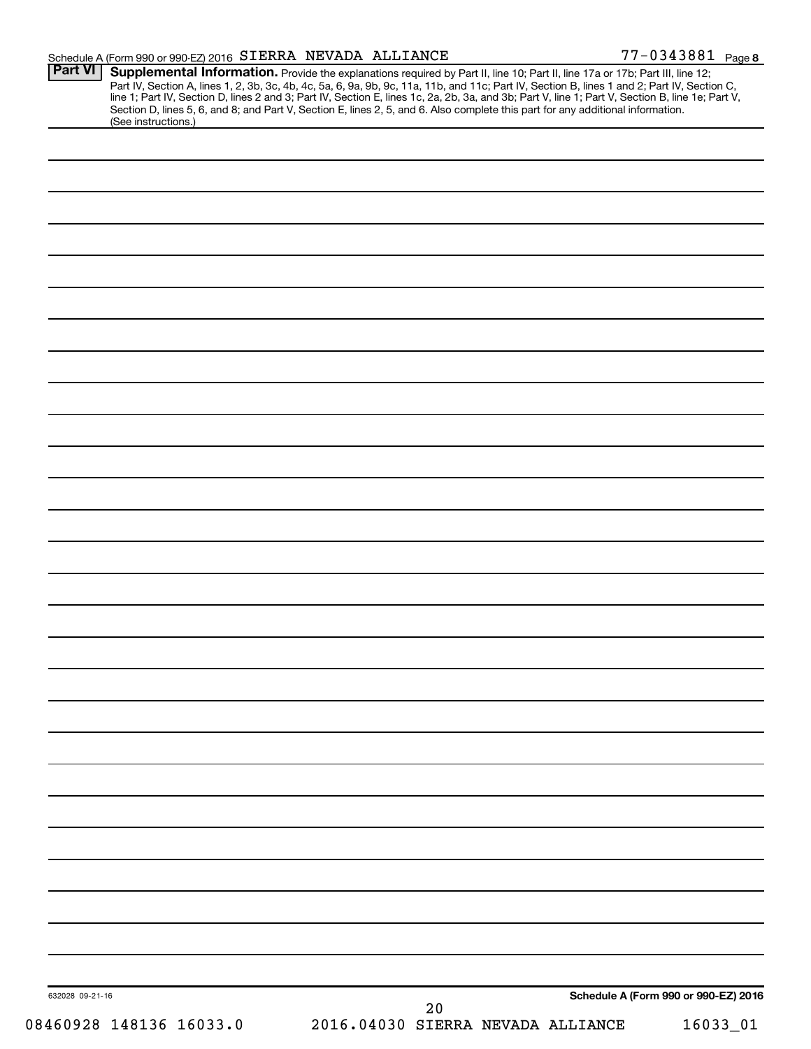| Schedule A (Form 990 or 990-EZ) 2016 SIERRA NEVADA ALLIANCE |                                                                                                                                                                                                                                                                                                                                                                                                                                                                                                                                                                      | 77-0343881 Page 8                    |
|-------------------------------------------------------------|----------------------------------------------------------------------------------------------------------------------------------------------------------------------------------------------------------------------------------------------------------------------------------------------------------------------------------------------------------------------------------------------------------------------------------------------------------------------------------------------------------------------------------------------------------------------|--------------------------------------|
| <b>Part VI</b><br>(See instructions.)                       | Supplemental Information. Provide the explanations required by Part II, line 10; Part II, line 17a or 17b; Part III, line 12;<br>Part IV, Section A, lines 1, 2, 3b, 3c, 4b, 4c, 5a, 6, 9a, 9b, 9c, 11a, 11b, and 11c; Part IV, Section B, lines 1 and 2; Part IV, Section C,<br>line 1; Part IV, Section D, lines 2 and 3; Part IV, Section E, lines 1c, 2a, 2b, 3a, and 3b; Part V, line 1; Part V, Section B, line 1e; Part V,<br>Section D, lines 5, 6, and 8; and Part V, Section E, lines 2, 5, and 6. Also complete this part for any additional information. |                                      |
|                                                             |                                                                                                                                                                                                                                                                                                                                                                                                                                                                                                                                                                      |                                      |
|                                                             |                                                                                                                                                                                                                                                                                                                                                                                                                                                                                                                                                                      |                                      |
|                                                             |                                                                                                                                                                                                                                                                                                                                                                                                                                                                                                                                                                      |                                      |
|                                                             |                                                                                                                                                                                                                                                                                                                                                                                                                                                                                                                                                                      |                                      |
|                                                             |                                                                                                                                                                                                                                                                                                                                                                                                                                                                                                                                                                      |                                      |
|                                                             |                                                                                                                                                                                                                                                                                                                                                                                                                                                                                                                                                                      |                                      |
|                                                             |                                                                                                                                                                                                                                                                                                                                                                                                                                                                                                                                                                      |                                      |
|                                                             |                                                                                                                                                                                                                                                                                                                                                                                                                                                                                                                                                                      |                                      |
|                                                             |                                                                                                                                                                                                                                                                                                                                                                                                                                                                                                                                                                      |                                      |
|                                                             |                                                                                                                                                                                                                                                                                                                                                                                                                                                                                                                                                                      |                                      |
|                                                             |                                                                                                                                                                                                                                                                                                                                                                                                                                                                                                                                                                      |                                      |
|                                                             |                                                                                                                                                                                                                                                                                                                                                                                                                                                                                                                                                                      |                                      |
|                                                             |                                                                                                                                                                                                                                                                                                                                                                                                                                                                                                                                                                      |                                      |
|                                                             |                                                                                                                                                                                                                                                                                                                                                                                                                                                                                                                                                                      |                                      |
|                                                             |                                                                                                                                                                                                                                                                                                                                                                                                                                                                                                                                                                      |                                      |
|                                                             |                                                                                                                                                                                                                                                                                                                                                                                                                                                                                                                                                                      |                                      |
|                                                             |                                                                                                                                                                                                                                                                                                                                                                                                                                                                                                                                                                      |                                      |
|                                                             |                                                                                                                                                                                                                                                                                                                                                                                                                                                                                                                                                                      |                                      |
|                                                             |                                                                                                                                                                                                                                                                                                                                                                                                                                                                                                                                                                      |                                      |
|                                                             |                                                                                                                                                                                                                                                                                                                                                                                                                                                                                                                                                                      |                                      |
|                                                             |                                                                                                                                                                                                                                                                                                                                                                                                                                                                                                                                                                      |                                      |
|                                                             |                                                                                                                                                                                                                                                                                                                                                                                                                                                                                                                                                                      |                                      |
|                                                             |                                                                                                                                                                                                                                                                                                                                                                                                                                                                                                                                                                      |                                      |
|                                                             |                                                                                                                                                                                                                                                                                                                                                                                                                                                                                                                                                                      |                                      |
|                                                             |                                                                                                                                                                                                                                                                                                                                                                                                                                                                                                                                                                      |                                      |
|                                                             |                                                                                                                                                                                                                                                                                                                                                                                                                                                                                                                                                                      |                                      |
|                                                             |                                                                                                                                                                                                                                                                                                                                                                                                                                                                                                                                                                      |                                      |
|                                                             |                                                                                                                                                                                                                                                                                                                                                                                                                                                                                                                                                                      |                                      |
|                                                             |                                                                                                                                                                                                                                                                                                                                                                                                                                                                                                                                                                      |                                      |
|                                                             |                                                                                                                                                                                                                                                                                                                                                                                                                                                                                                                                                                      |                                      |
| 632028 09-21-16                                             | 20                                                                                                                                                                                                                                                                                                                                                                                                                                                                                                                                                                   | Schedule A (Form 990 or 990-EZ) 2016 |
| 08460928 148136 16033.0                                     | 2016.04030 SIERRA NEVADA ALLIANCE                                                                                                                                                                                                                                                                                                                                                                                                                                                                                                                                    | 16033_01                             |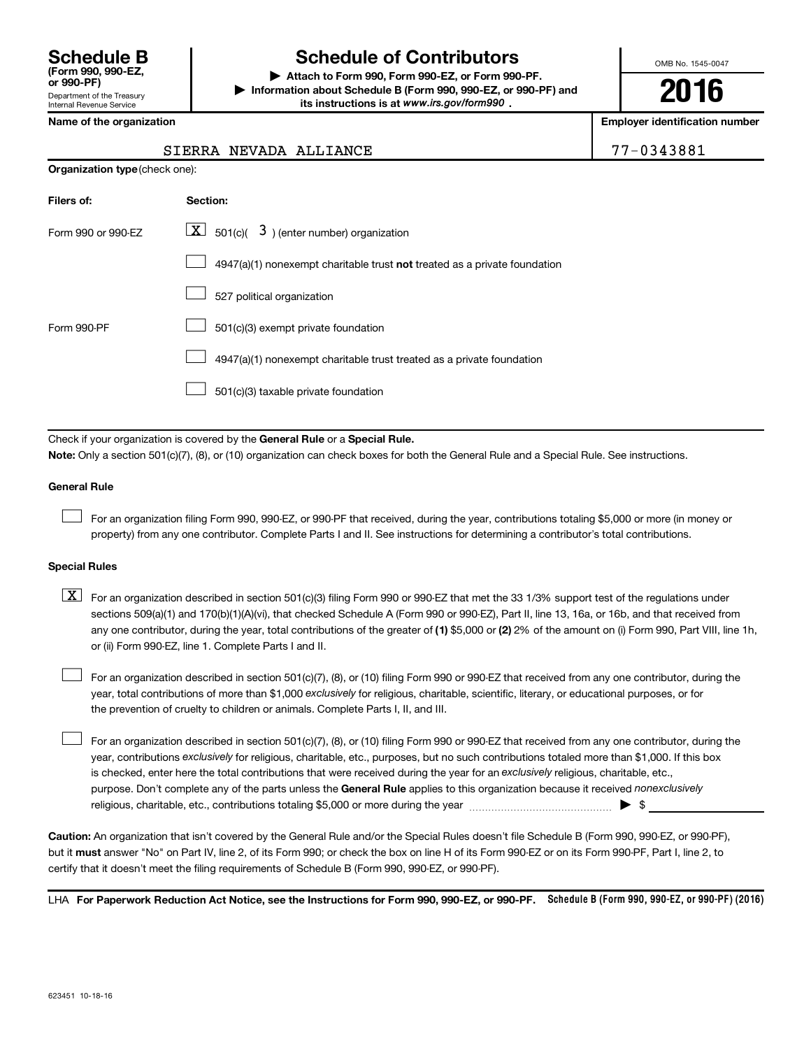## **Schedule B Schedule of Contributors**

**or 990-PF) | Attach to Form 990, Form 990-EZ, or Form 990-PF. | Information about Schedule B (Form 990, 990-EZ, or 990-PF) and** its instructions is at www.irs.gov/form990.

OMB No. 1545-0047

**2016**

**Name of the organization Employer identification number**

| ime or the organization |  |  |  |  |
|-------------------------|--|--|--|--|
|                         |  |  |  |  |

**Organization type** (check one):

#### SIERRA NEVADA ALLIANCE **1990 | 77-0343881**

| Filers of:         | Section:                                                                           |
|--------------------|------------------------------------------------------------------------------------|
| Form 990 or 990-EZ | $\lfloor \underline{X} \rfloor$ 501(c)( 3) (enter number) organization             |
|                    | $4947(a)(1)$ nonexempt charitable trust <b>not</b> treated as a private foundation |
|                    | 527 political organization                                                         |
| Form 990-PF        | 501(c)(3) exempt private foundation                                                |
|                    | 4947(a)(1) nonexempt charitable trust treated as a private foundation              |
|                    | 501(c)(3) taxable private foundation                                               |

Check if your organization is covered by the General Rule or a Special Rule.

**Note:**  Only a section 501(c)(7), (8), or (10) organization can check boxes for both the General Rule and a Special Rule. See instructions.

#### **General Rule**

 $\Box$ 

For an organization filing Form 990, 990-EZ, or 990-PF that received, during the year, contributions totaling \$5,000 or more (in money or property) from any one contributor. Complete Parts I and II. See instructions for determining a contributor's total contributions.

#### **Special Rules**

any one contributor, during the year, total contributions of the greater of **(1)** \$5,000 or **(2)** 2% of the amount on (i) Form 990, Part VIII, line 1h,  $\boxed{\text{X}}$  For an organization described in section 501(c)(3) filing Form 990 or 990-EZ that met the 33 1/3% support test of the regulations under sections 509(a)(1) and 170(b)(1)(A)(vi), that checked Schedule A (Form 990 or 990-EZ), Part II, line 13, 16a, or 16b, and that received from or (ii) Form 990-EZ, line 1. Complete Parts I and II.

year, total contributions of more than \$1,000 *exclusively* for religious, charitable, scientific, literary, or educational purposes, or for For an organization described in section 501(c)(7), (8), or (10) filing Form 990 or 990-EZ that received from any one contributor, during the the prevention of cruelty to children or animals. Complete Parts I, II, and III.  $\Box$ 

purpose. Don't complete any of the parts unless the General Rule applies to this organization because it received nonexclusively year, contributions exclusively for religious, charitable, etc., purposes, but no such contributions totaled more than \$1,000. If this box is checked, enter here the total contributions that were received during the year for an exclusively religious, charitable, etc., For an organization described in section 501(c)(7), (8), or (10) filing Form 990 or 990-EZ that received from any one contributor, during the religious, charitable, etc., contributions totaling \$5,000 or more during the year  $\ldots$  $\ldots$  $\ldots$  $\ldots$  $\ldots$  $\ldots$  $\Box$ 

**Caution:**  An organization that isn't covered by the General Rule and/or the Special Rules doesn't file Schedule B (Form 990, 990-EZ, or 990-PF),  **must** but it answer "No" on Part IV, line 2, of its Form 990; or check the box on line H of its Form 990-EZ or on its Form 990-PF, Part I, line 2, to certify that it doesn't meet the filing requirements of Schedule B (Form 990, 990-EZ, or 990-PF).

LHA For Paperwork Reduction Act Notice, see the Instructions for Form 990, 990-EZ, or 990-PF. Schedule B (Form 990, 990-EZ, or 990-PF) (2016)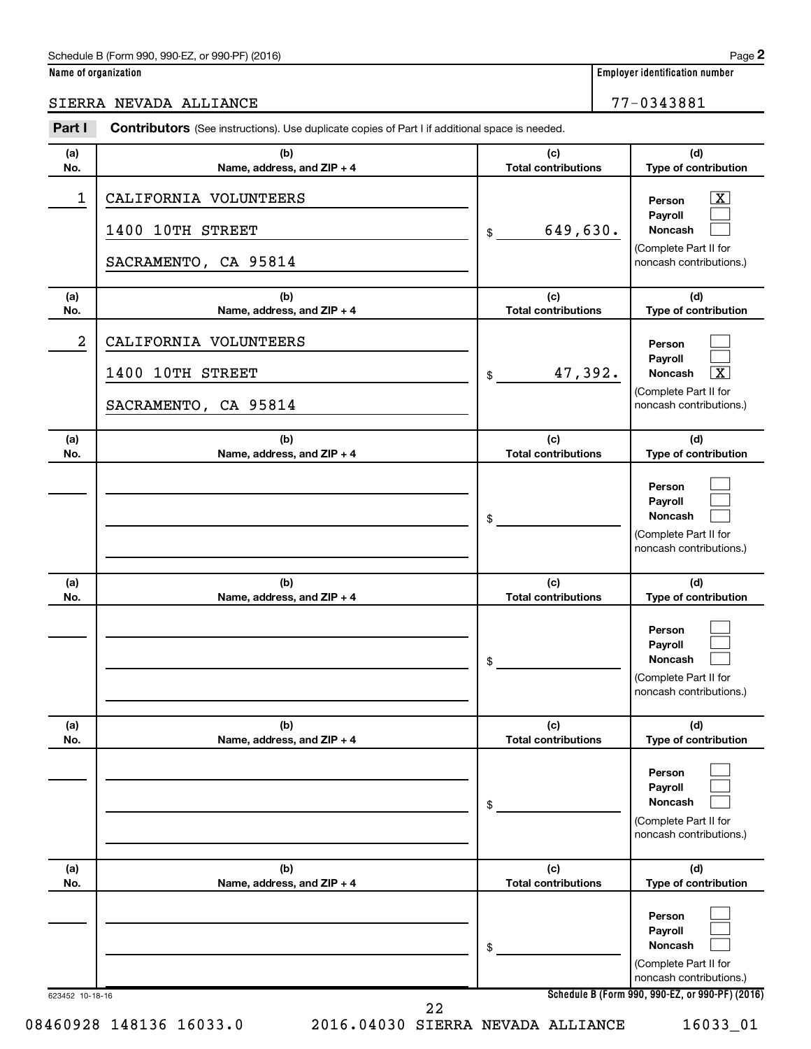#### Schedule B (Form 990, 990-EZ, or 990-PF) (2016)

| Name of organization |  |  |
|----------------------|--|--|
|----------------------|--|--|

### SIERRA NEVADA ALLIANCE 77-0343881

| Part I                  | <b>Contributors</b> (See instructions). Use duplicate copies of Part I if additional space is needed. |                                   |                                                                                                             |
|-------------------------|-------------------------------------------------------------------------------------------------------|-----------------------------------|-------------------------------------------------------------------------------------------------------------|
| (a)<br>No.              | (b)<br>Name, address, and ZIP + 4                                                                     | (c)<br><b>Total contributions</b> | (d)<br>Type of contribution                                                                                 |
| 1                       | CALIFORNIA VOLUNTEERS<br>1400 10TH STREET<br>SACRAMENTO, CA 95814                                     | 649,630.<br>\$                    | $\overline{\mathbf{X}}$<br>Person<br>Payroll<br>Noncash<br>(Complete Part II for<br>noncash contributions.) |
| (a)<br>No.              | (b)<br>Name, address, and ZIP + 4                                                                     | (c)<br><b>Total contributions</b> | (d)<br>Type of contribution                                                                                 |
| $\overline{\mathbf{c}}$ | CALIFORNIA VOLUNTEERS<br>1400 10TH STREET<br>SACRAMENTO, CA 95814                                     | 47,392.<br>\$                     | Person<br>Payroll<br>$\overline{\textbf{x}}$<br>Noncash<br>(Complete Part II for<br>noncash contributions.) |
| (a)<br>No.              | (b)<br>Name, address, and ZIP + 4                                                                     | (c)<br><b>Total contributions</b> | (d)<br>Type of contribution                                                                                 |
|                         |                                                                                                       | \$                                | Person<br>Payroll<br>Noncash<br>(Complete Part II for<br>noncash contributions.)                            |
| (a)<br>No.              | (b)<br>Name, address, and ZIP + 4                                                                     | (c)<br><b>Total contributions</b> | (d)<br>Type of contribution                                                                                 |
|                         |                                                                                                       | \$                                | Person<br>Payroll<br>Noncash<br>(Complete Part II for<br>noncash contributions.)                            |
| (a)<br>No.              | (b)<br>Name, address, and ZIP + 4                                                                     | (c)<br><b>Total contributions</b> | (d)<br>Type of contribution                                                                                 |
|                         |                                                                                                       | \$                                | Person<br>Payroll<br>Noncash<br>(Complete Part II for<br>noncash contributions.)                            |
| (a)<br>No.              | (b)<br>Name, address, and ZIP + 4                                                                     | (c)<br><b>Total contributions</b> | (d)<br>Type of contribution                                                                                 |
|                         |                                                                                                       | \$                                | Person<br>Payroll<br>Noncash<br>(Complete Part II for<br>noncash contributions.)                            |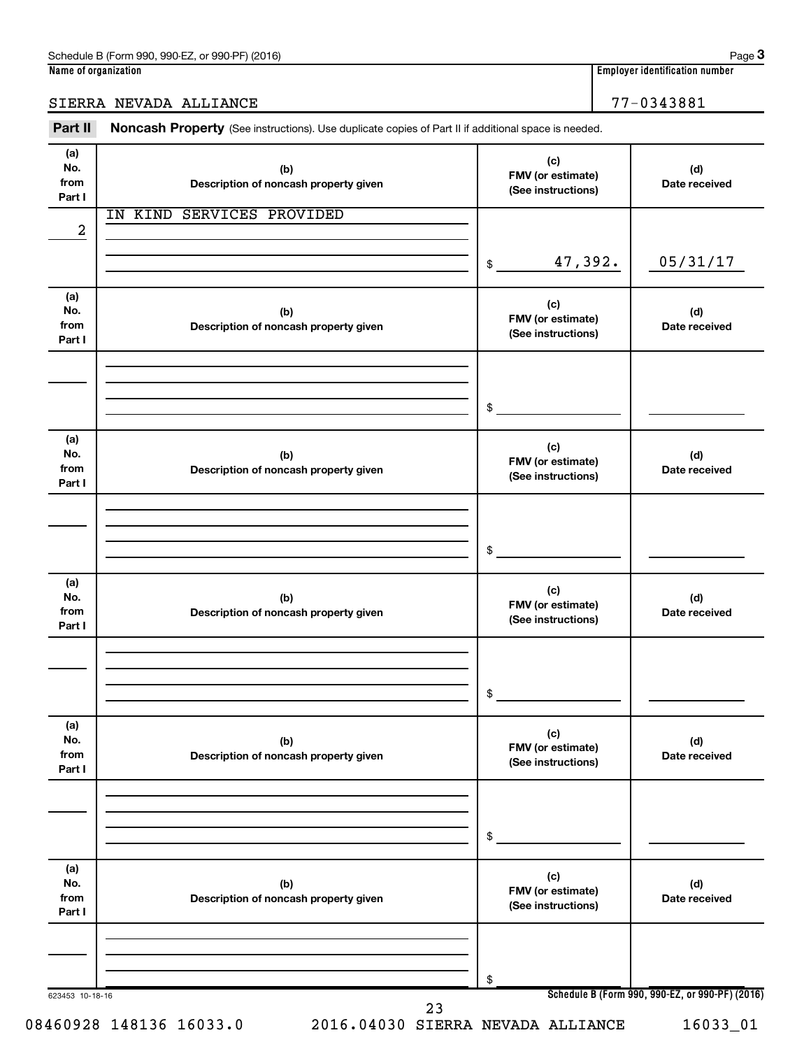### SIERRA NEVADA ALLIANCE 77-0343881

Part II Noncash Property (See instructions). Use duplicate copies of Part II if additional space is needed.

| (a)<br>No.<br>from<br>Part I | (b)<br>Description of noncash property given | (c)<br>FMV (or estimate)<br>(See instructions) | (d)<br>Date received                            |
|------------------------------|----------------------------------------------|------------------------------------------------|-------------------------------------------------|
| $\overline{\mathbf{c}}$      | IN KIND SERVICES PROVIDED                    |                                                |                                                 |
|                              |                                              | 47,392.<br>\$                                  | 05/31/17                                        |
| (a)<br>No.<br>from<br>Part I | (b)<br>Description of noncash property given | (c)<br>FMV (or estimate)<br>(See instructions) | (d)<br>Date received                            |
|                              |                                              | \$                                             |                                                 |
| (a)<br>No.<br>from<br>Part I | (b)<br>Description of noncash property given | (c)<br>FMV (or estimate)<br>(See instructions) | (d)<br>Date received                            |
|                              |                                              | \$                                             |                                                 |
| (a)<br>No.<br>from<br>Part I | (b)<br>Description of noncash property given | (c)<br>FMV (or estimate)<br>(See instructions) | (d)<br>Date received                            |
|                              |                                              | \$                                             |                                                 |
| (a)<br>No.<br>from<br>Part I | (b)<br>Description of noncash property given | (c)<br>FMV (or estimate)<br>(See instructions) | (d)<br>Date received                            |
|                              |                                              | \$                                             |                                                 |
| (a)<br>No.<br>from<br>Part I | (b)<br>Description of noncash property given | (c)<br>FMV (or estimate)<br>(See instructions) | (d)<br>Date received                            |
|                              |                                              | \$                                             |                                                 |
| 623453 10-18-16              | 23                                           |                                                | Schedule B (Form 990, 990-EZ, or 990-PF) (2016) |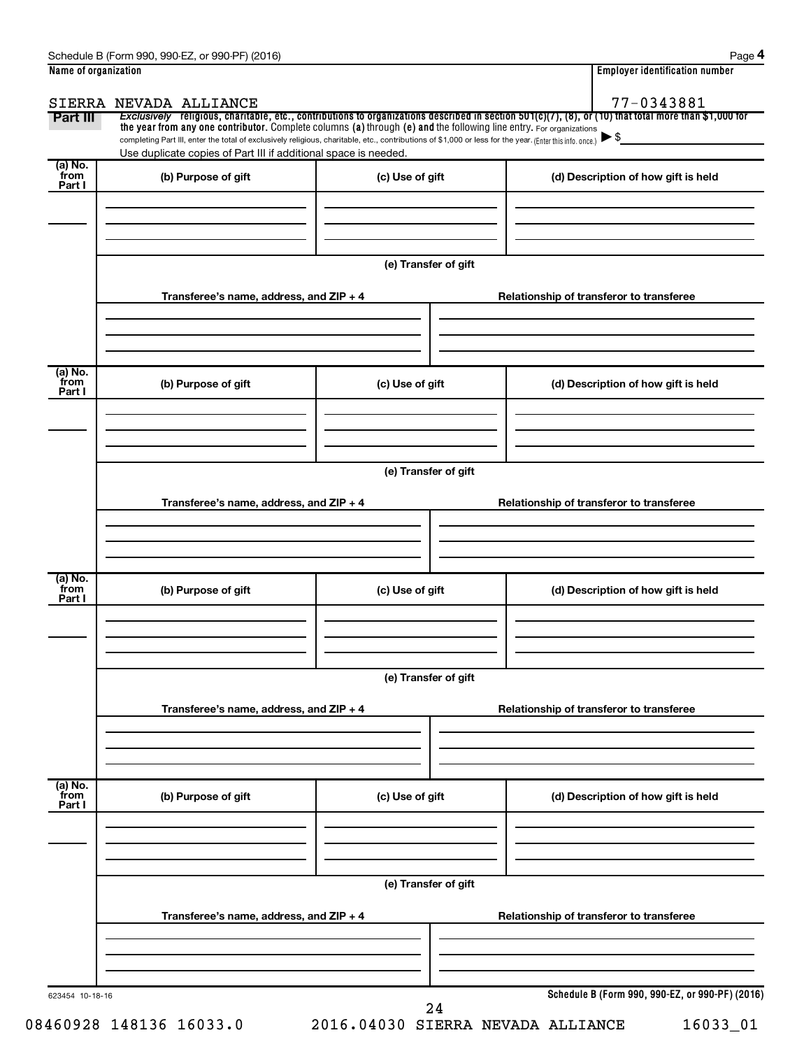| Name of organization      |                                                                                                                                                                                                                                                                                 |                      | <b>Employer identification number</b>                                                                                                                               |
|---------------------------|---------------------------------------------------------------------------------------------------------------------------------------------------------------------------------------------------------------------------------------------------------------------------------|----------------------|---------------------------------------------------------------------------------------------------------------------------------------------------------------------|
| Part III                  | SIERRA NEVADA ALLIANCE                                                                                                                                                                                                                                                          |                      | 77-0343881<br>Exclusively religious, charitable, etc., contributions to organizations described in section 501(c)(7), (8), or (10) that total more than \$1,000 for |
|                           | the year from any one contributor. Complete columns (a) through (e) and the following line entry. For organizations<br>completing Part III, enter the total of exclusively religious, charitable, etc., contributions of \$1,000 or less for the year. (Enter this info. once.) |                      |                                                                                                                                                                     |
|                           | Use duplicate copies of Part III if additional space is needed.                                                                                                                                                                                                                 |                      |                                                                                                                                                                     |
| (a) No.<br>from<br>Part I | (b) Purpose of gift                                                                                                                                                                                                                                                             | (c) Use of gift      | (d) Description of how gift is held                                                                                                                                 |
|                           |                                                                                                                                                                                                                                                                                 |                      |                                                                                                                                                                     |
|                           |                                                                                                                                                                                                                                                                                 | (e) Transfer of gift |                                                                                                                                                                     |
|                           | Transferee's name, address, and ZIP + 4                                                                                                                                                                                                                                         |                      | Relationship of transferor to transferee                                                                                                                            |
|                           |                                                                                                                                                                                                                                                                                 |                      |                                                                                                                                                                     |
| (a) No.<br>from<br>Part I | (b) Purpose of gift                                                                                                                                                                                                                                                             | (c) Use of gift      | (d) Description of how gift is held                                                                                                                                 |
|                           |                                                                                                                                                                                                                                                                                 |                      |                                                                                                                                                                     |
|                           |                                                                                                                                                                                                                                                                                 | (e) Transfer of gift |                                                                                                                                                                     |
|                           | Transferee's name, address, and ZIP + 4                                                                                                                                                                                                                                         |                      | Relationship of transferor to transferee                                                                                                                            |
|                           |                                                                                                                                                                                                                                                                                 |                      |                                                                                                                                                                     |
| (a) No.<br>from<br>Part I | (b) Purpose of gift                                                                                                                                                                                                                                                             | (c) Use of gift      | (d) Description of how gift is held                                                                                                                                 |
|                           |                                                                                                                                                                                                                                                                                 |                      |                                                                                                                                                                     |
|                           |                                                                                                                                                                                                                                                                                 | (e) Transfer of gift |                                                                                                                                                                     |
|                           | Transferee's name, address, and ZIP + 4                                                                                                                                                                                                                                         |                      | Relationship of transferor to transferee                                                                                                                            |
|                           |                                                                                                                                                                                                                                                                                 |                      |                                                                                                                                                                     |
| (a) No.<br>from<br>Part I | (b) Purpose of gift                                                                                                                                                                                                                                                             | (c) Use of gift      | (d) Description of how gift is held                                                                                                                                 |
|                           |                                                                                                                                                                                                                                                                                 |                      |                                                                                                                                                                     |
|                           |                                                                                                                                                                                                                                                                                 | (e) Transfer of gift |                                                                                                                                                                     |
|                           | Transferee's name, address, and ZIP + 4                                                                                                                                                                                                                                         |                      | Relationship of transferor to transferee                                                                                                                            |
|                           |                                                                                                                                                                                                                                                                                 |                      |                                                                                                                                                                     |
| 623454 10-18-16           |                                                                                                                                                                                                                                                                                 |                      | Schedule B (Form 990, 990-EZ, or 990-PF) (2016)                                                                                                                     |

08460928 148136 16033.0 2016.04030 SIERRA NEVADA ALLIANCE 16033\_01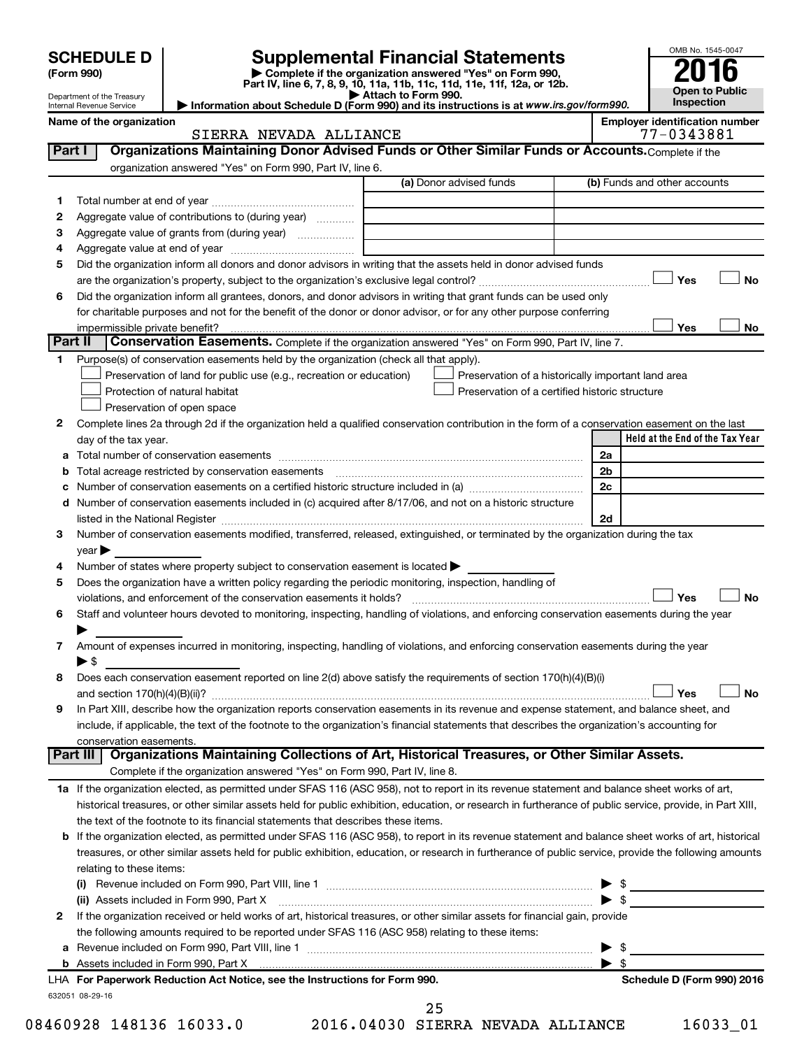|         |                                     |                                                                                                        |                                                                                                                                                                                                                               |    | OMB No. 1545-0047                                   |
|---------|-------------------------------------|--------------------------------------------------------------------------------------------------------|-------------------------------------------------------------------------------------------------------------------------------------------------------------------------------------------------------------------------------|----|-----------------------------------------------------|
|         | <b>SCHEDULE D</b><br>(Form 990)     |                                                                                                        | <b>Supplemental Financial Statements</b><br>Complete if the organization answered "Yes" on Form 990,                                                                                                                          |    |                                                     |
|         | Department of the Treasury          |                                                                                                        | Part IV, line 6, 7, 8, 9, 10, 11a, 11b, 11c, 11d, 11e, 11f, 12a, or 12b.<br>Attach to Form 990.                                                                                                                               |    | <b>Open to Public</b>                               |
|         | Internal Revenue Service            |                                                                                                        | Information about Schedule D (Form 990) and its instructions is at www.irs.gov/form990.                                                                                                                                       |    | <b>Inspection</b>                                   |
|         | Name of the organization            | SIERRA NEVADA ALLIANCE                                                                                 |                                                                                                                                                                                                                               |    | <b>Employer identification number</b><br>77-0343881 |
| Part I  |                                     |                                                                                                        | Organizations Maintaining Donor Advised Funds or Other Similar Funds or Accounts. Complete if the                                                                                                                             |    |                                                     |
|         |                                     | organization answered "Yes" on Form 990, Part IV, line 6.                                              |                                                                                                                                                                                                                               |    |                                                     |
|         |                                     |                                                                                                        | (a) Donor advised funds                                                                                                                                                                                                       |    | (b) Funds and other accounts                        |
| 1       |                                     |                                                                                                        |                                                                                                                                                                                                                               |    |                                                     |
| 2       |                                     | Aggregate value of contributions to (during year)                                                      |                                                                                                                                                                                                                               |    |                                                     |
| З       |                                     | Aggregate value of grants from (during year)                                                           |                                                                                                                                                                                                                               |    |                                                     |
| 4       |                                     |                                                                                                        |                                                                                                                                                                                                                               |    |                                                     |
| 5       |                                     |                                                                                                        | Did the organization inform all donors and donor advisors in writing that the assets held in donor advised funds                                                                                                              |    | Yes<br>No                                           |
| 6       |                                     |                                                                                                        | Did the organization inform all grantees, donors, and donor advisors in writing that grant funds can be used only                                                                                                             |    |                                                     |
|         |                                     |                                                                                                        | for charitable purposes and not for the benefit of the donor or donor advisor, or for any other purpose conferring                                                                                                            |    |                                                     |
|         | impermissible private benefit?      |                                                                                                        |                                                                                                                                                                                                                               |    | Yes<br>No                                           |
| Part II |                                     |                                                                                                        | Conservation Easements. Complete if the organization answered "Yes" on Form 990, Part IV, line 7.                                                                                                                             |    |                                                     |
| 1.      |                                     | Purpose(s) of conservation easements held by the organization (check all that apply).                  |                                                                                                                                                                                                                               |    |                                                     |
|         |                                     | Preservation of land for public use (e.g., recreation or education)                                    | Preservation of a historically important land area                                                                                                                                                                            |    |                                                     |
|         |                                     | Protection of natural habitat                                                                          | Preservation of a certified historic structure                                                                                                                                                                                |    |                                                     |
|         |                                     | Preservation of open space                                                                             |                                                                                                                                                                                                                               |    |                                                     |
| 2       |                                     |                                                                                                        | Complete lines 2a through 2d if the organization held a qualified conservation contribution in the form of a conservation easement on the last                                                                                |    |                                                     |
|         | day of the tax year.                |                                                                                                        |                                                                                                                                                                                                                               |    | Held at the End of the Tax Year                     |
|         |                                     |                                                                                                        |                                                                                                                                                                                                                               | 2a |                                                     |
| b       |                                     | Total acreage restricted by conservation easements                                                     |                                                                                                                                                                                                                               | 2b |                                                     |
| с       |                                     |                                                                                                        |                                                                                                                                                                                                                               | 2c |                                                     |
| d       |                                     |                                                                                                        | Number of conservation easements included in (c) acquired after 8/17/06, and not on a historic structure                                                                                                                      |    |                                                     |
|         |                                     |                                                                                                        | listed in the National Register [111] Marshall Register [11] Marshall Register [11] Marshall Register [11] Marshall Register [11] Marshall Register [11] Marshall Register [11] Marshall Register [11] Marshall Register [11] | 2d |                                                     |
| З       | $\vee$ ear $\blacktriangleright$    |                                                                                                        | Number of conservation easements modified, transferred, released, extinguished, or terminated by the organization during the tax                                                                                              |    |                                                     |
| 4       |                                     | Number of states where property subject to conservation easement is located >                          |                                                                                                                                                                                                                               |    |                                                     |
| 5       |                                     | Does the organization have a written policy regarding the periodic monitoring, inspection, handling of |                                                                                                                                                                                                                               |    |                                                     |
|         |                                     | violations, and enforcement of the conservation easements it holds?                                    |                                                                                                                                                                                                                               |    | Yes<br><b>No</b>                                    |
| 6       |                                     |                                                                                                        | Staff and volunteer hours devoted to monitoring, inspecting, handling of violations, and enforcing conservation easements during the year                                                                                     |    |                                                     |
|         |                                     |                                                                                                        |                                                                                                                                                                                                                               |    |                                                     |
| 7       |                                     |                                                                                                        | Amount of expenses incurred in monitoring, inspecting, handling of violations, and enforcing conservation easements during the year                                                                                           |    |                                                     |
|         | $\blacktriangleright$ \$            |                                                                                                        |                                                                                                                                                                                                                               |    |                                                     |
| 8       |                                     |                                                                                                        | Does each conservation easement reported on line 2(d) above satisfy the requirements of section 170(h)(4)(B)(i)                                                                                                               |    |                                                     |
|         |                                     |                                                                                                        |                                                                                                                                                                                                                               |    | Yes<br>No                                           |
| 9       |                                     |                                                                                                        | In Part XIII, describe how the organization reports conservation easements in its revenue and expense statement, and balance sheet, and                                                                                       |    |                                                     |
|         |                                     |                                                                                                        | include, if applicable, the text of the footnote to the organization's financial statements that describes the organization's accounting for                                                                                  |    |                                                     |
|         | conservation easements.<br>Part III |                                                                                                        | Organizations Maintaining Collections of Art, Historical Treasures, or Other Similar Assets.                                                                                                                                  |    |                                                     |
|         |                                     | Complete if the organization answered "Yes" on Form 990, Part IV, line 8.                              |                                                                                                                                                                                                                               |    |                                                     |
|         |                                     |                                                                                                        | 1a If the organization elected, as permitted under SFAS 116 (ASC 958), not to report in its revenue statement and balance sheet works of art,                                                                                 |    |                                                     |
|         |                                     |                                                                                                        | historical treasures, or other similar assets held for public exhibition, education, or research in furtherance of public service, provide, in Part XIII,                                                                     |    |                                                     |
|         |                                     | the text of the footnote to its financial statements that describes these items.                       |                                                                                                                                                                                                                               |    |                                                     |
|         |                                     |                                                                                                        | <b>b</b> If the organization elected, as permitted under SFAS 116 (ASC 958), to report in its revenue statement and balance sheet works of art, historical                                                                    |    |                                                     |
|         |                                     |                                                                                                        | treasures, or other similar assets held for public exhibition, education, or research in furtherance of public service, provide the following amounts                                                                         |    |                                                     |
|         | relating to these items:            |                                                                                                        |                                                                                                                                                                                                                               |    |                                                     |
|         |                                     |                                                                                                        |                                                                                                                                                                                                                               |    |                                                     |
|         |                                     |                                                                                                        | (ii) Assets included in Form 990, Part X [11] Marson Marson Marson Marson Marson Marson Marson Marson Marson M                                                                                                                |    | $\triangleright$ \$                                 |
| 2       |                                     |                                                                                                        | If the organization received or held works of art, historical treasures, or other similar assets for financial gain, provide                                                                                                  |    |                                                     |
|         |                                     | the following amounts required to be reported under SFAS 116 (ASC 958) relating to these items:        |                                                                                                                                                                                                                               |    |                                                     |
|         |                                     |                                                                                                        |                                                                                                                                                                                                                               |    |                                                     |
|         |                                     | LHA For Paperwork Reduction Act Notice, see the Instructions for Form 990.                             |                                                                                                                                                                                                                               |    | \$<br>Schedule D (Form 990) 2016                    |
|         | 632051 08-29-16                     |                                                                                                        |                                                                                                                                                                                                                               |    |                                                     |

25

08460928 148136 16033.0 2016.04030 SIERRA NEVADA ALLIANCE 16033\_01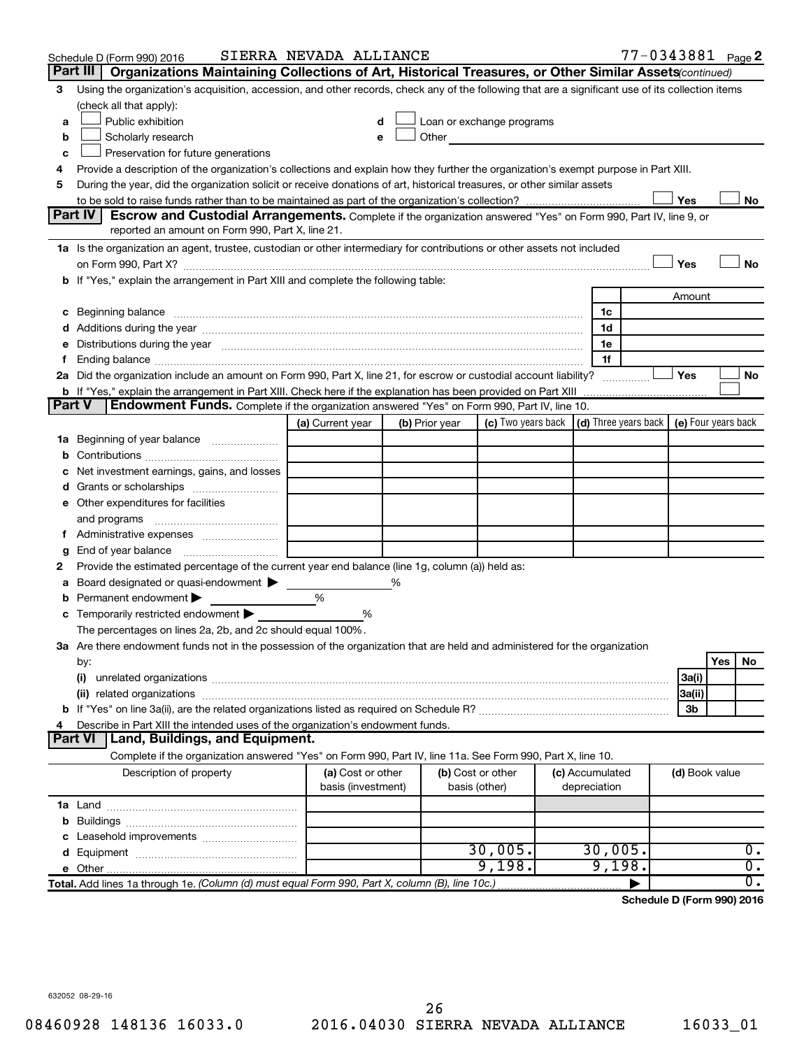|               | Schedule D (Form 990) 2016                                                                                                                                                                                                     | SIERRA NEVADA ALLIANCE                  |   |                |                                                                                                                                                                                                                               |                                 |                | 77-0343881 Page 2                                 |
|---------------|--------------------------------------------------------------------------------------------------------------------------------------------------------------------------------------------------------------------------------|-----------------------------------------|---|----------------|-------------------------------------------------------------------------------------------------------------------------------------------------------------------------------------------------------------------------------|---------------------------------|----------------|---------------------------------------------------|
|               | Part III<br>Organizations Maintaining Collections of Art, Historical Treasures, or Other Similar Assets (continued)                                                                                                            |                                         |   |                |                                                                                                                                                                                                                               |                                 |                |                                                   |
| 3             | Using the organization's acquisition, accession, and other records, check any of the following that are a significant use of its collection items<br>(check all that apply):                                                   |                                         |   |                |                                                                                                                                                                                                                               |                                 |                |                                                   |
| a             | Public exhibition                                                                                                                                                                                                              | d                                       |   |                | Loan or exchange programs                                                                                                                                                                                                     |                                 |                |                                                   |
| b             | Scholarly research                                                                                                                                                                                                             | е                                       |   |                | Other and the contract of the contract of the contract of the contract of the contract of the contract of the contract of the contract of the contract of the contract of the contract of the contract of the contract of the |                                 |                |                                                   |
| c             | Preservation for future generations                                                                                                                                                                                            |                                         |   |                |                                                                                                                                                                                                                               |                                 |                |                                                   |
| 4             | Provide a description of the organization's collections and explain how they further the organization's exempt purpose in Part XIII.                                                                                           |                                         |   |                |                                                                                                                                                                                                                               |                                 |                |                                                   |
| 5             | During the year, did the organization solicit or receive donations of art, historical treasures, or other similar assets                                                                                                       |                                         |   |                |                                                                                                                                                                                                                               |                                 |                |                                                   |
|               |                                                                                                                                                                                                                                |                                         |   |                |                                                                                                                                                                                                                               |                                 | Yes            | No                                                |
|               | Part IV<br><b>Escrow and Custodial Arrangements.</b> Complete if the organization answered "Yes" on Form 990, Part IV, line 9, or                                                                                              |                                         |   |                |                                                                                                                                                                                                                               |                                 |                |                                                   |
|               | reported an amount on Form 990, Part X, line 21.                                                                                                                                                                               |                                         |   |                |                                                                                                                                                                                                                               |                                 |                |                                                   |
|               | 1a Is the organization an agent, trustee, custodian or other intermediary for contributions or other assets not included                                                                                                       |                                         |   |                |                                                                                                                                                                                                                               |                                 |                |                                                   |
|               |                                                                                                                                                                                                                                |                                         |   |                |                                                                                                                                                                                                                               |                                 | Yes            | No                                                |
|               | b If "Yes," explain the arrangement in Part XIII and complete the following table:                                                                                                                                             |                                         |   |                |                                                                                                                                                                                                                               |                                 |                |                                                   |
|               |                                                                                                                                                                                                                                |                                         |   |                |                                                                                                                                                                                                                               |                                 | Amount         |                                                   |
|               | c Beginning balance measurements and the contract of Beginning balance measurements are all the contract of the contract of the contract of the contract of the contract of the contract of the contract of the contract of th |                                         |   |                |                                                                                                                                                                                                                               | 1c                              |                |                                                   |
|               | d Additions during the year manufactured and an according to the year of Additions during the year manufactured and according to Additions during the year manufactured and according to the state of Additions of Additions a |                                         |   |                |                                                                                                                                                                                                                               | 1d                              |                |                                                   |
|               | e Distributions during the year manufactured and continuum control of the control of the control of the state of the control of the control of the control of the control of the control of the control of the control of the  |                                         |   |                |                                                                                                                                                                                                                               | 1e                              |                |                                                   |
| Ť.            | Ending balance measurements are all the contract of the contract of the contract of the contract of the contract of the contract of the contract of the contract of the contract of the contract of the contract of the contra |                                         |   |                |                                                                                                                                                                                                                               | 1f                              |                |                                                   |
|               | 2a Did the organization include an amount on Form 990, Part X, line 21, for escrow or custodial account liability?                                                                                                             |                                         |   |                |                                                                                                                                                                                                                               |                                 | Yes            | No                                                |
|               | <b>b</b> If "Yes," explain the arrangement in Part XIII. Check here if the explanation has been provided on Part XIII                                                                                                          |                                         |   |                |                                                                                                                                                                                                                               |                                 |                |                                                   |
| <b>Part V</b> | <b>Endowment Funds.</b> Complete if the organization answered "Yes" on Form 990, Part IV, line 10.                                                                                                                             |                                         |   |                |                                                                                                                                                                                                                               |                                 |                |                                                   |
|               |                                                                                                                                                                                                                                | (a) Current year                        |   | (b) Prior year | (c) Two years back                                                                                                                                                                                                            |                                 |                | $(d)$ Three years back $\mid$ (e) Four years back |
|               | 1a Beginning of year balance                                                                                                                                                                                                   |                                         |   |                |                                                                                                                                                                                                                               |                                 |                |                                                   |
| b             |                                                                                                                                                                                                                                |                                         |   |                |                                                                                                                                                                                                                               |                                 |                |                                                   |
| с             | Net investment earnings, gains, and losses                                                                                                                                                                                     |                                         |   |                |                                                                                                                                                                                                                               |                                 |                |                                                   |
|               |                                                                                                                                                                                                                                |                                         |   |                |                                                                                                                                                                                                                               |                                 |                |                                                   |
|               | e Other expenditures for facilities                                                                                                                                                                                            |                                         |   |                |                                                                                                                                                                                                                               |                                 |                |                                                   |
|               | and programs                                                                                                                                                                                                                   |                                         |   |                |                                                                                                                                                                                                                               |                                 |                |                                                   |
|               |                                                                                                                                                                                                                                |                                         |   |                |                                                                                                                                                                                                                               |                                 |                |                                                   |
| g             |                                                                                                                                                                                                                                |                                         |   |                |                                                                                                                                                                                                                               |                                 |                |                                                   |
| 2             | Provide the estimated percentage of the current year end balance (line 1g, column (a)) held as:                                                                                                                                |                                         |   |                |                                                                                                                                                                                                                               |                                 |                |                                                   |
| а             | Board designated or quasi-endowment                                                                                                                                                                                            |                                         | % |                |                                                                                                                                                                                                                               |                                 |                |                                                   |
| b             | Permanent endowment                                                                                                                                                                                                            | %                                       |   |                |                                                                                                                                                                                                                               |                                 |                |                                                   |
| С             | Temporarily restricted endowment                                                                                                                                                                                               | %                                       |   |                |                                                                                                                                                                                                                               |                                 |                |                                                   |
|               | The percentages on lines 2a, 2b, and 2c should equal 100%.                                                                                                                                                                     |                                         |   |                |                                                                                                                                                                                                                               |                                 |                |                                                   |
|               | 3a Are there endowment funds not in the possession of the organization that are held and administered for the organization                                                                                                     |                                         |   |                |                                                                                                                                                                                                                               |                                 |                |                                                   |
|               | by:                                                                                                                                                                                                                            |                                         |   |                |                                                                                                                                                                                                                               |                                 |                | Yes<br>No                                         |
|               | (i)                                                                                                                                                                                                                            |                                         |   |                |                                                                                                                                                                                                                               |                                 | 3a(i)          |                                                   |
|               |                                                                                                                                                                                                                                |                                         |   |                |                                                                                                                                                                                                                               |                                 | 3a(ii)         |                                                   |
|               |                                                                                                                                                                                                                                |                                         |   |                |                                                                                                                                                                                                                               |                                 | 3b             |                                                   |
| 4             | Describe in Part XIII the intended uses of the organization's endowment funds.                                                                                                                                                 |                                         |   |                |                                                                                                                                                                                                                               |                                 |                |                                                   |
|               | <b>Land, Buildings, and Equipment.</b><br><b>Part VI</b>                                                                                                                                                                       |                                         |   |                |                                                                                                                                                                                                                               |                                 |                |                                                   |
|               | Complete if the organization answered "Yes" on Form 990, Part IV, line 11a. See Form 990, Part X, line 10.                                                                                                                     |                                         |   |                |                                                                                                                                                                                                                               |                                 |                |                                                   |
|               | Description of property                                                                                                                                                                                                        | (a) Cost or other<br>basis (investment) |   |                | (b) Cost or other<br>basis (other)                                                                                                                                                                                            | (c) Accumulated<br>depreciation | (d) Book value |                                                   |
|               |                                                                                                                                                                                                                                |                                         |   |                |                                                                                                                                                                                                                               |                                 |                |                                                   |
|               |                                                                                                                                                                                                                                |                                         |   |                |                                                                                                                                                                                                                               |                                 |                |                                                   |
|               |                                                                                                                                                                                                                                |                                         |   |                |                                                                                                                                                                                                                               |                                 |                |                                                   |
|               |                                                                                                                                                                                                                                |                                         |   |                | 30,005.                                                                                                                                                                                                                       | 30,005.                         |                | $0$ .                                             |
|               |                                                                                                                                                                                                                                |                                         |   |                | 9,198.                                                                                                                                                                                                                        | 9,198.                          |                | $\overline{0}$ .                                  |
|               | Total. Add lines 1a through 1e. (Column (d) must equal Form 990, Part X, column (B), line 10c.)                                                                                                                                |                                         |   |                |                                                                                                                                                                                                                               |                                 |                | $\overline{0}$ .                                  |
|               |                                                                                                                                                                                                                                |                                         |   |                |                                                                                                                                                                                                                               |                                 |                |                                                   |

**Schedule D (Form 990) 2016**

632052 08-29-16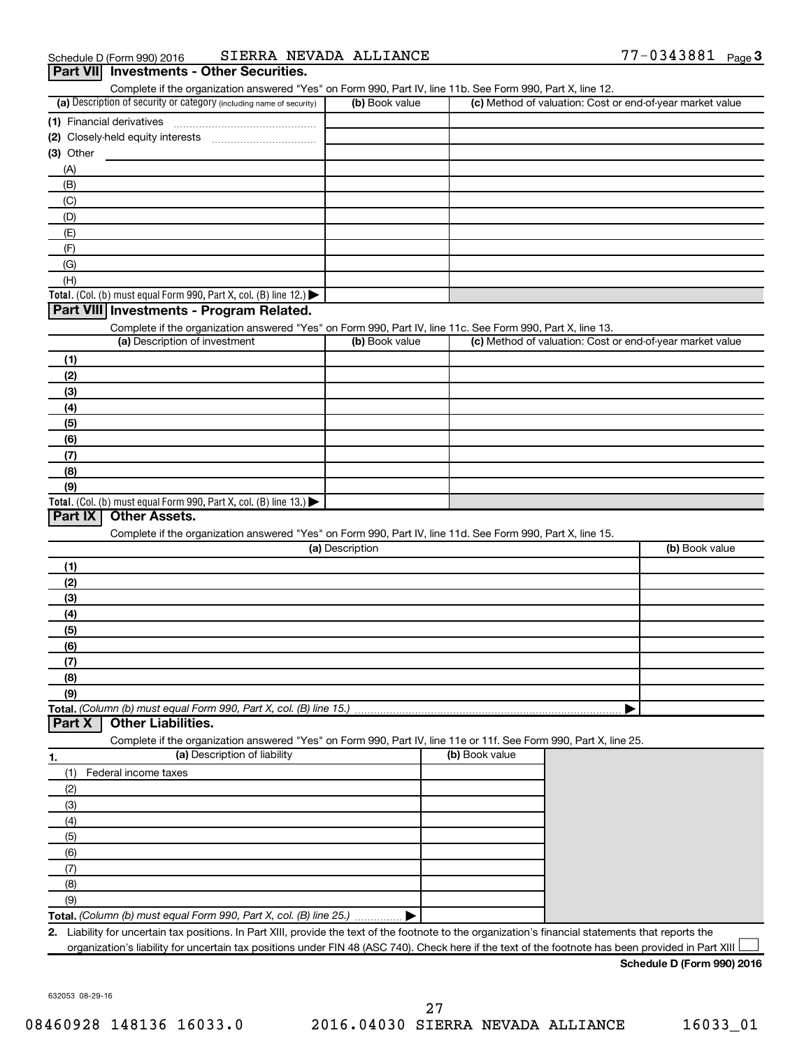| (a) Description of security or category (including name of security)                                              | (b) Book value  | (c) Method of valuation: Cost or end-of-year market value |                |
|-------------------------------------------------------------------------------------------------------------------|-----------------|-----------------------------------------------------------|----------------|
|                                                                                                                   |                 |                                                           |                |
|                                                                                                                   |                 |                                                           |                |
| $(3)$ Other                                                                                                       |                 |                                                           |                |
| (A)                                                                                                               |                 |                                                           |                |
| (B)                                                                                                               |                 |                                                           |                |
| (C)                                                                                                               |                 |                                                           |                |
| (D)                                                                                                               |                 |                                                           |                |
| (E)                                                                                                               |                 |                                                           |                |
| (F)                                                                                                               |                 |                                                           |                |
| (G)                                                                                                               |                 |                                                           |                |
| (H)                                                                                                               |                 |                                                           |                |
| Total. (Col. (b) must equal Form 990, Part X, col. (B) line 12.)                                                  |                 |                                                           |                |
| Part VIII Investments - Program Related.                                                                          |                 |                                                           |                |
| Complete if the organization answered "Yes" on Form 990, Part IV, line 11c. See Form 990, Part X, line 13.        |                 |                                                           |                |
| (a) Description of investment                                                                                     | (b) Book value  | (c) Method of valuation: Cost or end-of-year market value |                |
|                                                                                                                   |                 |                                                           |                |
| (1)                                                                                                               |                 |                                                           |                |
| (2)                                                                                                               |                 |                                                           |                |
| (3)                                                                                                               |                 |                                                           |                |
| (4)                                                                                                               |                 |                                                           |                |
| (5)                                                                                                               |                 |                                                           |                |
| (6)                                                                                                               |                 |                                                           |                |
| (7)                                                                                                               |                 |                                                           |                |
| (8)                                                                                                               |                 |                                                           |                |
| (9)<br>Total. (Col. (b) must equal Form 990, Part X, col. (B) line 13.) $\blacktriangleright$                     |                 |                                                           |                |
| Complete if the organization answered "Yes" on Form 990, Part IV, line 11d. See Form 990, Part X, line 15.        |                 |                                                           |                |
|                                                                                                                   | (a) Description |                                                           |                |
| (1)                                                                                                               |                 |                                                           |                |
| (2)                                                                                                               |                 |                                                           |                |
| (3)                                                                                                               |                 |                                                           |                |
| (4)                                                                                                               |                 |                                                           |                |
| (5)                                                                                                               |                 |                                                           |                |
| (6)                                                                                                               |                 |                                                           |                |
| (7)                                                                                                               |                 |                                                           |                |
| (8)                                                                                                               |                 |                                                           |                |
| (9)                                                                                                               |                 |                                                           |                |
|                                                                                                                   |                 |                                                           |                |
| <b>Other Liabilities.</b>                                                                                         |                 |                                                           |                |
| Complete if the organization answered "Yes" on Form 990, Part IV, line 11e or 11f. See Form 990, Part X, line 25. |                 |                                                           |                |
| (a) Description of liability                                                                                      |                 | (b) Book value                                            |                |
| Federal income taxes<br>(1)                                                                                       |                 |                                                           |                |
| (2)                                                                                                               |                 |                                                           |                |
| (3)                                                                                                               |                 |                                                           |                |
| (4)                                                                                                               |                 |                                                           | (b) Book value |
| (5)                                                                                                               |                 |                                                           |                |
| (6)                                                                                                               |                 |                                                           |                |
| (7)                                                                                                               |                 |                                                           |                |
| Total. (Column (b) must equal Form 990, Part X, col. (B) line 15.)<br>Part X<br>1.<br>(8)                         |                 |                                                           |                |
| (9)                                                                                                               |                 |                                                           |                |

632053 08-29-16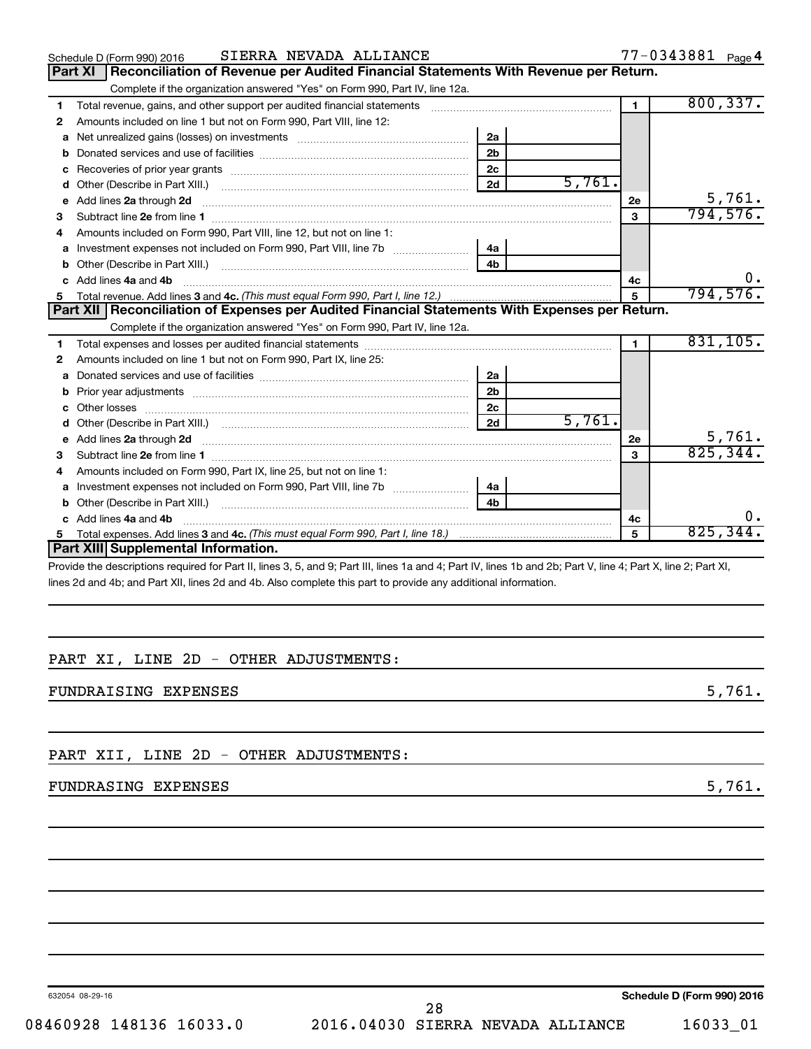|    | SIERRA NEVADA ALLIANCE<br>Schedule D (Form 990) 2016                                                                                                                                                                                |                |        |                | 77-0343881 Page 4 |    |
|----|-------------------------------------------------------------------------------------------------------------------------------------------------------------------------------------------------------------------------------------|----------------|--------|----------------|-------------------|----|
|    | Reconciliation of Revenue per Audited Financial Statements With Revenue per Return.<br><b>Part XI</b>                                                                                                                               |                |        |                |                   |    |
|    | Complete if the organization answered "Yes" on Form 990, Part IV, line 12a.                                                                                                                                                         |                |        |                |                   |    |
| 1  | Total revenue, gains, and other support per audited financial statements [[[[[[[[[[[[[[[[[[[[[[]]]]]]]]]]]]]]                                                                                                                       |                |        | $\blacksquare$ | 800, 337.         |    |
| 2  | Amounts included on line 1 but not on Form 990, Part VIII, line 12:                                                                                                                                                                 |                |        |                |                   |    |
| a  |                                                                                                                                                                                                                                     | 2a             |        |                |                   |    |
| b  |                                                                                                                                                                                                                                     | 2 <sub>b</sub> |        |                |                   |    |
| c  |                                                                                                                                                                                                                                     | 2 <sub>c</sub> |        |                |                   |    |
| d  |                                                                                                                                                                                                                                     | 2d             | 5,761. |                |                   |    |
| е  |                                                                                                                                                                                                                                     |                |        | 2e             | 5,761.            |    |
| З  |                                                                                                                                                                                                                                     |                |        | $\mathbf{a}$   | 794,576.          |    |
| 4  | Amounts included on Form 990. Part VIII. line 12, but not on line 1:                                                                                                                                                                |                |        |                |                   |    |
|    |                                                                                                                                                                                                                                     | - 4a           |        |                |                   |    |
| b  |                                                                                                                                                                                                                                     | 4 <sub>h</sub> |        |                |                   |    |
| c. | Add lines 4a and 4b                                                                                                                                                                                                                 |                |        | 4c             |                   |    |
|    |                                                                                                                                                                                                                                     |                |        | $5^{\circ}$    | 794,576.          |    |
|    | Part XII   Reconciliation of Expenses per Audited Financial Statements With Expenses per Return.                                                                                                                                    |                |        |                |                   |    |
|    | Complete if the organization answered "Yes" on Form 990, Part IV, line 12a.                                                                                                                                                         |                |        |                |                   |    |
| 1  |                                                                                                                                                                                                                                     |                |        |                | 831,105.          |    |
| 2  | Amounts included on line 1 but not on Form 990, Part IX, line 25:                                                                                                                                                                   |                |        |                |                   |    |
| a  |                                                                                                                                                                                                                                     | 2a             |        |                |                   |    |
| b  |                                                                                                                                                                                                                                     | 2 <sub>b</sub> |        |                |                   |    |
| c  | Other losses                                                                                                                                                                                                                        | 2c             |        |                |                   |    |
| d  |                                                                                                                                                                                                                                     | 2d             | 5,761. |                |                   |    |
| e  | Add lines 2a through 2d <b>contained a contained a contained a contained a</b> contained a contact the contact of the contact of the contact of the contact of the contact of the contact of the contact of the contact of the cont |                |        | 2е             | 5,761.            |    |
| З  | Subtract line 2e from line 1 <b>manufacture in the contract of the 2e</b> from line 1                                                                                                                                               |                |        | 3              | 825, 344.         |    |
|    | Amounts included on Form 990, Part IX, line 25, but not on line 1:                                                                                                                                                                  |                |        |                |                   |    |
| a  | Investment expenses not included on Form 990, Part VIII, line 7b                                                                                                                                                                    | 4a             |        |                |                   |    |
| b  |                                                                                                                                                                                                                                     | 4 <sub>b</sub> |        |                |                   |    |
| c. | Add lines 4a and 4b                                                                                                                                                                                                                 |                |        | 4c             |                   | υ. |
| 5  |                                                                                                                                                                                                                                     |                |        | 5              | 825, 344.         |    |
|    | Part XIII Supplemental Information.                                                                                                                                                                                                 |                |        |                |                   |    |
|    | . Also be also control of the Dealth Reserved Departies and Associated and Associated and Obs Dealth Reserved Dealth Reserved Dealth                                                                                                |                |        |                |                   |    |

Provide the descriptions required for Part II, lines 3, 5, and 9; Part III, lines 1a and 4; Part IV, lines 1b and 2b; Part V, line 4; Part X, line 2; Part XI, lines 2d and 4b; and Part XII, lines 2d and 4b. Also complete this part to provide any additional information.

#### PART XI, LINE 2D - OTHER ADJUSTMENTS:

FUNDRAISING EXPENSES 5,761.

PART XII, LINE 2D - OTHER ADJUSTMENTS:

#### FUNDRASING EXPENSES 5,761.

632054 08-29-16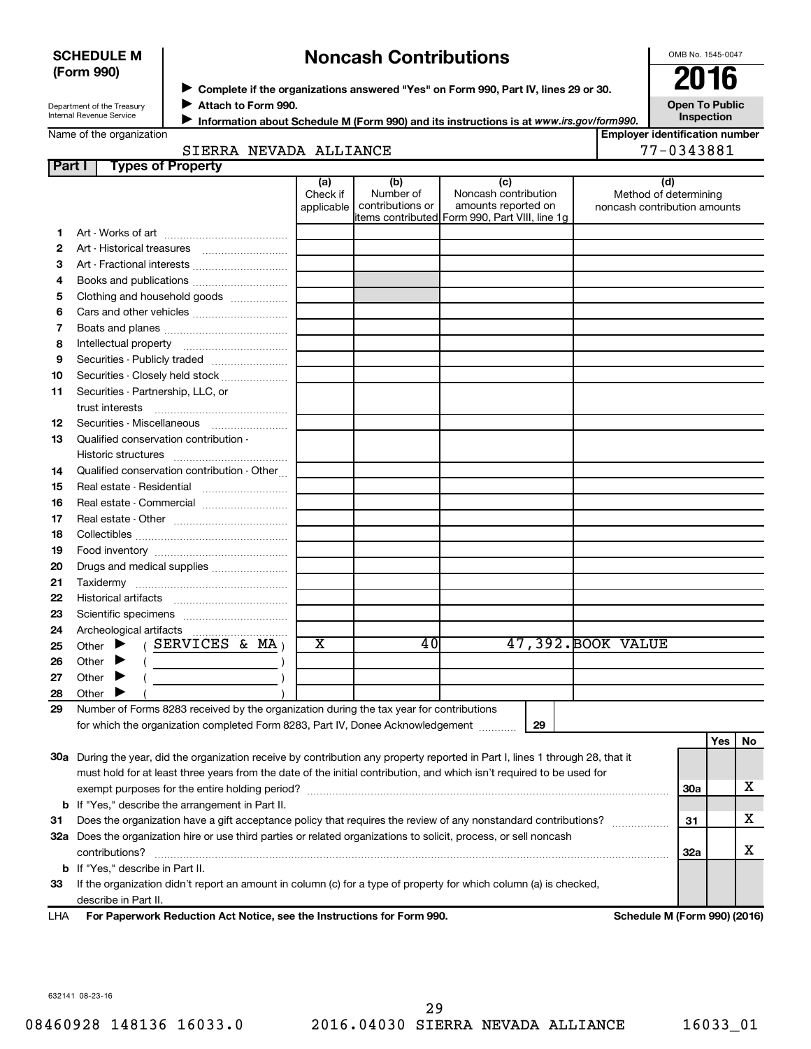#### **SCHEDULE M (Form 990)**

## **Noncash Contributions**

OMB No. 1545-0047

| Department of the Treasury |
|----------------------------|
| Internal Revenue Service   |

◆ Complete if the organizations answered "Yes" on Form 990, Part IV, lines 29 or 30.<br>● **2016 Attach to Form 990.** J

**Open To Public Inspection**

| Name of the organization |
|--------------------------|
|                          |

**Information about Schedule M (Form 990) and its instructions is at www.irs.gov/form990.** 

|  |  | ,,,,,,,,,, |  |  |  |  |  |
|--|--|------------|--|--|--|--|--|

| <b>Employer identification number</b> |              |  |
|---------------------------------------|--------------|--|
|                                       | 10001.001 דד |  |

|  | ame or the organization |  |
|--|-------------------------|--|
|  |                         |  |

| 77-0343881<br>SIERRA NEVADA ALLIANCE |
|--------------------------------------|
|--------------------------------------|

| Part I | <b>Types of Property</b>                                                                                                                                                                                                                                                                                                                                                                                                                                                                                                                                                                                          |                               |                                      |                                                    |                                                              |     |     |    |
|--------|-------------------------------------------------------------------------------------------------------------------------------------------------------------------------------------------------------------------------------------------------------------------------------------------------------------------------------------------------------------------------------------------------------------------------------------------------------------------------------------------------------------------------------------------------------------------------------------------------------------------|-------------------------------|--------------------------------------|----------------------------------------------------|--------------------------------------------------------------|-----|-----|----|
|        |                                                                                                                                                                                                                                                                                                                                                                                                                                                                                                                                                                                                                   | (a)<br>Check if<br>applicable | (b)<br>Number of<br>contributions or | (c)<br>Noncash contribution<br>amounts reported on | (d)<br>Method of determining<br>noncash contribution amounts |     |     |    |
|        |                                                                                                                                                                                                                                                                                                                                                                                                                                                                                                                                                                                                                   |                               |                                      | items contributed Form 990, Part VIII, line 1g     |                                                              |     |     |    |
| 1      |                                                                                                                                                                                                                                                                                                                                                                                                                                                                                                                                                                                                                   |                               |                                      |                                                    |                                                              |     |     |    |
| 2      |                                                                                                                                                                                                                                                                                                                                                                                                                                                                                                                                                                                                                   |                               |                                      |                                                    |                                                              |     |     |    |
| З      |                                                                                                                                                                                                                                                                                                                                                                                                                                                                                                                                                                                                                   |                               |                                      |                                                    |                                                              |     |     |    |
| 4      |                                                                                                                                                                                                                                                                                                                                                                                                                                                                                                                                                                                                                   |                               |                                      |                                                    |                                                              |     |     |    |
| 5      | Clothing and household goods                                                                                                                                                                                                                                                                                                                                                                                                                                                                                                                                                                                      |                               |                                      |                                                    |                                                              |     |     |    |
| 6      |                                                                                                                                                                                                                                                                                                                                                                                                                                                                                                                                                                                                                   |                               |                                      |                                                    |                                                              |     |     |    |
| 7      |                                                                                                                                                                                                                                                                                                                                                                                                                                                                                                                                                                                                                   |                               |                                      |                                                    |                                                              |     |     |    |
| 8      |                                                                                                                                                                                                                                                                                                                                                                                                                                                                                                                                                                                                                   |                               |                                      |                                                    |                                                              |     |     |    |
| 9      | Securities - Publicly traded                                                                                                                                                                                                                                                                                                                                                                                                                                                                                                                                                                                      |                               |                                      |                                                    |                                                              |     |     |    |
| 10     | Securities - Closely held stock                                                                                                                                                                                                                                                                                                                                                                                                                                                                                                                                                                                   |                               |                                      |                                                    |                                                              |     |     |    |
| 11     | Securities - Partnership, LLC, or<br>trust interests                                                                                                                                                                                                                                                                                                                                                                                                                                                                                                                                                              |                               |                                      |                                                    |                                                              |     |     |    |
| 12     |                                                                                                                                                                                                                                                                                                                                                                                                                                                                                                                                                                                                                   |                               |                                      |                                                    |                                                              |     |     |    |
| 13     | Qualified conservation contribution -                                                                                                                                                                                                                                                                                                                                                                                                                                                                                                                                                                             |                               |                                      |                                                    |                                                              |     |     |    |
|        |                                                                                                                                                                                                                                                                                                                                                                                                                                                                                                                                                                                                                   |                               |                                      |                                                    |                                                              |     |     |    |
| 14     | Qualified conservation contribution - Other                                                                                                                                                                                                                                                                                                                                                                                                                                                                                                                                                                       |                               |                                      |                                                    |                                                              |     |     |    |
| 15     | Real estate - Residential                                                                                                                                                                                                                                                                                                                                                                                                                                                                                                                                                                                         |                               |                                      |                                                    |                                                              |     |     |    |
| 16     | Real estate - Commercial                                                                                                                                                                                                                                                                                                                                                                                                                                                                                                                                                                                          |                               |                                      |                                                    |                                                              |     |     |    |
| 17     |                                                                                                                                                                                                                                                                                                                                                                                                                                                                                                                                                                                                                   |                               |                                      |                                                    |                                                              |     |     |    |
| 18     |                                                                                                                                                                                                                                                                                                                                                                                                                                                                                                                                                                                                                   |                               |                                      |                                                    |                                                              |     |     |    |
| 19     |                                                                                                                                                                                                                                                                                                                                                                                                                                                                                                                                                                                                                   |                               |                                      |                                                    |                                                              |     |     |    |
| 20     | Drugs and medical supplies                                                                                                                                                                                                                                                                                                                                                                                                                                                                                                                                                                                        |                               |                                      |                                                    |                                                              |     |     |    |
| 21     |                                                                                                                                                                                                                                                                                                                                                                                                                                                                                                                                                                                                                   |                               |                                      |                                                    |                                                              |     |     |    |
| 22     |                                                                                                                                                                                                                                                                                                                                                                                                                                                                                                                                                                                                                   |                               |                                      |                                                    |                                                              |     |     |    |
| 23     |                                                                                                                                                                                                                                                                                                                                                                                                                                                                                                                                                                                                                   |                               |                                      |                                                    |                                                              |     |     |    |
| 24     |                                                                                                                                                                                                                                                                                                                                                                                                                                                                                                                                                                                                                   |                               |                                      |                                                    |                                                              |     |     |    |
| 25     | (SERVICES & MA)<br>Other $\blacktriangleright$                                                                                                                                                                                                                                                                                                                                                                                                                                                                                                                                                                    | х                             | 40                                   |                                                    | 47,392. BOOK VALUE                                           |     |     |    |
| 26     | Other $\blacktriangleright$<br>$\left(\begin{array}{ccc} \begin{array}{ccc} \end{array} & \begin{array}{ccc} \end{array} & \begin{array}{ccc} \end{array} & \begin{array}{ccc} \end{array} & \begin{array}{ccc} \end{array} & \begin{array}{ccc} \end{array} & \begin{array}{ccc} \end{array} & \begin{array}{ccc} \end{array} & \begin{array}{ccc} \end{array} & \begin{array}{ccc} \end{array} & \begin{array}{ccc} \end{array} & \begin{array}{ccc} \end{array} & \begin{array}{ccc} \end{array} & \begin{array}{ccc} \end{array} & \begin{array}{ccc} \end{array} & \begin{array}{ccc} \end{array} & \begin{$ |                               |                                      |                                                    |                                                              |     |     |    |
| 27     | Other $\blacktriangleright$                                                                                                                                                                                                                                                                                                                                                                                                                                                                                                                                                                                       |                               |                                      |                                                    |                                                              |     |     |    |
| 28     | Other $\blacktriangleright$                                                                                                                                                                                                                                                                                                                                                                                                                                                                                                                                                                                       |                               |                                      |                                                    |                                                              |     |     |    |
| 29     | Number of Forms 8283 received by the organization during the tax year for contributions                                                                                                                                                                                                                                                                                                                                                                                                                                                                                                                           |                               |                                      |                                                    |                                                              |     |     |    |
|        | for which the organization completed Form 8283, Part IV, Donee Acknowledgement                                                                                                                                                                                                                                                                                                                                                                                                                                                                                                                                    |                               |                                      | 29                                                 |                                                              |     |     |    |
|        |                                                                                                                                                                                                                                                                                                                                                                                                                                                                                                                                                                                                                   |                               |                                      |                                                    |                                                              |     | Yes | No |
|        | 30a During the year, did the organization receive by contribution any property reported in Part I, lines 1 through 28, that it                                                                                                                                                                                                                                                                                                                                                                                                                                                                                    |                               |                                      |                                                    |                                                              |     |     |    |
|        | must hold for at least three years from the date of the initial contribution, and which isn't required to be used for                                                                                                                                                                                                                                                                                                                                                                                                                                                                                             |                               |                                      |                                                    |                                                              |     |     |    |
|        |                                                                                                                                                                                                                                                                                                                                                                                                                                                                                                                                                                                                                   |                               |                                      |                                                    |                                                              | 30a |     | x  |
|        | <b>b</b> If "Yes," describe the arrangement in Part II.                                                                                                                                                                                                                                                                                                                                                                                                                                                                                                                                                           |                               |                                      |                                                    |                                                              |     |     |    |
| 31     | Does the organization have a gift acceptance policy that requires the review of any nonstandard contributions?                                                                                                                                                                                                                                                                                                                                                                                                                                                                                                    |                               |                                      |                                                    |                                                              | 31  |     | x  |
|        | 32a Does the organization hire or use third parties or related organizations to solicit, process, or sell noncash                                                                                                                                                                                                                                                                                                                                                                                                                                                                                                 |                               |                                      |                                                    |                                                              |     |     |    |
|        | contributions?                                                                                                                                                                                                                                                                                                                                                                                                                                                                                                                                                                                                    |                               |                                      |                                                    |                                                              | 32a |     | x  |
|        | <b>b</b> If "Yes," describe in Part II.                                                                                                                                                                                                                                                                                                                                                                                                                                                                                                                                                                           |                               |                                      |                                                    |                                                              |     |     |    |
| 33     | If the organization didn't report an amount in column (c) for a type of property for which column (a) is checked,                                                                                                                                                                                                                                                                                                                                                                                                                                                                                                 |                               |                                      |                                                    |                                                              |     |     |    |
|        | describe in Part II.                                                                                                                                                                                                                                                                                                                                                                                                                                                                                                                                                                                              |                               |                                      |                                                    |                                                              |     |     |    |
| LHA    | For Paperwork Reduction Act Notice, see the Instructions for Form 990.                                                                                                                                                                                                                                                                                                                                                                                                                                                                                                                                            |                               |                                      |                                                    | Schedule M (Form 990) (2016)                                 |     |     |    |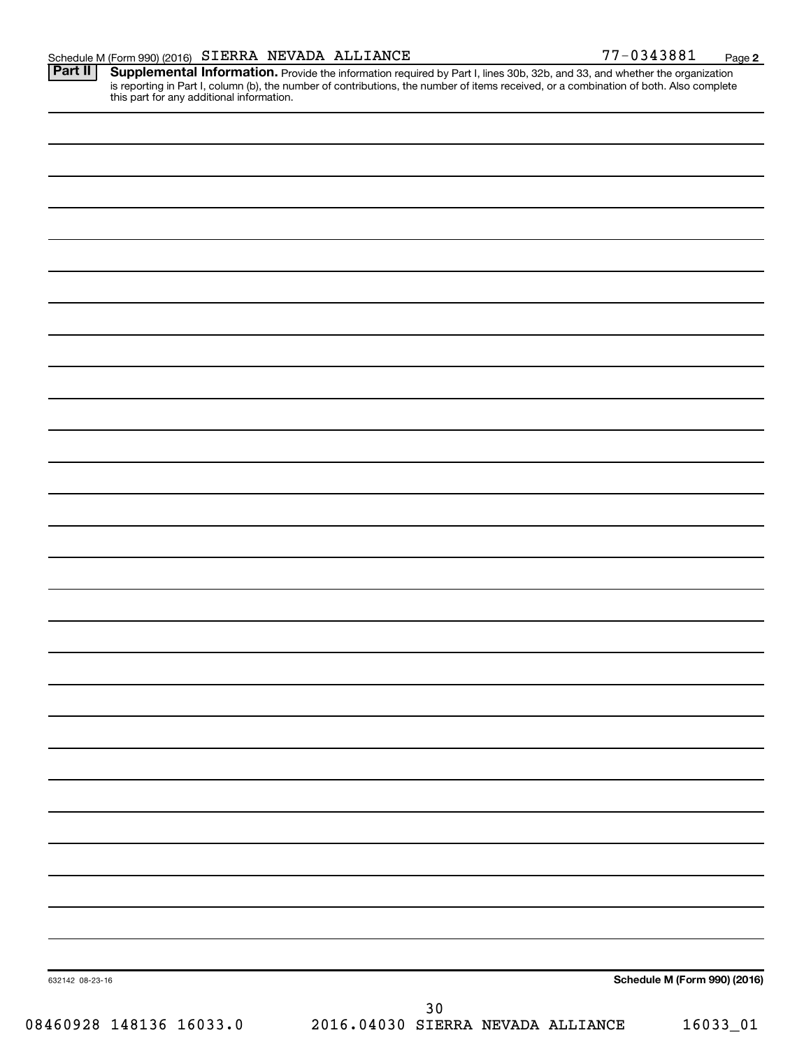Provide the information required by Part I, lines 30b, 32b, and 33, and whether the organization is reporting in Part I, column (b), the number of contributions, the number of items received, or a combination of both. Also complete this part for any additional information. **Part II Supplemental Information.** 

|                         |                                           | Schedule M (Form 990) (2016) |
|-------------------------|-------------------------------------------|------------------------------|
| 632142 08-23-16         |                                           |                              |
| 08460928 148136 16033.0 | $30$<br>2016.04030 SIERRA NEVADA ALLIANCE | 16033_01                     |
|                         |                                           |                              |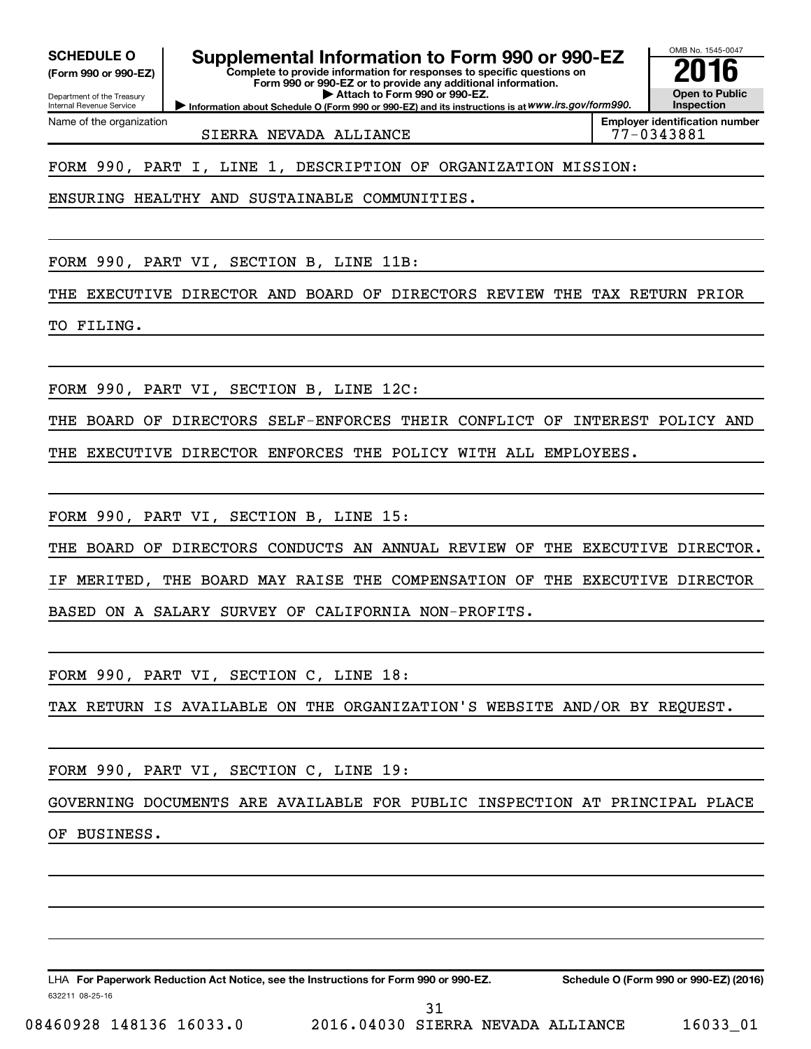Department of the Treasury **(Form 990 or 990-EZ)**

Name of the organization

Internal Revenue Service

**SCHEDULE O Supplemental Information to Form 990 or 990-EZ 2016**

**Complete to provide information for responses to specific questions on Form 990 or 990-EZ or to provide any additional information. | Attach to Form 990 or 990-EZ.**

**Information about Schedule O (Form 990 or 990-EZ) and its instructions is at WWW.irs.gov/form990.** 

OMB No. 1545-0047 **Open to Public Inspection**

**Employer identification number**

SIERRA NEVADA ALLIANCE 77-0343881

FORM 990, PART I, LINE 1, DESCRIPTION OF ORGANIZATION MISSION:

ENSURING HEALTHY AND SUSTAINABLE COMMUNITIES.

FORM 990, PART VI, SECTION B, LINE 11B:

THE EXECUTIVE DIRECTOR AND BOARD OF DIRECTORS REVIEW THE TAX RETURN PRIOR

TO FILING.

FORM 990, PART VI, SECTION B, LINE 12C:

THE BOARD OF DIRECTORS SELF-ENFORCES THEIR CONFLICT OF INTEREST POLICY AND

THE EXECUTIVE DIRECTOR ENFORCES THE POLICY WITH ALL EMPLOYEES.

FORM 990, PART VI, SECTION B, LINE 15:

THE BOARD OF DIRECTORS CONDUCTS AN ANNUAL REVIEW OF THE EXECUTIVE DIRECTOR. IF MERITED, THE BOARD MAY RAISE THE COMPENSATION OF THE EXECUTIVE DIRECTOR BASED ON A SALARY SURVEY OF CALIFORNIA NON-PROFITS.

FORM 990, PART VI, SECTION C, LINE 18:

TAX RETURN IS AVAILABLE ON THE ORGANIZATION'S WEBSITE AND/OR BY REQUEST.

FORM 990, PART VI, SECTION C, LINE 19:

GOVERNING DOCUMENTS ARE AVAILABLE FOR PUBLIC INSPECTION AT PRINCIPAL PLACE

OF BUSINESS.

632211 08-25-16 LHA For Paperwork Reduction Act Notice, see the Instructions for Form 990 or 990-EZ. Schedule O (Form 990 or 990-EZ) (2016)

08460928 148136 16033.0 2016.04030 SIERRA NEVADA ALLIANCE 16033\_01 31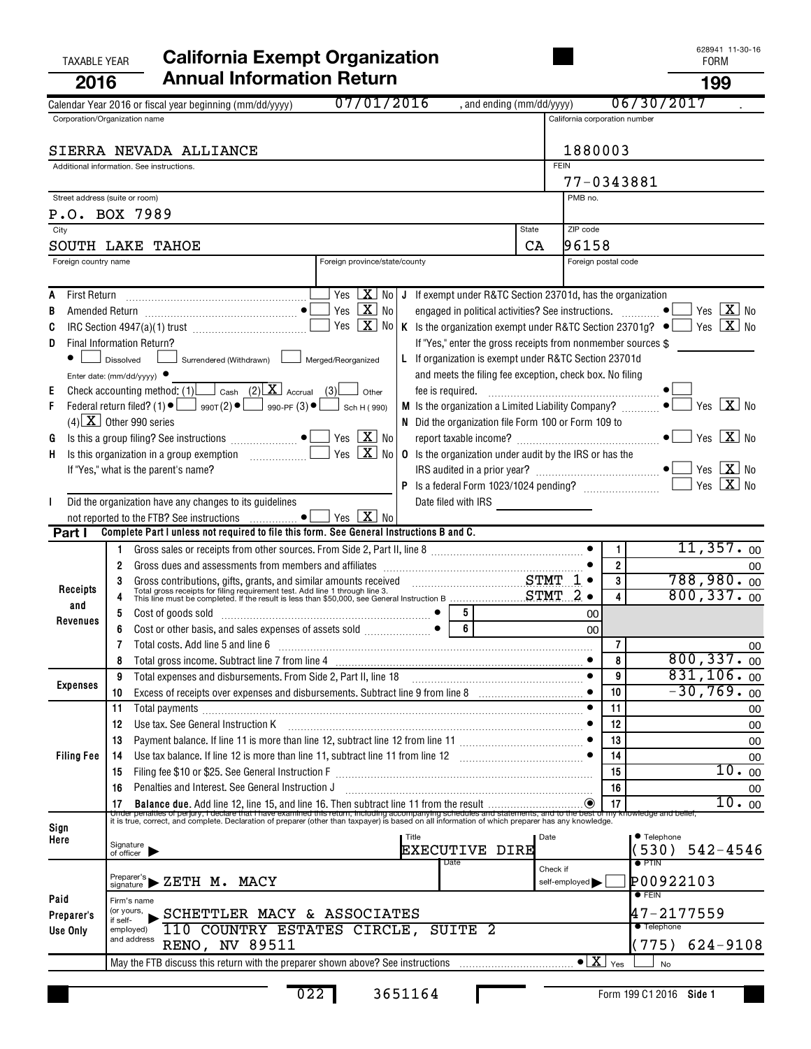| 2016                 | <b>Annual Information Return</b>                                                                                                                                                                                                                                                                                               |                                                                   |                               |                      | 199                         |
|----------------------|--------------------------------------------------------------------------------------------------------------------------------------------------------------------------------------------------------------------------------------------------------------------------------------------------------------------------------|-------------------------------------------------------------------|-------------------------------|----------------------|-----------------------------|
|                      | 07/01/2016<br>Calendar Year 2016 or fiscal year beginning (mm/dd/yyyy)                                                                                                                                                                                                                                                         | , and ending (mm/dd/yyyy)                                         |                               | 06/30/2017           |                             |
|                      | Corporation/Organization name                                                                                                                                                                                                                                                                                                  |                                                                   | California corporation number |                      |                             |
|                      |                                                                                                                                                                                                                                                                                                                                |                                                                   |                               |                      |                             |
|                      | SIERRA NEVADA ALLIANCE                                                                                                                                                                                                                                                                                                         |                                                                   | 1880003                       |                      |                             |
|                      | Additional information. See instructions.                                                                                                                                                                                                                                                                                      |                                                                   | <b>FEIN</b>                   |                      |                             |
|                      |                                                                                                                                                                                                                                                                                                                                |                                                                   |                               | 77-0343881           |                             |
|                      | Street address (suite or room)                                                                                                                                                                                                                                                                                                 |                                                                   | PMB no.                       |                      |                             |
| City                 | P.O. BOX 7989                                                                                                                                                                                                                                                                                                                  | State                                                             | ZIP code                      |                      |                             |
| SOUTH LAKE           | <b>TAHOE</b>                                                                                                                                                                                                                                                                                                                   |                                                                   | 96158<br>CA                   |                      |                             |
| Foreign country name | Foreign province/state/county                                                                                                                                                                                                                                                                                                  |                                                                   |                               | Foreign postal code  |                             |
|                      |                                                                                                                                                                                                                                                                                                                                |                                                                   |                               |                      |                             |
| Α                    | Yes $X$<br>No                                                                                                                                                                                                                                                                                                                  | J If exempt under R&TC Section 23701d, has the organization       |                               |                      |                             |
| В                    | Yes $\boxed{\mathbf{X}}$<br><b>No</b>                                                                                                                                                                                                                                                                                          | engaged in political activities? See instructions.  ●             |                               |                      | Yes $\boxed{\mathbf{X}}$ No |
| C                    | $\overline{\mathbf{X}}$<br>Yes<br>No                                                                                                                                                                                                                                                                                           | K Is the organization exempt under R&TC Section 23701g? $\bullet$ |                               |                      | Yes $X_{0}$                 |
| D                    | Final Information Return?                                                                                                                                                                                                                                                                                                      | If "Yes," enter the gross receipts from nonmember sources \$      |                               |                      |                             |
|                      | Surrendered (Withdrawn) Merged/Reorganized<br>Dissolved                                                                                                                                                                                                                                                                        | L If organization is exempt under R&TC Section 23701d             |                               |                      |                             |
|                      | Enter date: ( $mm/dd/yyyy$ ) $\bullet$                                                                                                                                                                                                                                                                                         | and meets the filing fee exception, check box. No filing          |                               |                      |                             |
| Ε                    | Check accounting method: (1) $\Box$ Cash (2) $X$ Accrual (3)<br>Other                                                                                                                                                                                                                                                          | fee is required.                                                  |                               |                      |                             |
| F                    | Federal return filed? (1) $\bullet$ $\Box$ 990T(2) $\bullet$ $\Box$ 990-PF (3) $\bullet$<br>Sch H (990)                                                                                                                                                                                                                        | M Is the organization a Limited Liability Company?                |                               |                      | $\sqrt{X}$ No<br>Yes        |
|                      | $(4)$ X Other 990 series                                                                                                                                                                                                                                                                                                       | N Did the organization file Form 100 or Form 109 to               |                               |                      |                             |
| G                    | Yes $X$ No                                                                                                                                                                                                                                                                                                                     |                                                                   |                               |                      | Yes $X$ No                  |
| Н.                   | $\boxed{\mathbf{X}}$<br>Yes<br><b>No</b>                                                                                                                                                                                                                                                                                       | <b>0</b> Is the organization under audit by the IRS or has the    |                               |                      |                             |
|                      | If "Yes," what is the parent's name?                                                                                                                                                                                                                                                                                           |                                                                   |                               |                      | Yes $\boxed{\mathbf{X}}$ No |
|                      |                                                                                                                                                                                                                                                                                                                                |                                                                   |                               |                      | Yes $\boxed{\mathbf{X}}$ No |
|                      | Did the organization have any changes to its guidelines                                                                                                                                                                                                                                                                        | Date filed with IRS                                               |                               |                      |                             |
| Part I               | $Yes \ \boxed{\mathbf{X}}$<br>not reported to the FTB? See instructions  ●<br>No<br>Complete Part I unless not required to file this form. See General Instructions B and C.                                                                                                                                                   |                                                                   |                               |                      |                             |
|                      |                                                                                                                                                                                                                                                                                                                                |                                                                   |                               | 1                    | 11,357.00                   |
|                      | Gross dues and assessments from members and affiliates [111] [11] contains the same state and assessments from members and affiliates [11] [12] $\alpha$ [12] $\alpha$ [12] $\alpha$ [12] $\alpha$ [12] $\alpha$ [12] $\alpha$ [12] $\alpha$ [12] $\alpha$ [12<br>2                                                            |                                                                   |                               | $\overline{2}$       | 00                          |
|                      |                                                                                                                                                                                                                                                                                                                                |                                                                   | $1 \bullet$                   | 3                    | $788,980.$ 00               |
| Receipts             | Gross contributions, gifts, grants, and similar amounts received CHAT Total gross receipts for filing requirement test. Add line 1 through line 3.<br>This line must be completed. If the result is less than \$50,000, see Genera                                                                                             |                                                                   | $2 \bullet$                   | 4                    | 800, 337.00                 |
| and                  | 5                                                                                                                                                                                                                                                                                                                              |                                                                   | 00                            |                      |                             |
| Revenues             | Cost of goods sold<br>$\begin{bmatrix} 0 & 0 & 0 \\ 0 & 0 & 0 \\ 0 & 0 & 0 \\ 0 & 0 & 0 \\ 0 & 0 & 0 \\ 0 & 0 & 0 \\ 0 & 0 & 0 \\ 0 & 0 & 0 \\ 0 & 0 & 0 \\ 0 & 0 & 0 \\ 0 & 0 & 0 \\ 0 & 0 & 0 \\ 0 & 0 & 0 \\ 0 & 0 & 0 \\ 0 & 0 & 0 & 0 \\ 0 & 0 & 0 & 0 \\ 0 & 0 & 0 & 0 \\ 0 & 0 & 0 & 0 \\ 0 & 0 & 0 & 0 & 0 \\ 0 & 0 &$ | $\overline{6}$                                                    | 00                            |                      |                             |
|                      | Total costs. Add line 5 and line 6<br>7                                                                                                                                                                                                                                                                                        |                                                                   |                               | 7                    | 00                          |
|                      |                                                                                                                                                                                                                                                                                                                                |                                                                   | $\bullet$                     | 8                    | 800, 337.<br>0 <sub>0</sub> |
|                      | Total expenses and disbursements. From Side 2, Part II, line 18<br>9                                                                                                                                                                                                                                                           |                                                                   |                               | 9                    | 831, 106.00                 |
| <b>Expenses</b>      | 10                                                                                                                                                                                                                                                                                                                             |                                                                   |                               | 10                   | $-30,769.00$                |
|                      | 11                                                                                                                                                                                                                                                                                                                             |                                                                   |                               | 11                   | 00                          |
|                      | Use tax. See General Instruction K<br>12                                                                                                                                                                                                                                                                                       |                                                                   |                               | 12                   | 00                          |
|                      | Payment balance. If line 11 is more than line 12, subtract line 12 from line 11 [1] [1] [1] [1] [1] [1] [1] [1<br>13                                                                                                                                                                                                           |                                                                   |                               | 13                   | 00                          |
| <b>Filing Fee</b>    | 14                                                                                                                                                                                                                                                                                                                             |                                                                   |                               | 14                   | 00                          |
|                      | Filing fee \$10 or \$25. See General Instruction F<br>15                                                                                                                                                                                                                                                                       |                                                                   |                               | 15                   | 10.00                       |
|                      | Penalties and Interest. See General Instruction J<br>16                                                                                                                                                                                                                                                                        |                                                                   |                               | 16                   | 00                          |
|                      | 17<br>it is true, correct, and complete. Declare that Thave examined this return, including accompanying schedules and statements, and to the best of my knowledge and belief,<br>it is true, correct, and complete. Declaration of pre                                                                                        |                                                                   |                               | 17                   | $\overline{10}$ . $_{00}$   |
| Sign                 |                                                                                                                                                                                                                                                                                                                                |                                                                   |                               |                      |                             |
| Here                 | Title<br>Signature<br>of officer                                                                                                                                                                                                                                                                                               | EXECUTIVE DIRE                                                    | Date                          | ● Telephone<br>(530) | $542 - 4546$                |
|                      |                                                                                                                                                                                                                                                                                                                                | Date                                                              | Check if                      | $\bullet$ PTIN       |                             |
|                      | Preparer's<br>ZETH M.<br>MACY<br>signature                                                                                                                                                                                                                                                                                     |                                                                   | self-employed                 |                      | P00922103                   |
| Paid                 | Firm's name                                                                                                                                                                                                                                                                                                                    |                                                                   |                               | $\bullet$ Fein       |                             |
| Preparer's           | (or yours,<br>SCHETTLER MACY & ASSOCIATES                                                                                                                                                                                                                                                                                      |                                                                   |                               |                      | 47-2177559                  |
| Use Only             | if self-<br>110 COUNTRY ESTATES CIRCLE,<br>employed)                                                                                                                                                                                                                                                                           | SUITE <sub>2</sub>                                                |                               | <b>Telephone</b>     |                             |
|                      | and address<br><b>RENO, NV 89511</b>                                                                                                                                                                                                                                                                                           |                                                                   |                               | (775)                | 624-9108                    |
|                      |                                                                                                                                                                                                                                                                                                                                |                                                                   | $\bullet$ $\boxed{\text{X}}$  | Yes<br><b>No</b>     |                             |
|                      |                                                                                                                                                                                                                                                                                                                                |                                                                   |                               |                      |                             |

022 3651164

L

# TAXABLE YEAR **California Exempt Organization California Exempt Organization**

**Side 1** Form 199 C1 2016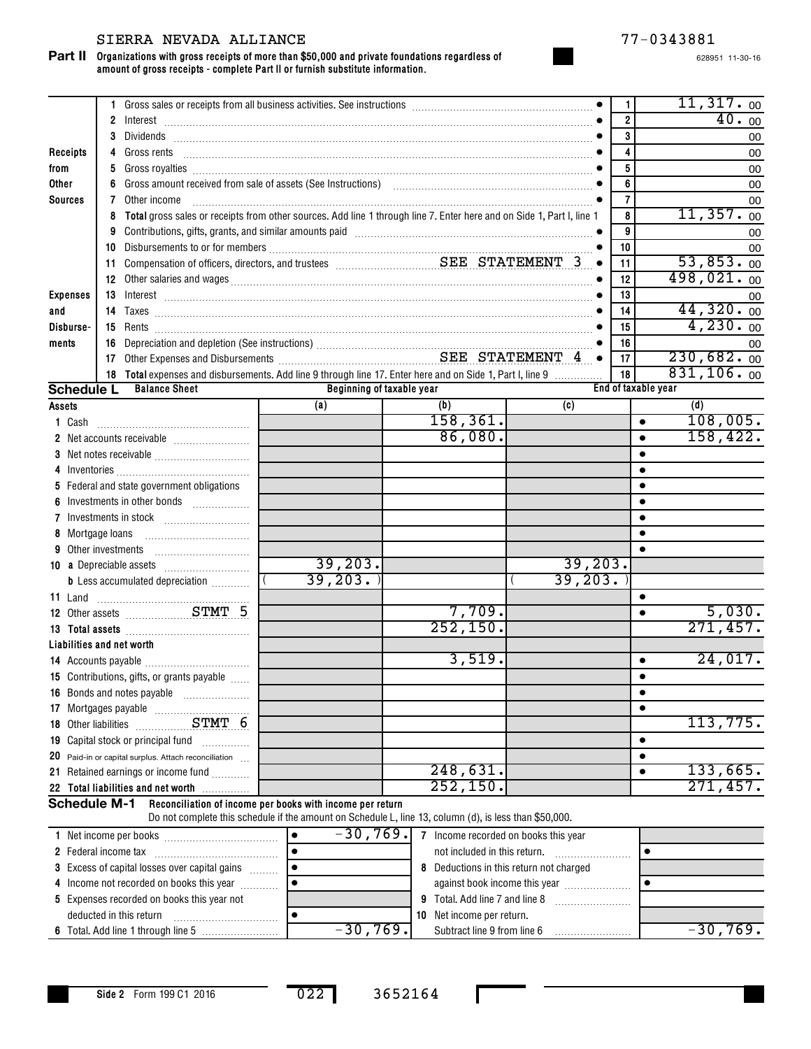#### SIERRA NEVADA ALLIANCE 77-0343881

**Organizations with gross receipts of more than \$50,000 and private foundations regardless of amount of gross receipts - complete Part II or furnish substitute information. Part II**

628951 11-30-16

|                     |                                            |                                                                                                                                                                                                                               |  |                                |                                      |                                         | 1              |                     | $11,317.$ 00          |
|---------------------|--------------------------------------------|-------------------------------------------------------------------------------------------------------------------------------------------------------------------------------------------------------------------------------|--|--------------------------------|--------------------------------------|-----------------------------------------|----------------|---------------------|-----------------------|
|                     |                                            |                                                                                                                                                                                                                               |  |                                |                                      |                                         | $\overline{2}$ |                     | 40.00                 |
|                     | 3                                          |                                                                                                                                                                                                                               |  |                                |                                      |                                         | 3              |                     | 00                    |
| Receipts            | 4                                          |                                                                                                                                                                                                                               |  |                                |                                      |                                         | 4              |                     | 00                    |
| from                | 5                                          |                                                                                                                                                                                                                               |  |                                |                                      |                                         | 5              |                     | 00                    |
| Other               | 6                                          |                                                                                                                                                                                                                               |  |                                |                                      |                                         | 6              |                     | 00                    |
| <b>Sources</b>      | 7                                          | Other income                                                                                                                                                                                                                  |  |                                |                                      |                                         | 7              |                     | 00                    |
|                     | 8                                          | Total gross sales or receipts from other sources. Add line 1 through line 7. Enter here and on Side 1, Part I, line 1                                                                                                         |  |                                |                                      |                                         | 8              |                     | 11,357.00             |
|                     | 9                                          | Contributions, gifts, grants, and similar amounts paid [11] [11] contraction material and set of the set of the set of the set of the set of the set of the set of the set of the set of the set of the set of the set of the |  |                                |                                      |                                         | 9              |                     | 00                    |
|                     |                                            |                                                                                                                                                                                                                               |  |                                |                                      |                                         | 10             |                     | 00                    |
|                     |                                            |                                                                                                                                                                                                                               |  |                                |                                      | $\bullet$                               | 11             |                     | 53,853.00             |
|                     |                                            |                                                                                                                                                                                                                               |  |                                |                                      |                                         | 12             |                     | 498,021.00            |
| <b>Expenses</b>     |                                            |                                                                                                                                                                                                                               |  |                                |                                      |                                         | 13             |                     | 00                    |
| and                 |                                            |                                                                                                                                                                                                                               |  |                                |                                      |                                         | 14             |                     | 44,320.00             |
| Disburse-           |                                            |                                                                                                                                                                                                                               |  |                                |                                      |                                         | 15             |                     | 4,230.00              |
| ments               | 16                                         | Depreciation and depletion (See instructions) Material Construction Construction Construction Construction Con                                                                                                                |  |                                |                                      |                                         | 16             |                     | 00                    |
|                     |                                            |                                                                                                                                                                                                                               |  |                                |                                      |                                         | 17             |                     | 230,682.00            |
|                     |                                            | 18 Total expenses and disbursements. Add line 9 through line 17. Enter here and on Side 1, Part I, line 9                                                                                                                     |  |                                |                                      |                                         | 18             |                     | 831, 106.00           |
| <b>Schedule L</b>   |                                            | <b>Balance Sheet</b>                                                                                                                                                                                                          |  | Beginning of taxable year      |                                      |                                         |                | End of taxable year |                       |
| Assets              |                                            |                                                                                                                                                                                                                               |  | (a)                            | (b)                                  | (c)                                     |                |                     | (d)                   |
| 1 Cash              |                                            |                                                                                                                                                                                                                               |  |                                | 158, 361.                            |                                         |                | $\bullet$           | 108,005.              |
|                     |                                            |                                                                                                                                                                                                                               |  |                                | 86,080.                              |                                         |                | $\bullet$           | 158, 422.             |
|                     |                                            |                                                                                                                                                                                                                               |  |                                |                                      |                                         |                | $\bullet$           |                       |
|                     |                                            |                                                                                                                                                                                                                               |  |                                |                                      |                                         |                | $\bullet$           |                       |
|                     |                                            | 5 Federal and state government obligations                                                                                                                                                                                    |  |                                |                                      |                                         |                | $\bullet$           |                       |
| 6                   |                                            | Investments in other bonds                                                                                                                                                                                                    |  |                                |                                      |                                         |                | $\bullet$           |                       |
|                     |                                            |                                                                                                                                                                                                                               |  |                                |                                      |                                         |                | $\bullet$           |                       |
|                     | 8 Mortgage loans                           |                                                                                                                                                                                                                               |  |                                |                                      |                                         |                | $\bullet$           |                       |
|                     |                                            |                                                                                                                                                                                                                               |  | 39, 203.                       |                                      | 39,203.                                 |                | $\bullet$           |                       |
|                     |                                            |                                                                                                                                                                                                                               |  | 39,203.                        |                                      | 39, 203.                                |                |                     |                       |
|                     |                                            | <b>b</b> Less accumulated depreciation <i></i>                                                                                                                                                                                |  |                                |                                      |                                         |                |                     |                       |
|                     |                                            |                                                                                                                                                                                                                               |  |                                | 7,709.                               |                                         |                | $\bullet$           | 5,030.                |
|                     |                                            | 12 Other assets <b>STMT 5</b>                                                                                                                                                                                                 |  |                                | 252, 150.                            |                                         |                | $\bullet$           | 271,457.              |
|                     |                                            |                                                                                                                                                                                                                               |  |                                |                                      |                                         |                |                     |                       |
|                     |                                            | Liabilities and net worth                                                                                                                                                                                                     |  |                                | 3,519.                               |                                         |                | $\bullet$           | $\overline{24}$ ,017. |
|                     |                                            | 15 Contributions, gifts, or grants payable                                                                                                                                                                                    |  |                                |                                      |                                         |                |                     |                       |
|                     |                                            | 16 Bonds and notes payable                                                                                                                                                                                                    |  |                                |                                      |                                         |                | $\bullet$           |                       |
|                     |                                            |                                                                                                                                                                                                                               |  |                                |                                      |                                         |                | $\bullet$           |                       |
|                     |                                            |                                                                                                                                                                                                                               |  |                                |                                      |                                         |                |                     | 113,775.              |
|                     |                                            | 19 Capital stock or principal fund                                                                                                                                                                                            |  |                                |                                      |                                         |                | ٠                   |                       |
| 20                  |                                            | Paid-in or capital surplus. Attach reconciliation                                                                                                                                                                             |  |                                |                                      |                                         |                | $\bullet$           |                       |
|                     |                                            | 21 Retained earnings or income fund                                                                                                                                                                                           |  |                                | 248,631.                             |                                         |                | $\bullet$           | 133,665.              |
|                     |                                            | 22 Total liabilities and net worth                                                                                                                                                                                            |  |                                | 252, 150.                            |                                         |                |                     | 271,457.              |
| <b>Schedule M-1</b> |                                            | Reconciliation of income per books with income per return                                                                                                                                                                     |  |                                |                                      |                                         |                |                     |                       |
|                     |                                            | Do not complete this schedule if the amount on Schedule L, line 13, column (d), is less than \$50,000.                                                                                                                        |  |                                |                                      |                                         |                |                     |                       |
|                     |                                            |                                                                                                                                                                                                                               |  | $-30,769.$<br>$\bullet$        | 7 Income recorded on books this year |                                         |                |                     |                       |
|                     |                                            |                                                                                                                                                                                                                               |  | $\bullet$                      | not included in this return.         |                                         |                | $\bullet$           |                       |
|                     |                                            | 3 Excess of capital losses over capital gains                                                                                                                                                                                 |  | $\bullet$                      |                                      | 8 Deductions in this return not charged |                |                     |                       |
|                     |                                            | 4 Income not recorded on books this year                                                                                                                                                                                      |  | $\bullet$                      |                                      | against book income this year           |                | $\bullet$           |                       |
|                     | 5 Expenses recorded on books this year not |                                                                                                                                                                                                                               |  | 9 Total. Add line 7 and line 8 |                                      |                                         |                |                     |                       |

**Side 2** Form 199 C1 2016

~~~~~~~~~~~

deducted in this return

**6** Total. Add line 1 through line 5 ………………………! -3 U , (6 Y • | Subtract line 9 from line 6 ……………………

•

022 3652164

**10** Net income per return.

 $-30,769.$  Subtract line 9 from line 6  $\sim$   $-30,769.$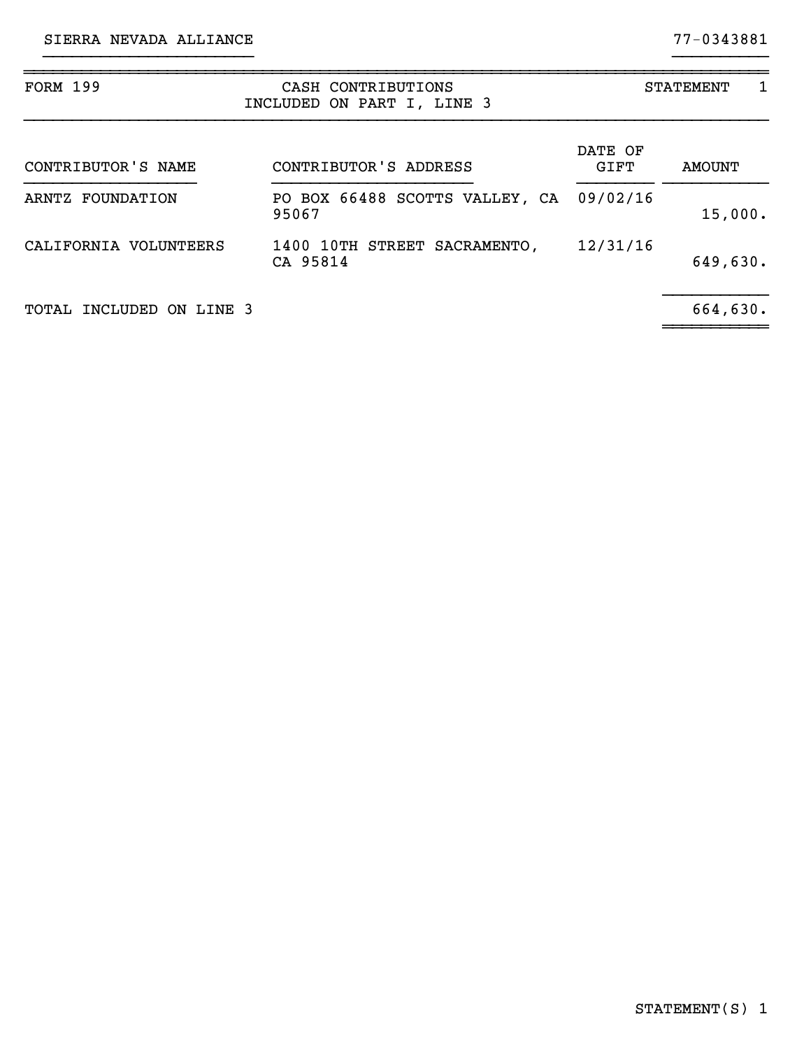| <b>FORM 199</b>          | CASH CONTRIBUTIONS<br>INCLUDED ON PART I, LINE 3 | 1<br><b>STATEMENT</b> |               |  |  |
|--------------------------|--------------------------------------------------|-----------------------|---------------|--|--|
| CONTRIBUTOR'S NAME       | CONTRIBUTOR'S ADDRESS                            | DATE OF<br>GIFT       | <b>AMOUNT</b> |  |  |
| ARNTZ FOUNDATION         | PO BOX 66488 SCOTTS VALLEY, CA<br>95067          | 09/02/16              | 15,000.       |  |  |
| CALIFORNIA VOLUNTEERS    | 1400 10TH STREET SACRAMENTO,<br>CA 95814         | 12/31/16              | 649,630.      |  |  |
| TOTAL INCLUDED ON LINE 3 |                                                  |                       | 664,630.      |  |  |

}}}}}}}}}}}}}}}}}}}}}} }}}}}}}}}}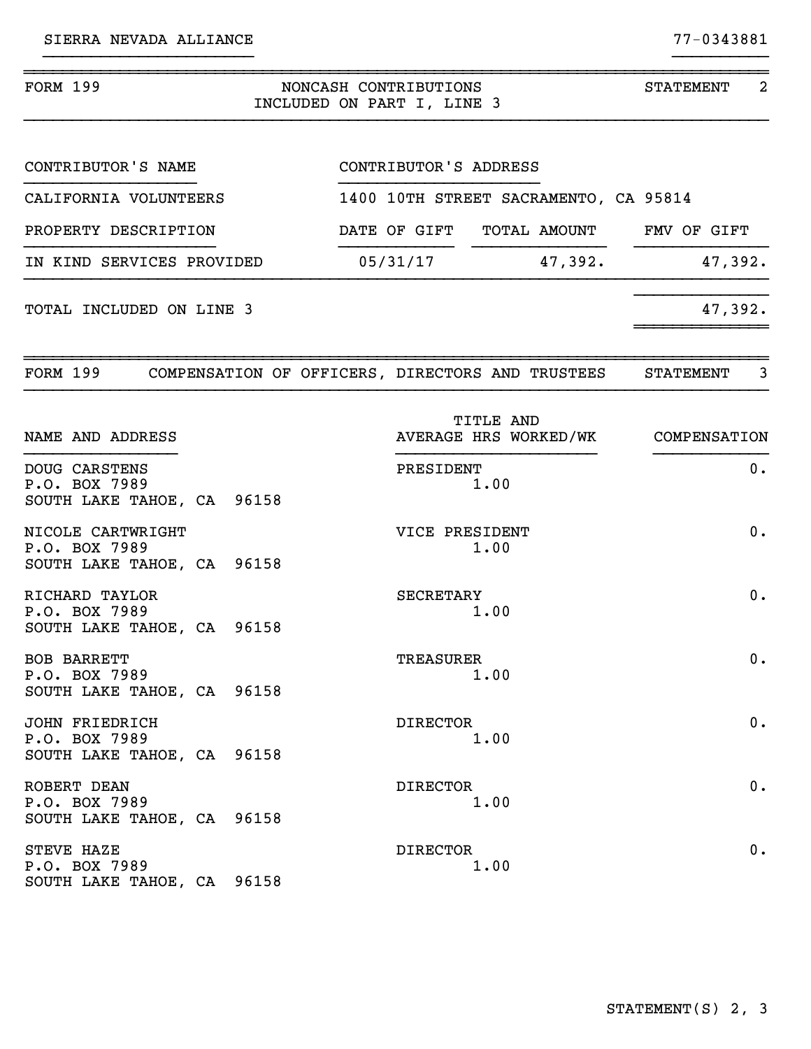| FORM 199<br>NONCASH CONTRIBUTIONS<br>INCLUDED ON PART I, LINE 3      |  |  |  |                  |                                                        |  | $\overline{2}$<br>STATEMENT |
|----------------------------------------------------------------------|--|--|--|------------------|--------------------------------------------------------|--|-----------------------------|
| CONTRIBUTOR'S NAME                                                   |  |  |  |                  | CONTRIBUTOR'S ADDRESS                                  |  |                             |
| CALIFORNIA VOLUNTEERS                                                |  |  |  |                  | 1400 10TH STREET SACRAMENTO, CA 95814                  |  |                             |
| PROPERTY DESCRIPTION                                                 |  |  |  |                  | DATE OF GIFT TOTAL AMOUNT FMV OF GIFT                  |  |                             |
| IN KIND SERVICES PROVIDED                                            |  |  |  |                  | $05/31/17$ 47,392.                                     |  | 47,392.                     |
| TOTAL INCLUDED ON LINE 3                                             |  |  |  |                  |                                                        |  | 47,392.                     |
| FORM 199 COMPENSATION OF OFFICERS, DIRECTORS AND TRUSTEES            |  |  |  |                  |                                                        |  | $\overline{3}$<br>STATEMENT |
| NAME AND ADDRESS                                                     |  |  |  |                  | <b>TITLE AND</b><br>AVERAGE HRS WORKED/WK COMPENSATION |  |                             |
| DOUG CARSTENS<br>P.O. BOX 7989<br>SOUTH LAKE TAHOE, CA 96158         |  |  |  | PRESIDENT        | 1.00                                                   |  | 0.                          |
| NICOLE CARTWRIGHT<br>P.O. BOX 7989<br>SOUTH LAKE TAHOE, CA 96158     |  |  |  | VICE PRESIDENT   | 1.00                                                   |  | 0.                          |
| RICHARD TAYLOR<br>P.O. BOX 7989<br>SOUTH LAKE TAHOE, CA 96158        |  |  |  | SECRETARY        | 1.00                                                   |  | 0.                          |
| BOB BARRETT<br>P.O. BOX 7989<br>SOUTH LAKE TAHOE, CA 96158           |  |  |  | <b>TREASURER</b> | 1.00                                                   |  | $0$ .                       |
| <b>JOHN FRIEDRICH</b><br>P.O. BOX 7989<br>SOUTH LAKE TAHOE, CA 96158 |  |  |  | <b>DIRECTOR</b>  | 1.00                                                   |  | $0$ .                       |
| ROBERT DEAN<br>P.O. BOX 7989<br>SOUTH LAKE TAHOE, CA 96158           |  |  |  | <b>DIRECTOR</b>  | 1.00                                                   |  | 0.                          |
| STEVE HAZE<br>P.O. BOX 7989<br>SOUTH LAKE TAHOE, CA 96158            |  |  |  | <b>DIRECTOR</b>  | 1.00                                                   |  | 0.                          |

}}}}}}}}}}}}}}}}}}}}}} }}}}}}}}}}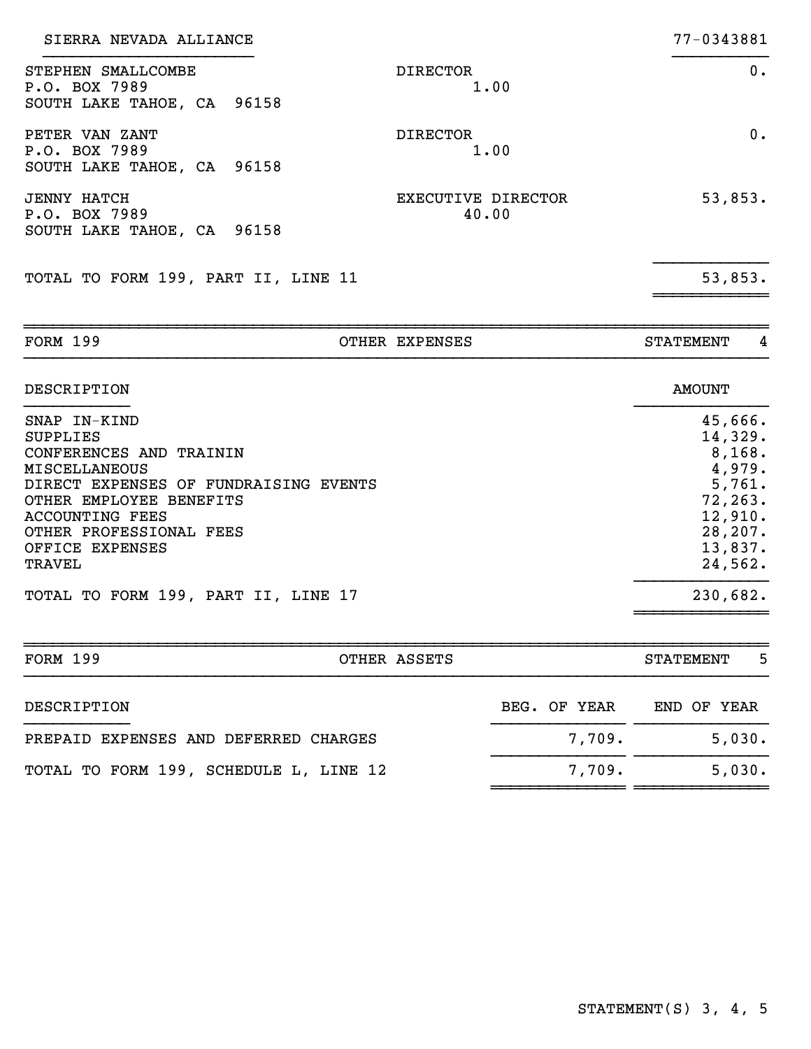| SIERRA NEVADA ALLIANCE                                                                                                                                                                                                                          |                                    | 77-0343881                                                                                                |
|-------------------------------------------------------------------------------------------------------------------------------------------------------------------------------------------------------------------------------------------------|------------------------------------|-----------------------------------------------------------------------------------------------------------|
| STEPHEN SMALLCOMBE<br>P.O. BOX 7989<br>SOUTH LAKE TAHOE, CA 96158                                                                                                                                                                               | <b>DIRECTOR</b><br>1.00            | 0.                                                                                                        |
| PETER VAN ZANT<br>P.O. BOX 7989<br>SOUTH LAKE TAHOE, CA 96158                                                                                                                                                                                   | <b>DIRECTOR</b><br>1.00            | $0$ .                                                                                                     |
| <b>JENNY HATCH</b><br>P.O. BOX 7989<br>SOUTH LAKE TAHOE, CA 96158                                                                                                                                                                               | <b>EXECUTIVE DIRECTOR</b><br>40.00 | 53,853.                                                                                                   |
| TOTAL TO FORM 199, PART II, LINE 11                                                                                                                                                                                                             |                                    | 53,853.                                                                                                   |
| <b>FORM 199</b>                                                                                                                                                                                                                                 | OTHER EXPENSES                     | <b>STATEMENT</b><br>4                                                                                     |
| <b>DESCRIPTION</b>                                                                                                                                                                                                                              |                                    | <b>AMOUNT</b>                                                                                             |
| SNAP IN-KIND<br><b>SUPPLIES</b><br>CONFERENCES AND TRAININ<br><b>MISCELLANEOUS</b><br>DIRECT EXPENSES OF FUNDRAISING EVENTS<br>OTHER EMPLOYEE BENEFITS<br><b>ACCOUNTING FEES</b><br>OTHER PROFESSIONAL FEES<br>OFFICE EXPENSES<br><b>TRAVEL</b> |                                    | 45,666.<br>14,329.<br>8,168.<br>4,979.<br>5,761.<br>72, 263.<br>12,910.<br>28, 207.<br>13,837.<br>24,562. |
| TOTAL TO FORM 199, PART II, LINE 17                                                                                                                                                                                                             |                                    | 230,682.                                                                                                  |
| <b>FORM 199</b>                                                                                                                                                                                                                                 | OTHER ASSETS                       | 5<br><b>STATEMENT</b>                                                                                     |
| DESCRIPTION                                                                                                                                                                                                                                     | BEG. OF YEAR                       | END OF YEAR                                                                                               |
| PREPAID EXPENSES AND DEFERRED CHARGES                                                                                                                                                                                                           | 7,709.                             | 5,030.                                                                                                    |
| TOTAL TO FORM 199, SCHEDULE L, LINE 12                                                                                                                                                                                                          | 7,709.                             | 5,030.                                                                                                    |

~~~~~~~~~~~~~~ ~~~~~~~~~~~~~~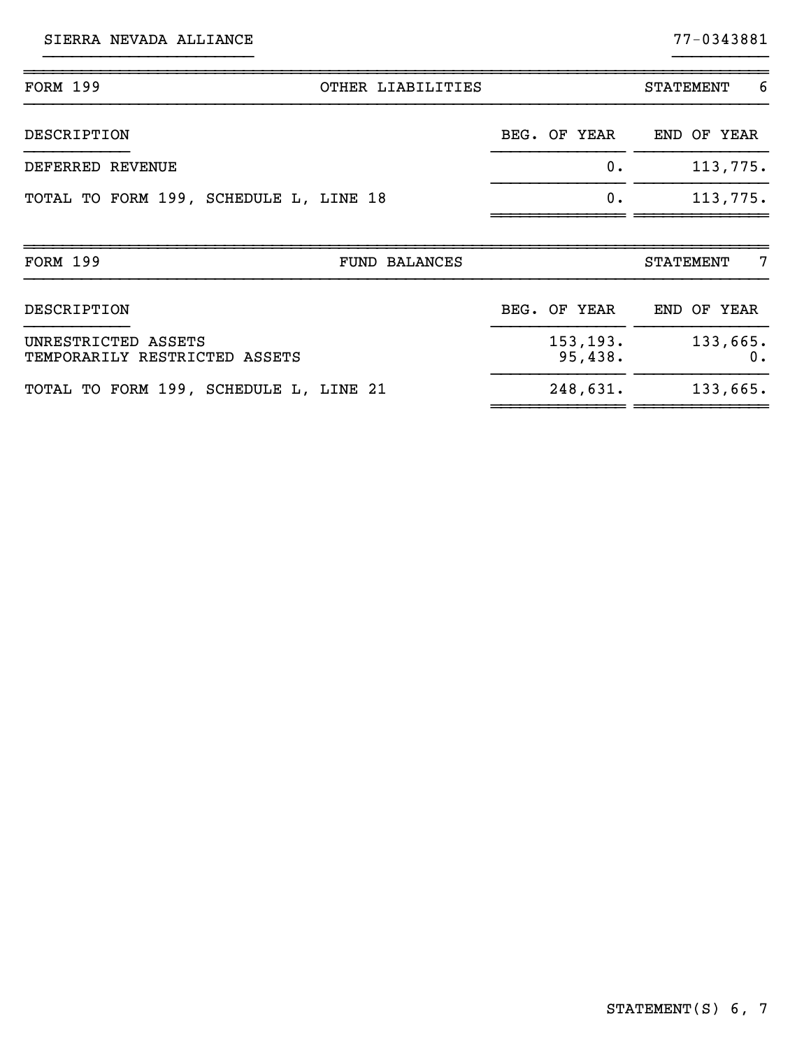SIERRA NEVADA ALLIANCE 77-0343881

~~~~~~~~~~~~~~ ~~~~~~~~~~~~~~

| <b>FORM 199</b>                                      | OTHER LIABILITIES |              |         | <b>STATEMENT</b> | -6             |
|------------------------------------------------------|-------------------|--------------|---------|------------------|----------------|
| DESCRIPTION                                          |                   | BEG. OF YEAR |         | END OF YEAR      |                |
| DEFERRED REVENUE                                     |                   |              | $0$ .   |                  | 113,775.       |
| TOTAL TO FORM 199, SCHEDULE L, LINE 18               |                   |              | 0.      |                  | 113,775.       |
| <b>FORM 199</b><br><b>FUND BALANCES</b>              |                   |              |         | <b>STATEMENT</b> | 7              |
| DESCRIPTION                                          |                   | BEG. OF YEAR |         | END OF YEAR      |                |
| UNRESTRICTED ASSETS<br>TEMPORARILY RESTRICTED ASSETS |                   | 153, 193.    | 95,438. |                  | 133,665.<br>0. |
| TOTAL TO FORM 199, SCHEDULE L, LINE 21               |                   | 248,631.     |         |                  | 133,665.       |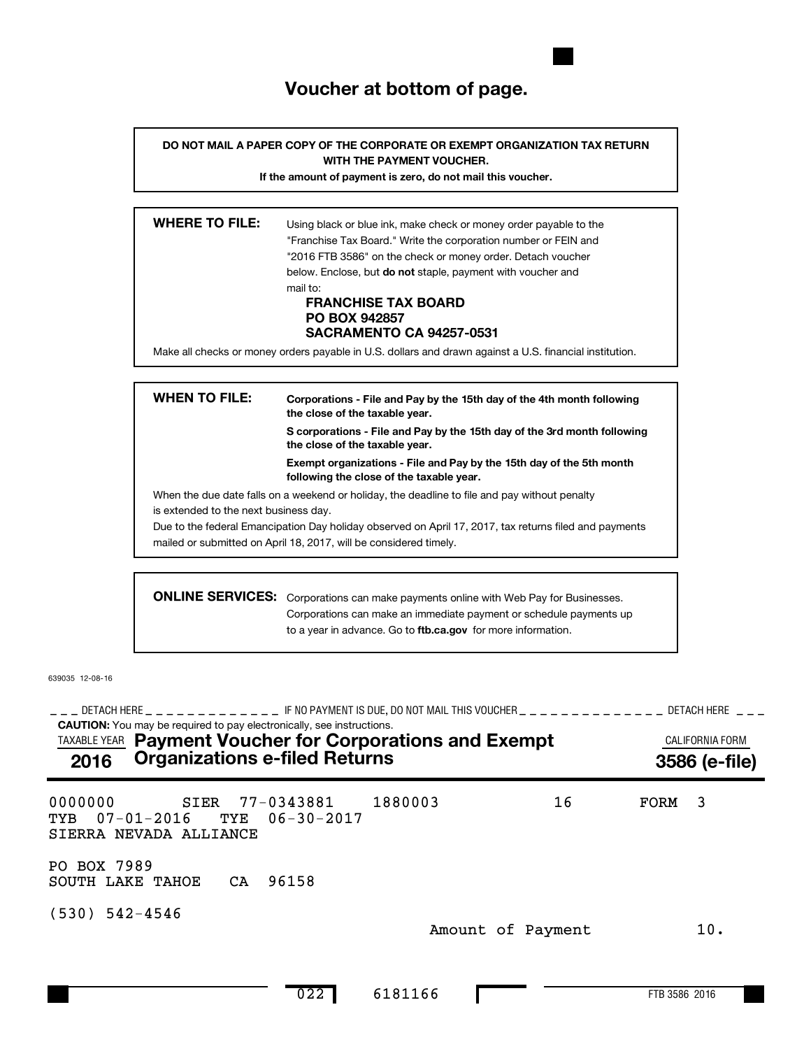## **Voucher at bottom of page.**

**DO NOT MAIL A PAPER COPY OF THE CORPORATE OR EXEMPT ORGANIZATION TAX RETURN WITH THE PAYMENT VOUCHER.**

**If the amount of payment is zero, do not mail this voucher.**

| <b>WHERE TO FILE:</b> |                                                                                                         |
|-----------------------|---------------------------------------------------------------------------------------------------------|
|                       | Using black or blue ink, make check or money order payable to the                                       |
|                       | "Franchise Tax Board." Write the corporation number or FEIN and                                         |
|                       | "2016 FTB 3586" on the check or money order. Detach voucher                                             |
|                       | below. Enclose, but <b>do not</b> staple, payment with voucher and                                      |
|                       | mail to:                                                                                                |
|                       | <b>FRANCHISE TAX BOARD</b>                                                                              |
|                       | <b>PO BOX 942857</b>                                                                                    |
|                       | <b>SACRAMENTO CA 94257-0531</b>                                                                         |
|                       | Make all checks or money orders payable in U.S. dollars and drawn against a U.S. financial institution. |
|                       |                                                                                                         |

| <b>WHEN TO FILE:</b>                  | Corporations - File and Pay by the 15th day of the 4th month following<br>the close of the taxable year.         |  |  |  |  |  |  |
|---------------------------------------|------------------------------------------------------------------------------------------------------------------|--|--|--|--|--|--|
|                                       | S corporations - File and Pay by the 15th day of the 3rd month following<br>the close of the taxable year.       |  |  |  |  |  |  |
|                                       | Exempt organizations - File and Pay by the 15th day of the 5th month<br>following the close of the taxable year. |  |  |  |  |  |  |
|                                       | When the due date falls on a weekend or holiday, the deadline to file and pay without penalty                    |  |  |  |  |  |  |
| is extended to the next business day. |                                                                                                                  |  |  |  |  |  |  |
|                                       | Due to the federal Emancipation Day holiday observed on April 17, 2017, tax returns filed and payments           |  |  |  |  |  |  |
|                                       | mailed or submitted on April 18, 2017, will be considered timely.                                                |  |  |  |  |  |  |
|                                       |                                                                                                                  |  |  |  |  |  |  |
|                                       | <b>ONLINE SERVICES:</b> Corporations can make payments online with Web Pay for Businesses.                       |  |  |  |  |  |  |

to a year in advance. Go to ftb.ca.gov for more information. rations can make payments online with Web Pay for Businesses. Corporations can make an immediate payment or schedule payments up

639035 12-08-16

**CAUTION:** You may be required to pay electronically, see instructions. \_\_\_ DETACH HERE \_ \_ \_ \_ \_ \_ \_ \_ \_ \_ \_ \_ F NO PAYMENT IS DUE, DO NOT MAIL THIS VOUCHER \_ \_ \_ \_ \_ \_ \_ \_ \_ \_ \_ \_ \_ \_ DETACH HERE \_ \_ \_ TAXABLE YEAR **Payment Voucher for Corporations and Exempt Exampt CALIFORNIA FORM 2016 Organizations e-filed Returns 3586 (e-file)** 0000000 SIER 77-0343881 1880003 16 FORM 3 TYB 07-01-2016 TYE 06-30-2017 SIERRA NEVADA ALLIANCE PO BOX 7989 SOUTH LAKE TAHOE CA 96158 (530) 542-4546 Amount of Payment 10.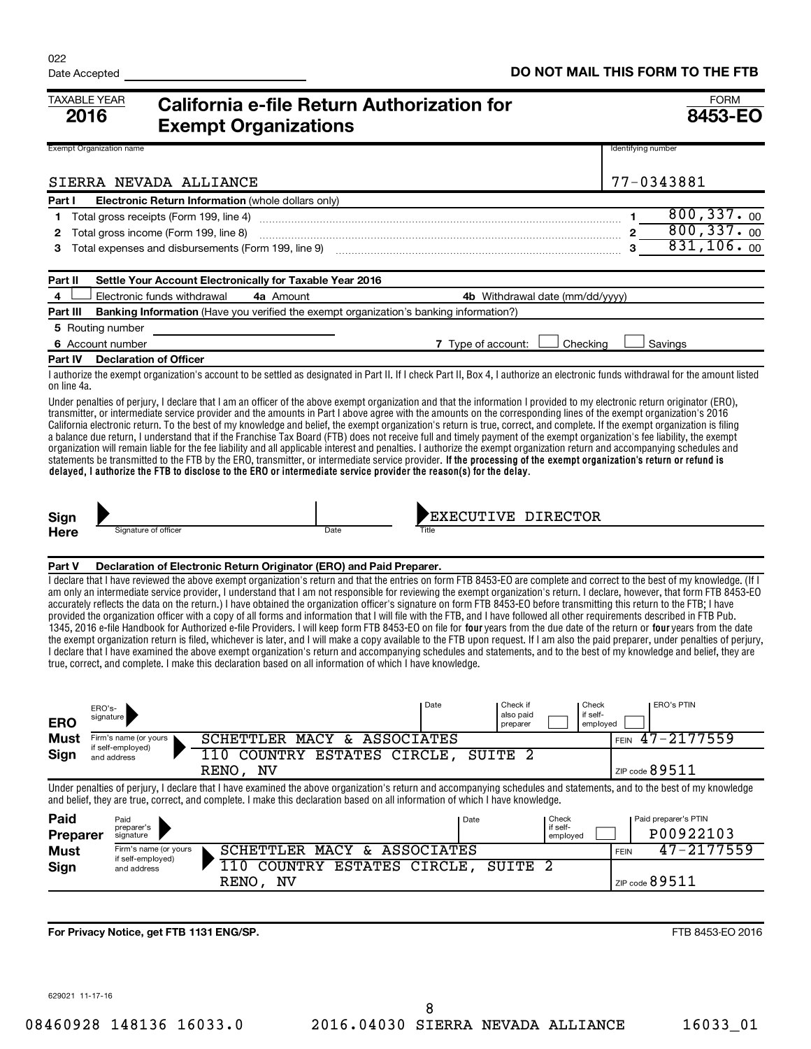| <b>TAXABLE YEAR</b><br>2016     |                                          | California e-file Return Authorization for<br><b>Exempt Organizations</b>                                                                                                                                                                                                                                                                                                                                                                                                                                                                                                                                                                                                                                                                                                                                                                                                                                                                                                                                                                                                                                                                                                                                                                                                                                                                                                    |                                 |                      | <b>FORM</b><br>8453-EO        |
|---------------------------------|------------------------------------------|------------------------------------------------------------------------------------------------------------------------------------------------------------------------------------------------------------------------------------------------------------------------------------------------------------------------------------------------------------------------------------------------------------------------------------------------------------------------------------------------------------------------------------------------------------------------------------------------------------------------------------------------------------------------------------------------------------------------------------------------------------------------------------------------------------------------------------------------------------------------------------------------------------------------------------------------------------------------------------------------------------------------------------------------------------------------------------------------------------------------------------------------------------------------------------------------------------------------------------------------------------------------------------------------------------------------------------------------------------------------------|---------------------------------|----------------------|-------------------------------|
| <b>Exempt Organization name</b> |                                          |                                                                                                                                                                                                                                                                                                                                                                                                                                                                                                                                                                                                                                                                                                                                                                                                                                                                                                                                                                                                                                                                                                                                                                                                                                                                                                                                                                              |                                 |                      | Identifying number            |
|                                 | SIERRA NEVADA ALLIANCE                   |                                                                                                                                                                                                                                                                                                                                                                                                                                                                                                                                                                                                                                                                                                                                                                                                                                                                                                                                                                                                                                                                                                                                                                                                                                                                                                                                                                              |                                 |                      | 77-0343881                    |
| Part I                          |                                          | Electronic Return Information (whole dollars only)                                                                                                                                                                                                                                                                                                                                                                                                                                                                                                                                                                                                                                                                                                                                                                                                                                                                                                                                                                                                                                                                                                                                                                                                                                                                                                                           |                                 |                      |                               |
| 1                               | Total gross receipts (Form 199, line 4)  |                                                                                                                                                                                                                                                                                                                                                                                                                                                                                                                                                                                                                                                                                                                                                                                                                                                                                                                                                                                                                                                                                                                                                                                                                                                                                                                                                                              |                                 |                      | 800, 337.00<br>$\mathbf{1}$   |
| 2                               | Total gross income (Form 199, line 8)    |                                                                                                                                                                                                                                                                                                                                                                                                                                                                                                                                                                                                                                                                                                                                                                                                                                                                                                                                                                                                                                                                                                                                                                                                                                                                                                                                                                              |                                 |                      | 800, 337.00                   |
| З                               |                                          | Total expenses and disbursements (Form 199, line 9)                                                                                                                                                                                                                                                                                                                                                                                                                                                                                                                                                                                                                                                                                                                                                                                                                                                                                                                                                                                                                                                                                                                                                                                                                                                                                                                          |                                 |                      | 831, 106.00                   |
| Part II                         |                                          | Settle Your Account Electronically for Taxable Year 2016                                                                                                                                                                                                                                                                                                                                                                                                                                                                                                                                                                                                                                                                                                                                                                                                                                                                                                                                                                                                                                                                                                                                                                                                                                                                                                                     |                                 |                      |                               |
| 4                               | Electronic funds withdrawal              | 4a Amount                                                                                                                                                                                                                                                                                                                                                                                                                                                                                                                                                                                                                                                                                                                                                                                                                                                                                                                                                                                                                                                                                                                                                                                                                                                                                                                                                                    | 4b Withdrawal date (mm/dd/yyyy) |                      |                               |
| Part III                        |                                          | <b>Banking Information</b> (Have you verified the exempt organization's banking information?)                                                                                                                                                                                                                                                                                                                                                                                                                                                                                                                                                                                                                                                                                                                                                                                                                                                                                                                                                                                                                                                                                                                                                                                                                                                                                |                                 |                      |                               |
| 5 Routing number                |                                          |                                                                                                                                                                                                                                                                                                                                                                                                                                                                                                                                                                                                                                                                                                                                                                                                                                                                                                                                                                                                                                                                                                                                                                                                                                                                                                                                                                              |                                 |                      |                               |
| 6 Account number                |                                          |                                                                                                                                                                                                                                                                                                                                                                                                                                                                                                                                                                                                                                                                                                                                                                                                                                                                                                                                                                                                                                                                                                                                                                                                                                                                                                                                                                              | 7 Type of account:              | Checking             | Savings                       |
| Part IV                         | <b>Declaration of Officer</b>            |                                                                                                                                                                                                                                                                                                                                                                                                                                                                                                                                                                                                                                                                                                                                                                                                                                                                                                                                                                                                                                                                                                                                                                                                                                                                                                                                                                              |                                 |                      |                               |
| on line 4a.                     |                                          | I authorize the exempt organization's account to be settled as designated in Part II. If I check Part II, Box 4, I authorize an electronic funds withdrawal for the amount listed                                                                                                                                                                                                                                                                                                                                                                                                                                                                                                                                                                                                                                                                                                                                                                                                                                                                                                                                                                                                                                                                                                                                                                                            |                                 |                      |                               |
|                                 |                                          | Under penalties of perjury, I declare that I am an officer of the above exempt organization and that the information I provided to my electronic return originator (ERO),<br>transmitter, or intermediate service provider and the amounts in Part I above agree with the amounts on the corresponding lines of the exempt organization's 2016<br>California electronic return. To the best of my knowledge and belief, the exempt organization's return is true, correct, and complete. If the exempt organization is filing<br>a balance due return, I understand that if the Franchise Tax Board (FTB) does not receive full and timely payment of the exempt organization's fee liability, the exempt<br>organization will remain liable for the fee liability and all applicable interest and penalties. I authorize the exempt organization return and accompanying schedules and<br>statements be transmitted to the FTB by the ERO, transmitter, or intermediate service provider. If the processing of the exempt organization's return or refund is<br>delayed, I authorize the FTB to disclose to the ERO or intermediate service provider the reason(s) for the delay.                                                                                                                                                                                           |                                 |                      |                               |
| Sign                            |                                          |                                                                                                                                                                                                                                                                                                                                                                                                                                                                                                                                                                                                                                                                                                                                                                                                                                                                                                                                                                                                                                                                                                                                                                                                                                                                                                                                                                              | <b>EXECUTIVE DIRECTOR</b>       |                      |                               |
| Here                            | Signature of officer                     | Date                                                                                                                                                                                                                                                                                                                                                                                                                                                                                                                                                                                                                                                                                                                                                                                                                                                                                                                                                                                                                                                                                                                                                                                                                                                                                                                                                                         | Title                           |                      |                               |
| Part V                          |                                          | Declaration of Electronic Return Originator (ERO) and Paid Preparer.                                                                                                                                                                                                                                                                                                                                                                                                                                                                                                                                                                                                                                                                                                                                                                                                                                                                                                                                                                                                                                                                                                                                                                                                                                                                                                         |                                 |                      |                               |
| ERO's-                          |                                          | I declare that I have reviewed the above exempt organization's return and that the entries on form FTB 8453-EO are complete and correct to the best of my knowledge. (If I<br>am only an intermediate service provider, I understand that I am not responsible for reviewing the exempt organization's return. I declare, however, that form FTB 8453-EO<br>accurately reflects the data on the return.) I have obtained the organization officer's signature on form FTB 8453-EO before transmitting this return to the FTB; I have<br>provided the organization officer with a copy of all forms and information that I will file with the FTB, and I have followed all other requirements described in FTB Pub.<br>1345, 2016 e-file Handbook for Authorized e-file Providers. I will keep form FTB 8453-EO on file for four vears from the due date of the return or four vears from the date<br>the exempt organization return is filed, whichever is later, and I will make a copy available to the FTB upon request. If I am also the paid preparer, under penalties of perjury,<br>I declare that I have examined the above exempt organization's return and accompanying schedules and statements, and to the best of my knowledge and belief, they are<br>true, correct, and complete. I make this declaration based on all information of which I have knowledge. | Date<br>Check if                | Check                | <b>ERO's PTIN</b>             |
| ERO                             | signature                                |                                                                                                                                                                                                                                                                                                                                                                                                                                                                                                                                                                                                                                                                                                                                                                                                                                                                                                                                                                                                                                                                                                                                                                                                                                                                                                                                                                              | also paid<br>preparer           | if self-<br>emploved |                               |
| Must                            | Firm's name (or yours                    | SCHETTLER MACY & ASSOCIATES                                                                                                                                                                                                                                                                                                                                                                                                                                                                                                                                                                                                                                                                                                                                                                                                                                                                                                                                                                                                                                                                                                                                                                                                                                                                                                                                                  |                                 |                      | $47 - 2177559$<br><b>FEIN</b> |
| Sign                            | if self-employed)<br>and address         | 110 COUNTRY ESTATES CIRCLE,<br>RENO, NV                                                                                                                                                                                                                                                                                                                                                                                                                                                                                                                                                                                                                                                                                                                                                                                                                                                                                                                                                                                                                                                                                                                                                                                                                                                                                                                                      | SUITE <sub>2</sub>              |                      | ZIP code 89511                |
|                                 |                                          | Under penalties of perjury, I declare that I have examined the above organization's return and accompanying schedules and statements, and to the best of my knowledge<br>and belief, they are true, correct, and complete. I make this declaration based on all information of which I have knowledge.                                                                                                                                                                                                                                                                                                                                                                                                                                                                                                                                                                                                                                                                                                                                                                                                                                                                                                                                                                                                                                                                       |                                 |                      |                               |
| Paid                            | Paid                                     |                                                                                                                                                                                                                                                                                                                                                                                                                                                                                                                                                                                                                                                                                                                                                                                                                                                                                                                                                                                                                                                                                                                                                                                                                                                                                                                                                                              | Date                            | Check                | Paid preparer's PTIN          |
| <b>Preparer</b>                 | preparer's<br>signature                  |                                                                                                                                                                                                                                                                                                                                                                                                                                                                                                                                                                                                                                                                                                                                                                                                                                                                                                                                                                                                                                                                                                                                                                                                                                                                                                                                                                              |                                 | if self-<br>employed | P00922103                     |
| <b>Must</b>                     | Firm's name (or yours                    | SCHETTLER MACY & ASSOCIATES                                                                                                                                                                                                                                                                                                                                                                                                                                                                                                                                                                                                                                                                                                                                                                                                                                                                                                                                                                                                                                                                                                                                                                                                                                                                                                                                                  |                                 |                      | 47-2177559<br><b>FEIN</b>     |
| Sign                            | if self-employed)<br>and address         | 110 COUNTRY ESTATES CIRCLE,                                                                                                                                                                                                                                                                                                                                                                                                                                                                                                                                                                                                                                                                                                                                                                                                                                                                                                                                                                                                                                                                                                                                                                                                                                                                                                                                                  | SUITE <sub>2</sub>              |                      |                               |
|                                 |                                          | RENO, NV                                                                                                                                                                                                                                                                                                                                                                                                                                                                                                                                                                                                                                                                                                                                                                                                                                                                                                                                                                                                                                                                                                                                                                                                                                                                                                                                                                     |                                 |                      | ZIP code 89511                |
|                                 | For Privacy Notice, get FTB 1131 ENG/SP. |                                                                                                                                                                                                                                                                                                                                                                                                                                                                                                                                                                                                                                                                                                                                                                                                                                                                                                                                                                                                                                                                                                                                                                                                                                                                                                                                                                              |                                 |                      | FTB 8453-EO 2016              |

629021 11-17-16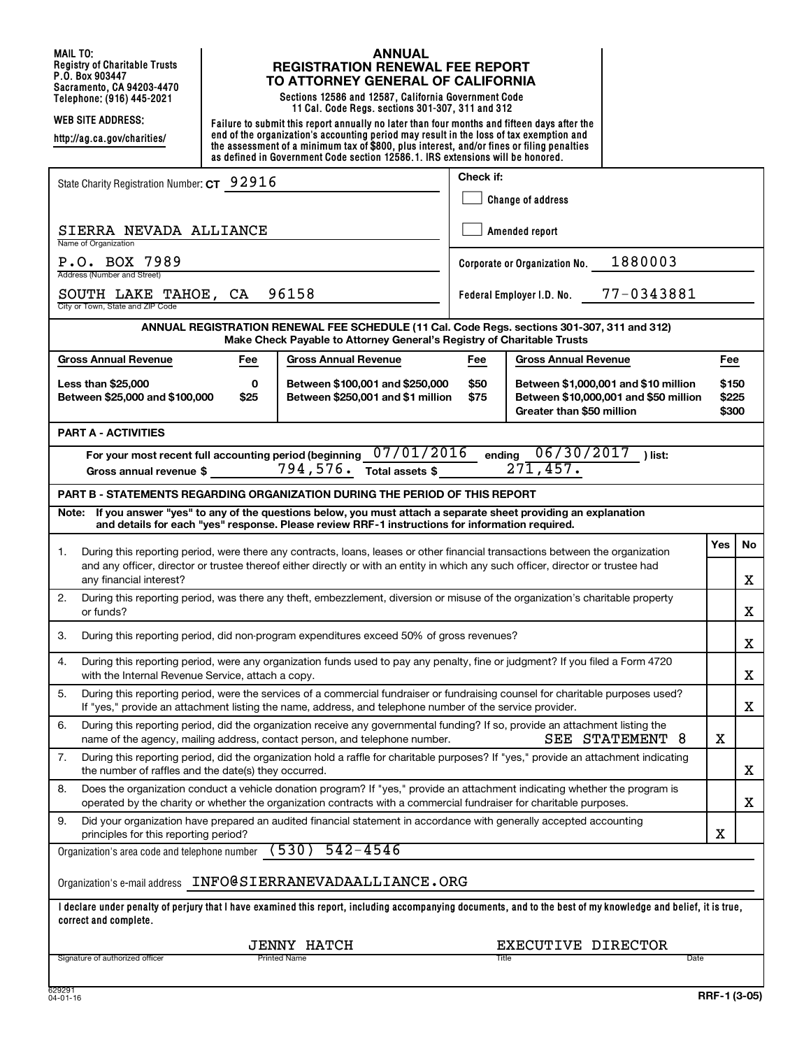**MAIL TO: Registry of Charitable Trusts P.O. Box 903447 Sacramento, CA 94203-4470**

**http://ag.ca.gov/charities/**

#### **ANNUAL REGISTRATION RENEWAL FEE REPORT TO ATTORNEY GENERAL OF CALIFORNIA**

**Telephone: (916) 445-2021 Sections 12586 and 12587, California Government Code 11 Cal. Code Regs. sections 301-307, 311 and 312**

**WEB SITE ADDRESS: Failure to submit this report annually no later than four months and fifteen days after the end of the organization's accounting period may result in the loss of tax exemption and the assessment of a minimum tax of \$800, plus interest, and/or fines or filing penalties as defined in Government Code section 12586.1. IRS extensions will be honored.**

| State Charity Registration Number: CT 92916                                                                                                                                                                                                              | Check if:                |                                                                                                            |                         |    |  |  |  |
|----------------------------------------------------------------------------------------------------------------------------------------------------------------------------------------------------------------------------------------------------------|--------------------------|------------------------------------------------------------------------------------------------------------|-------------------------|----|--|--|--|
|                                                                                                                                                                                                                                                          | <b>Change of address</b> |                                                                                                            |                         |    |  |  |  |
| SIERRA NEVADA ALLIANCE<br>Name of Organization                                                                                                                                                                                                           | Amended report           |                                                                                                            |                         |    |  |  |  |
| P.O. BOX 7989<br>Address (Number and Street)                                                                                                                                                                                                             |                          | 1880003<br>Corporate or Organization No.                                                                   |                         |    |  |  |  |
| 96158<br>77-0343881<br>SOUTH LAKE TAHOE, CA<br>Federal Employer I.D. No.<br>City or Town, State and ZIP Code                                                                                                                                             |                          |                                                                                                            |                         |    |  |  |  |
| ANNUAL REGISTRATION RENEWAL FEE SCHEDULE (11 Cal. Code Regs. sections 301-307, 311 and 312)<br>Make Check Payable to Attorney General's Registry of Charitable Trusts                                                                                    |                          |                                                                                                            |                         |    |  |  |  |
| <b>Gross Annual Revenue</b><br><b>Gross Annual Revenue</b><br>Fee                                                                                                                                                                                        | Fee                      | <b>Gross Annual Revenue</b>                                                                                | Fee                     |    |  |  |  |
| Less than \$25,000<br>Between \$100,001 and \$250,000<br>0<br>Between \$25,000 and \$100,000<br>\$25<br>Between \$250,001 and \$1 million                                                                                                                | \$50<br>\$75             | Between \$1,000,001 and \$10 million<br>Between \$10,000,001 and \$50 million<br>Greater than \$50 million | \$150<br>\$225<br>\$300 |    |  |  |  |
| <b>PART A - ACTIVITIES</b>                                                                                                                                                                                                                               |                          |                                                                                                            |                         |    |  |  |  |
| 07/01/2016<br>For your most recent full accounting period (beginning<br>794,576.<br>Total assets \$<br>Gross annual revenue \$                                                                                                                           | ending                   | 06/30/2017<br>) list:<br>$27\overline{1,457}$ .                                                            |                         |    |  |  |  |
| PART B - STATEMENTS REGARDING ORGANIZATION DURING THE PERIOD OF THIS REPORT                                                                                                                                                                              |                          |                                                                                                            |                         |    |  |  |  |
| Note: If you answer "yes" to any of the questions below, you must attach a separate sheet providing an explanation<br>and details for each "yes" response. Please review RRF-1 instructions for information required.                                    |                          |                                                                                                            |                         |    |  |  |  |
| During this reporting period, were there any contracts, loans, leases or other financial transactions between the organization<br>1.                                                                                                                     |                          |                                                                                                            | Yes                     | No |  |  |  |
| and any officer, director or trustee thereof either directly or with an entity in which any such officer, director or trustee had<br>any financial interest?                                                                                             |                          |                                                                                                            |                         |    |  |  |  |
| 2.<br>During this reporting period, was there any theft, embezzlement, diversion or misuse of the organization's charitable property<br>or funds?                                                                                                        |                          |                                                                                                            |                         | X  |  |  |  |
| During this reporting period, did non-program expenditures exceed 50% of gross revenues?<br>3.                                                                                                                                                           |                          |                                                                                                            |                         | X  |  |  |  |
| During this reporting period, were any organization funds used to pay any penalty, fine or judgment? If you filed a Form 4720<br>4.<br>with the Internal Revenue Service, attach a copy.                                                                 |                          |                                                                                                            |                         | X  |  |  |  |
| 5.<br>During this reporting period, were the services of a commercial fundraiser or fundraising counsel for charitable purposes used?<br>If "yes," provide an attachment listing the name, address, and telephone number of the service provider.        |                          |                                                                                                            |                         | X  |  |  |  |
| 6.<br>During this reporting period, did the organization receive any governmental funding? If so, provide an attachment listing the<br>name of the agency, mailing address, contact person, and telephone number.                                        |                          | SEE STATEMENT 8                                                                                            | х                       |    |  |  |  |
| 7.<br>During this reporting period, did the organization hold a raffle for charitable purposes? If "yes," provide an attachment indicating<br>the number of raffles and the date(s) they occurred.                                                       |                          |                                                                                                            |                         | X  |  |  |  |
| Does the organization conduct a vehicle donation program? If "yes," provide an attachment indicating whether the program is<br>8.<br>operated by the charity or whether the organization contracts with a commercial fundraiser for charitable purposes. |                          |                                                                                                            |                         | x  |  |  |  |
| Did your organization have prepared an audited financial statement in accordance with generally accepted accounting<br>9.<br>principles for this reporting period?                                                                                       |                          |                                                                                                            | х                       |    |  |  |  |
| (530)<br>$542 - 4546$<br>Organization's area code and telephone number                                                                                                                                                                                   |                          |                                                                                                            |                         |    |  |  |  |
| Organization's e-mail address    INFO@SIERRANEVADAALLIANCE.ORG                                                                                                                                                                                           |                          |                                                                                                            |                         |    |  |  |  |
| I declare under penalty of perjury that I have examined this report, including accompanying documents, and to the best of my knowledge and belief, it is true,<br>correct and complete.                                                                  |                          |                                                                                                            |                         |    |  |  |  |
| <b>JENNY HATCH</b>                                                                                                                                                                                                                                       |                          | EXECUTIVE DIRECTOR                                                                                         |                         |    |  |  |  |
| Signature of authorized officer<br><b>Printed Name</b>                                                                                                                                                                                                   | Title                    | Date                                                                                                       |                         |    |  |  |  |
| י מרמרה                                                                                                                                                                                                                                                  |                          |                                                                                                            |                         |    |  |  |  |